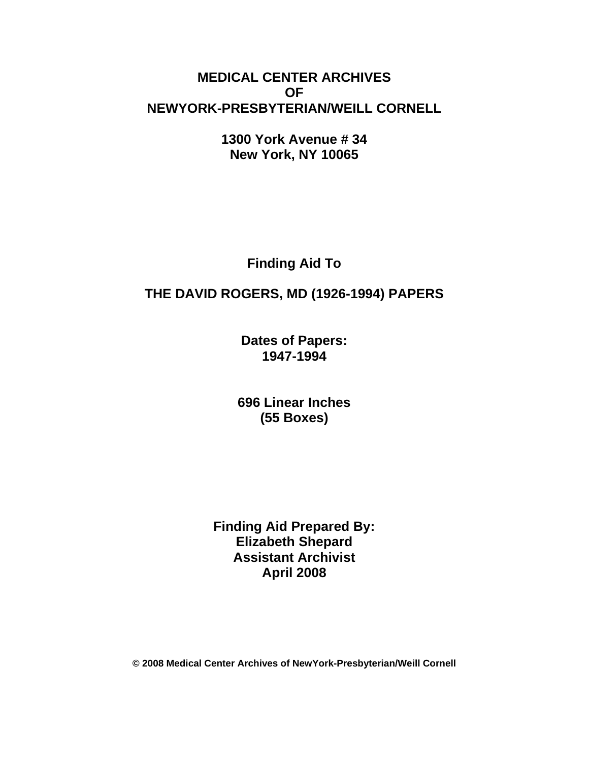## **MEDICAL CENTER ARCHIVES OF NEWYORK-PRESBYTERIAN/WEILL CORNELL**

**1300 York Avenue # 34 New York, NY 10065**

**Finding Aid To**

# **THE DAVID ROGERS, MD (1926-1994) PAPERS**

**Dates of Papers: 1947-1994**

**696 Linear Inches (55 Boxes)**

**Finding Aid Prepared By: Elizabeth Shepard Assistant Archivist April 2008**

**© 2008 Medical Center Archives of NewYork-Presbyterian/Weill Cornell**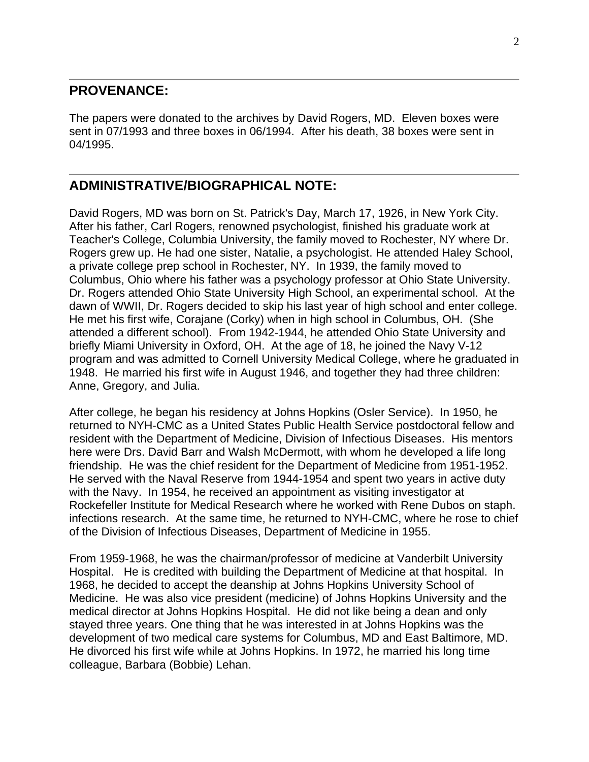## **PROVENANCE:**

The papers were donated to the archives by David Rogers, MD. Eleven boxes were sent in 07/1993 and three boxes in 06/1994. After his death, 38 boxes were sent in 04/1995.

## **ADMINISTRATIVE/BIOGRAPHICAL NOTE:**

David Rogers, MD was born on St. Patrick's Day, March 17, 1926, in New York City. After his father, Carl Rogers, renowned psychologist, finished his graduate work at Teacher's College, Columbia University, the family moved to Rochester, NY where Dr. Rogers grew up. He had one sister, Natalie, a psychologist. He attended Haley School, a private college prep school in Rochester, NY. In 1939, the family moved to Columbus, Ohio where his father was a psychology professor at Ohio State University. Dr. Rogers attended Ohio State University High School, an experimental school. At the dawn of WWII, Dr. Rogers decided to skip his last year of high school and enter college. He met his first wife, Corajane (Corky) when in high school in Columbus, OH. (She attended a different school). From 1942-1944, he attended Ohio State University and briefly Miami University in Oxford, OH. At the age of 18, he joined the Navy V-12 program and was admitted to Cornell University Medical College, where he graduated in 1948. He married his first wife in August 1946, and together they had three children: Anne, Gregory, and Julia.

After college, he began his residency at Johns Hopkins (Osler Service). In 1950, he returned to NYH-CMC as a United States Public Health Service postdoctoral fellow and resident with the Department of Medicine, Division of Infectious Diseases. His mentors here were Drs. David Barr and Walsh McDermott, with whom he developed a life long friendship. He was the chief resident for the Department of Medicine from 1951-1952. He served with the Naval Reserve from 1944-1954 and spent two years in active duty with the Navy. In 1954, he received an appointment as visiting investigator at Rockefeller Institute for Medical Research where he worked with Rene Dubos on staph. infections research. At the same time, he returned to NYH-CMC, where he rose to chief of the Division of Infectious Diseases, Department of Medicine in 1955.

From 1959-1968, he was the chairman/professor of medicine at Vanderbilt University Hospital. He is credited with building the Department of Medicine at that hospital. In 1968, he decided to accept the deanship at Johns Hopkins University School of Medicine. He was also vice president (medicine) of Johns Hopkins University and the medical director at Johns Hopkins Hospital. He did not like being a dean and only stayed three years. One thing that he was interested in at Johns Hopkins was the development of two medical care systems for Columbus, MD and East Baltimore, MD. He divorced his first wife while at Johns Hopkins. In 1972, he married his long time colleague, Barbara (Bobbie) Lehan.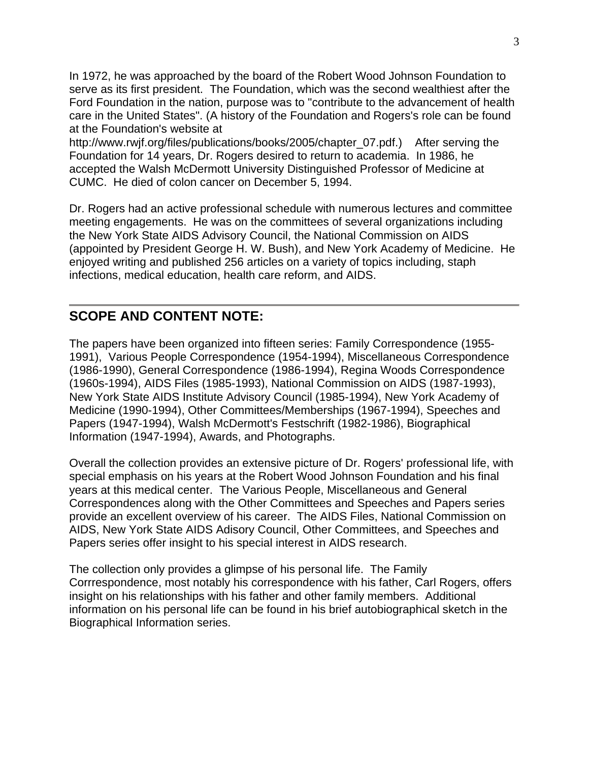In 1972, he was approached by the board of the Robert Wood Johnson Foundation to serve as its first president. The Foundation, which was the second wealthiest after the Ford Foundation in the nation, purpose was to "contribute to the advancement of health care in the United States". (A history of the Foundation and Rogers's role can be found at the Foundation's website at

http://www.rwjf.org/files/publications/books/2005/chapter\_07.pdf.) After serving the Foundation for 14 years, Dr. Rogers desired to return to academia. In 1986, he accepted the Walsh McDermott University Distinguished Professor of Medicine at CUMC. He died of colon cancer on December 5, 1994.

Dr. Rogers had an active professional schedule with numerous lectures and committee meeting engagements. He was on the committees of several organizations including the New York State AIDS Advisory Council, the National Commission on AIDS (appointed by President George H. W. Bush), and New York Academy of Medicine. He enjoyed writing and published 256 articles on a variety of topics including, staph infections, medical education, health care reform, and AIDS.

## **SCOPE AND CONTENT NOTE:**

The papers have been organized into fifteen series: Family Correspondence (1955- 1991), Various People Correspondence (1954-1994), Miscellaneous Correspondence (1986-1990), General Correspondence (1986-1994), Regina Woods Correspondence (1960s-1994), AIDS Files (1985-1993), National Commission on AIDS (1987-1993), New York State AIDS Institute Advisory Council (1985-1994), New York Academy of Medicine (1990-1994), Other Committees/Memberships (1967-1994), Speeches and Papers (1947-1994), Walsh McDermott's Festschrift (1982-1986), Biographical Information (1947-1994), Awards, and Photographs.

Overall the collection provides an extensive picture of Dr. Rogers' professional life, with special emphasis on his years at the Robert Wood Johnson Foundation and his final years at this medical center. The Various People, Miscellaneous and General Correspondences along with the Other Committees and Speeches and Papers series provide an excellent overview of his career. The AIDS Files, National Commission on AIDS, New York State AIDS Adisory Council, Other Committees, and Speeches and Papers series offer insight to his special interest in AIDS research.

The collection only provides a glimpse of his personal life. The Family Corrrespondence, most notably his correspondence with his father, Carl Rogers, offers insight on his relationships with his father and other family members. Additional information on his personal life can be found in his brief autobiographical sketch in the Biographical Information series.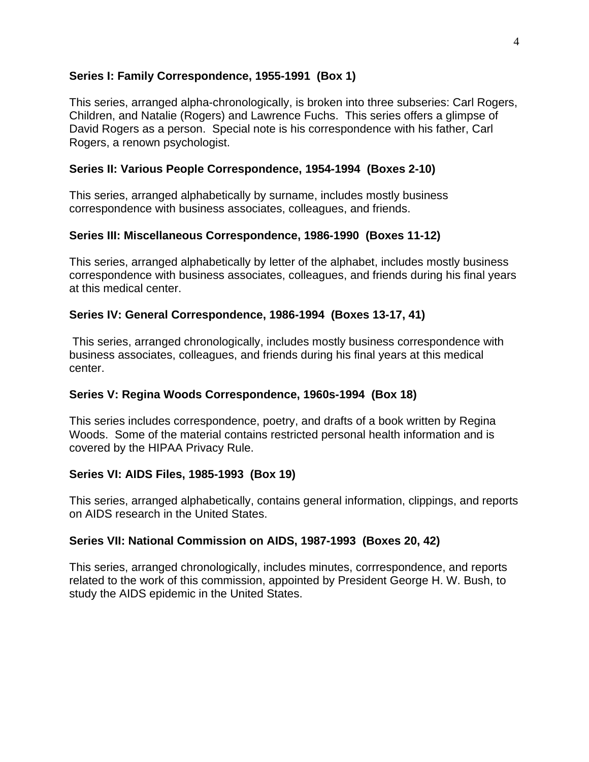#### **Series I: Family Correspondence, 1955-1991 (Box 1)**

This series, arranged alpha-chronologically, is broken into three subseries: Carl Rogers, Children, and Natalie (Rogers) and Lawrence Fuchs. This series offers a glimpse of David Rogers as a person. Special note is his correspondence with his father, Carl Rogers, a renown psychologist.

#### **Series II: Various People Correspondence, 1954-1994 (Boxes 2-10)**

This series, arranged alphabetically by surname, includes mostly business correspondence with business associates, colleagues, and friends.

#### **Series III: Miscellaneous Correspondence, 1986-1990 (Boxes 11-12)**

This series, arranged alphabetically by letter of the alphabet, includes mostly business correspondence with business associates, colleagues, and friends during his final years at this medical center.

#### **Series IV: General Correspondence, 1986-1994 (Boxes 13-17, 41)**

This series, arranged chronologically, includes mostly business correspondence with business associates, colleagues, and friends during his final years at this medical center.

#### **Series V: Regina Woods Correspondence, 1960s-1994 (Box 18)**

This series includes correspondence, poetry, and drafts of a book written by Regina Woods. Some of the material contains restricted personal health information and is covered by the HIPAA Privacy Rule.

### **Series VI: AIDS Files, 1985-1993 (Box 19)**

This series, arranged alphabetically, contains general information, clippings, and reports on AIDS research in the United States.

#### **Series VII: National Commission on AIDS, 1987-1993 (Boxes 20, 42)**

This series, arranged chronologically, includes minutes, corrrespondence, and reports related to the work of this commission, appointed by President George H. W. Bush, to study the AIDS epidemic in the United States.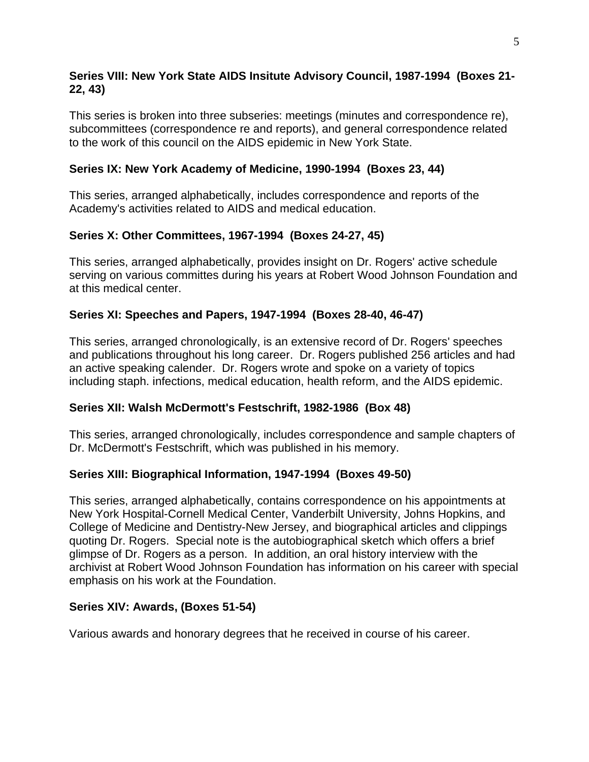#### **Series VIII: New York State AIDS Insitute Advisory Council, 1987-1994 (Boxes 21- 22, 43)**

This series is broken into three subseries: meetings (minutes and correspondence re), subcommittees (correspondence re and reports), and general correspondence related to the work of this council on the AIDS epidemic in New York State.

#### **Series IX: New York Academy of Medicine, 1990-1994 (Boxes 23, 44)**

This series, arranged alphabetically, includes correspondence and reports of the Academy's activities related to AIDS and medical education.

### **Series X: Other Committees, 1967-1994 (Boxes 24-27, 45)**

This series, arranged alphabetically, provides insight on Dr. Rogers' active schedule serving on various committes during his years at Robert Wood Johnson Foundation and at this medical center.

#### **Series XI: Speeches and Papers, 1947-1994 (Boxes 28-40, 46-47)**

This series, arranged chronologically, is an extensive record of Dr. Rogers' speeches and publications throughout his long career. Dr. Rogers published 256 articles and had an active speaking calender. Dr. Rogers wrote and spoke on a variety of topics including staph. infections, medical education, health reform, and the AIDS epidemic.

#### **Series XII: Walsh McDermott's Festschrift, 1982-1986 (Box 48)**

This series, arranged chronologically, includes correspondence and sample chapters of Dr. McDermott's Festschrift, which was published in his memory.

#### **Series XIII: Biographical Information, 1947-1994 (Boxes 49-50)**

This series, arranged alphabetically, contains correspondence on his appointments at New York Hospital-Cornell Medical Center, Vanderbilt University, Johns Hopkins, and College of Medicine and Dentistry-New Jersey, and biographical articles and clippings quoting Dr. Rogers. Special note is the autobiographical sketch which offers a brief glimpse of Dr. Rogers as a person. In addition, an oral history interview with the archivist at Robert Wood Johnson Foundation has information on his career with special emphasis on his work at the Foundation.

#### **Series XIV: Awards, (Boxes 51-54)**

Various awards and honorary degrees that he received in course of his career.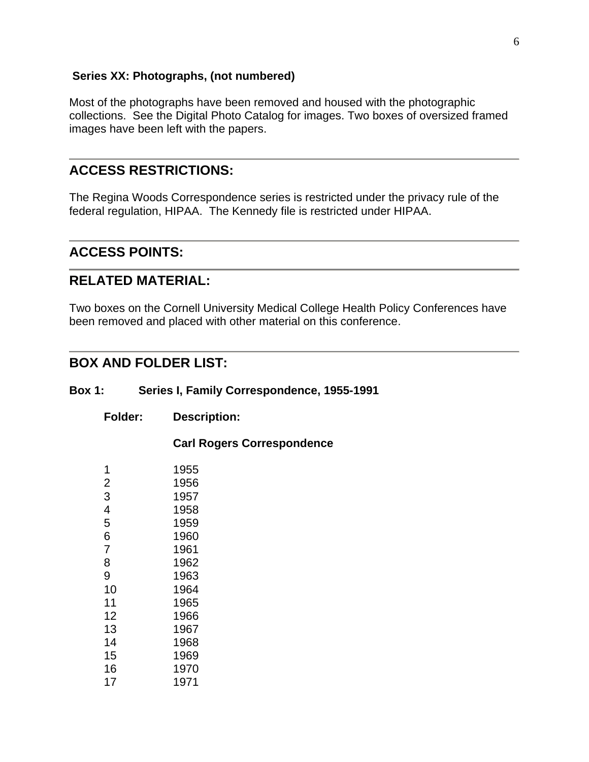#### **Series XX: Photographs, (not numbered)**

Most of the photographs have been removed and housed with the photographic collections. See the Digital Photo Catalog for images. Two boxes of oversized framed images have been left with the papers.

## **ACCESS RESTRICTIONS:**

The Regina Woods Correspondence series is restricted under the privacy rule of the federal regulation, HIPAA. The Kennedy file is restricted under HIPAA.

## **ACCESS POINTS:**

#### **RELATED MATERIAL:**

Two boxes on the Cornell University Medical College Health Policy Conferences have been removed and placed with other material on this conference.

### **BOX AND FOLDER LIST:**

#### **Box 1: Series I, Family Correspondence, 1955-1991**

**Folder: Description:**

**Carl Rogers Correspondence**

| 1  | 1955 |
|----|------|
| 2  | 1956 |
| 3  | 1957 |
| 4  | 1958 |
| 5  | 1959 |
| 6  | 1960 |
| 7  | 1961 |
| 8  | 1962 |
| 9  | 1963 |
| 10 | 1964 |
| 11 | 1965 |
| 12 | 1966 |
| 13 | 1967 |
| 14 | 1968 |
| 15 | 1969 |
| 16 | 1970 |
| 17 | 1971 |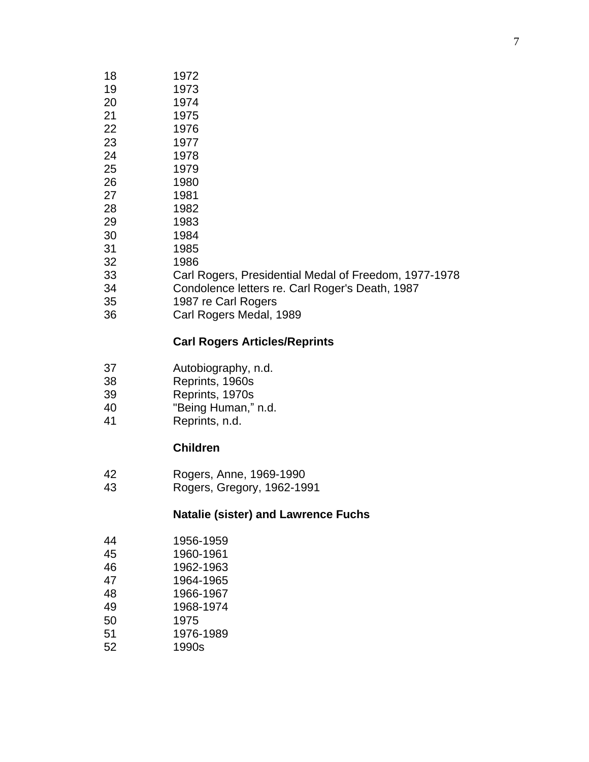| 18 | 1972 |
|----|------|
|    |      |

- 1973 1974
- 1975
- 1976
- 1977
- 1978
- 1979
- 1980
- 1981
- 1982
- 1983
- 1984
- 1985
- 1986
- Carl Rogers, Presidential Medal of Freedom, 1977-1978
- Condolence letters re. Carl Roger's Death, 1987
- 35 1987 re Carl Rogers<br>36 Carl Rogers Medal, 1
- Carl Rogers Medal, 1989

## **Carl Rogers Articles/Reprints**

- Autobiography, n.d.
- Reprints, 1960s
- Reprints, 1970s
- "Being Human," n.d.
- Reprints, n.d.

## **Children**

- Rogers, Anne, 1969-1990
- Rogers, Gregory, 1962-1991

## **Natalie (sister) and Lawrence Fuchs**

| 44 | 1956-1959 |
|----|-----------|
| 45 | 1960-1961 |
| 46 | 1962-1963 |
| 47 | 1964-1965 |
| 48 | 1966-1967 |
| 49 | 1968-1974 |
| 50 | 1975      |
| 51 | 1976-1989 |
|    |           |

1990s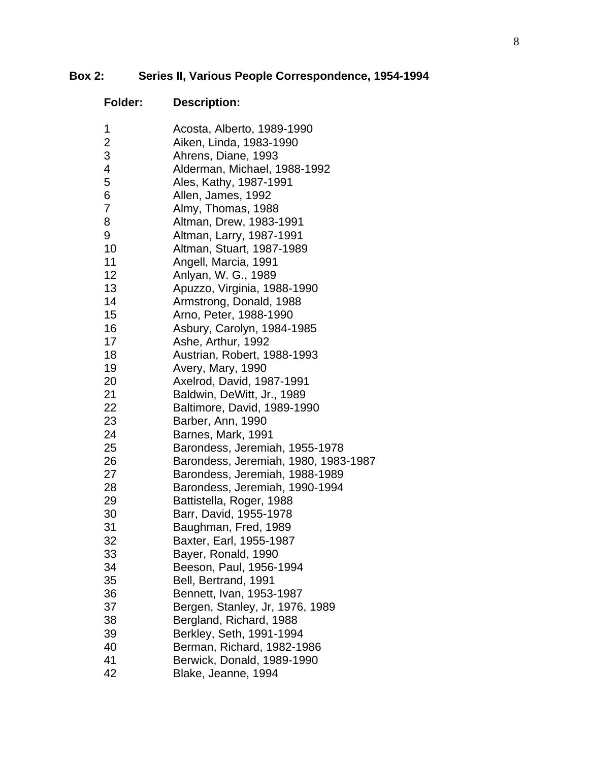# **Box 2: Series II, Various People Correspondence, 1954-1994**

| Folder:                  | <b>Description:</b>                  |
|--------------------------|--------------------------------------|
| 1                        | Acosta, Alberto, 1989-1990           |
| $\overline{c}$           | Aiken, Linda, 1983-1990              |
| 3                        | Ahrens, Diane, 1993                  |
| $\overline{\mathcal{A}}$ | Alderman, Michael, 1988-1992         |
| 5                        | Ales, Kathy, 1987-1991               |
| 6                        | Allen, James, 1992                   |
| $\overline{7}$           | Almy, Thomas, 1988                   |
| 8                        | Altman, Drew, 1983-1991              |
| 9                        | Altman, Larry, 1987-1991             |
| 10                       | Altman, Stuart, 1987-1989            |
| 11                       | Angell, Marcia, 1991                 |
| 12                       | Anlyan, W. G., 1989                  |
| 13                       | Apuzzo, Virginia, 1988-1990          |
| 14                       | Armstrong, Donald, 1988              |
| 15                       | Arno, Peter, 1988-1990               |
| 16                       | Asbury, Carolyn, 1984-1985           |
| 17                       | Ashe, Arthur, 1992                   |
| 18                       | Austrian, Robert, 1988-1993          |
| 19                       | Avery, Mary, 1990                    |
| 20                       | Axelrod, David, 1987-1991            |
| 21                       | Baldwin, DeWitt, Jr., 1989           |
| 22                       | Baltimore, David, 1989-1990          |
| 23                       | Barber, Ann, 1990                    |
| 24                       | Barnes, Mark, 1991                   |
| 25                       | Barondess, Jeremiah, 1955-1978       |
| 26                       | Barondess, Jeremiah, 1980, 1983-1987 |
| 27                       | Barondess, Jeremiah, 1988-1989       |
| 28                       | Barondess, Jeremiah, 1990-1994       |
| 29                       | Battistella, Roger, 1988             |
| 30                       | Barr, David, 1955-1978               |
| 31                       | Baughman, Fred, 1989                 |
| 32                       | Baxter, Earl, 1955-1987              |
| 33                       | Bayer, Ronald, 1990                  |
| 34                       | Beeson, Paul, 1956-1994              |
| 35                       | Bell, Bertrand, 1991                 |
| 36                       | Bennett, Ivan, 1953-1987             |
| 37                       | Bergen, Stanley, Jr, 1976, 1989      |
| 38                       | Bergland, Richard, 1988              |
| 39                       | Berkley, Seth, 1991-1994             |
| 40                       | Berman, Richard, 1982-1986           |
| 41                       | Berwick, Donald, 1989-1990           |
| 42                       | Blake, Jeanne, 1994                  |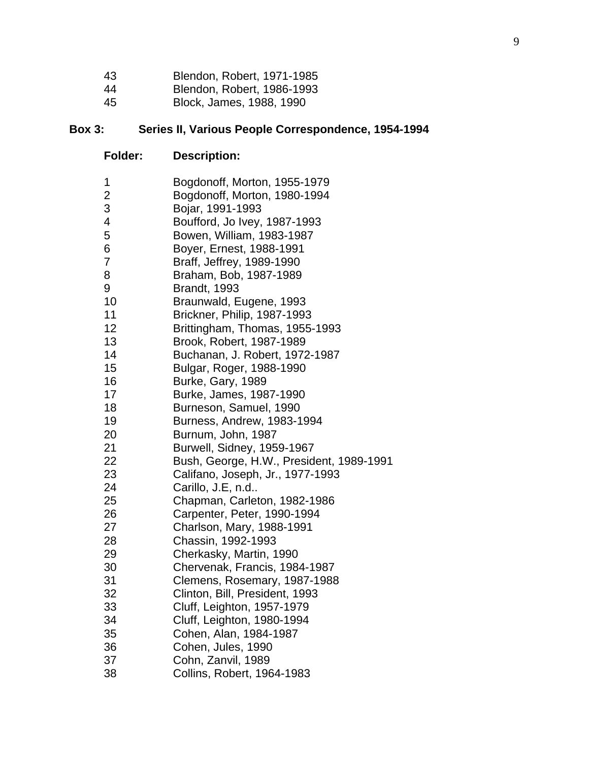| 43 |  | Blendon, Robert, 1971-1985 |
|----|--|----------------------------|
|----|--|----------------------------|

- Blendon, Robert, 1986-1993
- Block, James, 1988, 1990

# **Box 3: Series II, Various People Correspondence, 1954-1994**

| 1<br>2 | Bogdonoff, Morton, 1955-1979<br>Bogdonoff, Morton, 1980-1994 |
|--------|--------------------------------------------------------------|
| 3      | Bojar, 1991-1993                                             |
| 4      | Boufford, Jo Ivey, 1987-1993                                 |
| 5      | Bowen, William, 1983-1987                                    |
| 6      | Boyer, Ernest, 1988-1991                                     |
| 7      | Braff, Jeffrey, 1989-1990                                    |
| 8      | Braham, Bob, 1987-1989                                       |
| 9      | <b>Brandt, 1993</b>                                          |
| 10     | Braunwald, Eugene, 1993                                      |
| 11     | Brickner, Philip, 1987-1993                                  |
| 12     | Brittingham, Thomas, 1955-1993                               |
| 13     | Brook, Robert, 1987-1989                                     |
| 14     | Buchanan, J. Robert, 1972-1987                               |
| 15     | Bulgar, Roger, 1988-1990                                     |
| 16     | Burke, Gary, 1989                                            |
| 17     | Burke, James, 1987-1990                                      |
| 18     | Burneson, Samuel, 1990                                       |
| 19     | Burness, Andrew, 1983-1994                                   |
| 20     | Burnum, John, 1987                                           |
| 21     | Burwell, Sidney, 1959-1967                                   |
| 22     | Bush, George, H.W., President, 1989-1991                     |
| 23     | Califano, Joseph, Jr., 1977-1993                             |
| 24     | Carillo, J.E, n.d                                            |
| 25     | Chapman, Carleton, 1982-1986                                 |
| 26     | Carpenter, Peter, 1990-1994                                  |
| 27     | Charlson, Mary, 1988-1991                                    |
| 28     | Chassin, 1992-1993                                           |
| 29     | Cherkasky, Martin, 1990                                      |
| 30     | Chervenak, Francis, 1984-1987                                |
| 31     | Clemens, Rosemary, 1987-1988                                 |
| 32     | Clinton, Bill, President, 1993                               |
| 33     | Cluff, Leighton, 1957-1979                                   |
| 34     | Cluff, Leighton, 1980-1994                                   |
| 35     | Cohen, Alan, 1984-1987                                       |
| 36     | Cohen, Jules, 1990                                           |
| 37     | Cohn, Zanvil, 1989                                           |
| 38     | Collins, Robert, 1964-1983                                   |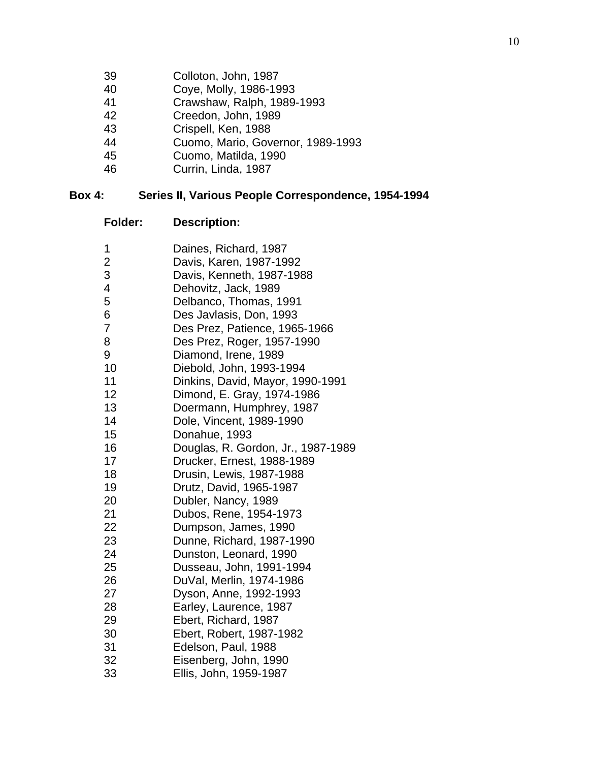- Colloton, John, 1987
- Coye, Molly, 1986-1993
- Crawshaw, Ralph, 1989-1993
- 42 Creedon, John, 1989<br>43 Crispell, Ken, 1988
- 43 Crispell, Ken, 1988<br>44 Cuomo, Mario, Gov
- Cuomo, Mario, Governor, 1989-1993
- Cuomo, Matilda, 1990
- Currin, Linda, 1987

### **Box 4: Series II, Various People Correspondence, 1954-1994**

| Daines, Richard, 1987              |
|------------------------------------|
| Davis, Karen, 1987-1992            |
| Davis, Kenneth, 1987-1988          |
| Dehovitz, Jack, 1989               |
| Delbanco, Thomas, 1991             |
| Des Javlasis, Don, 1993            |
| Des Prez, Patience, 1965-1966      |
| Des Prez, Roger, 1957-1990         |
| Diamond, Irene, 1989               |
| Diebold, John, 1993-1994           |
| Dinkins, David, Mayor, 1990-1991   |
| Dimond, E. Gray, 1974-1986         |
| Doermann, Humphrey, 1987           |
| Dole, Vincent, 1989-1990           |
| Donahue, 1993                      |
| Douglas, R. Gordon, Jr., 1987-1989 |
| Drucker, Ernest, 1988-1989         |
| Drusin, Lewis, 1987-1988           |
| Drutz, David, 1965-1987            |
| Dubler, Nancy, 1989                |
| Dubos, Rene, 1954-1973             |
| Dumpson, James, 1990               |
| Dunne, Richard, 1987-1990          |
| Dunston, Leonard, 1990             |
| Dusseau, John, 1991-1994           |
| DuVal, Merlin, 1974-1986           |
| Dyson, Anne, 1992-1993             |
| Earley, Laurence, 1987             |
| Ebert, Richard, 1987               |
| Ebert, Robert, 1987-1982           |
| Edelson, Paul, 1988                |
| Eisenberg, John, 1990              |
| Ellis, John, 1959-1987             |
|                                    |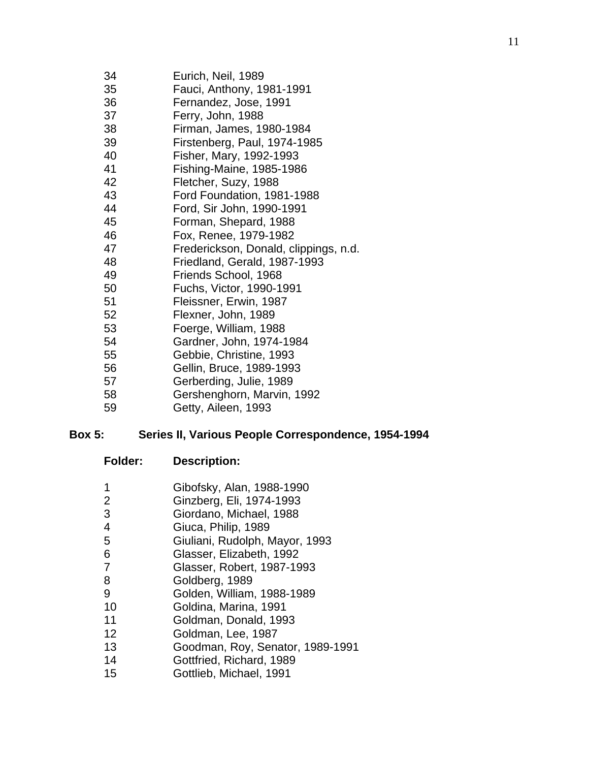- Eurich, Neil, 1989
- Fauci, Anthony, 1981-1991
- Fernandez, Jose, 1991
- Ferry, John, 1988
- Firman, James, 1980-1984
- Firstenberg, Paul, 1974-1985
- Fisher, Mary, 1992-1993
- Fishing-Maine, 1985-1986
- Fletcher, Suzy, 1988
- Ford Foundation, 1981-1988
- Ford, Sir John, 1990-1991
- Forman, Shepard, 1988
- Fox, Renee, 1979-1982
- Frederickson, Donald, clippings, n.d.
- Friedland, Gerald, 1987-1993
- Friends School, 1968
- Fuchs, Victor, 1990-1991
- Fleissner, Erwin, 1987
- Flexner, John, 1989
- Foerge, William, 1988
- Gardner, John, 1974-1984
- Gebbie, Christine, 1993
- Gellin, Bruce, 1989-1993
- Gerberding, Julie, 1989
- Gershenghorn, Marvin, 1992
- Getty, Aileen, 1993

#### **Box 5: Series II, Various People Correspondence, 1954-1994**

- Gibofsky, Alan, 1988-1990
- Ginzberg, Eli, 1974-1993
- Giordano, Michael, 1988
- Giuca, Philip, 1989
- Giuliani, Rudolph, Mayor, 1993
- Glasser, Elizabeth, 1992
- Glasser, Robert, 1987-1993
- Goldberg, 1989
- Golden, William, 1988-1989
- Goldina, Marina, 1991
- Goldman, Donald, 1993
- Goldman, Lee, 1987
- Goodman, Roy, Senator, 1989-1991
- Gottfried, Richard, 1989
- Gottlieb, Michael, 1991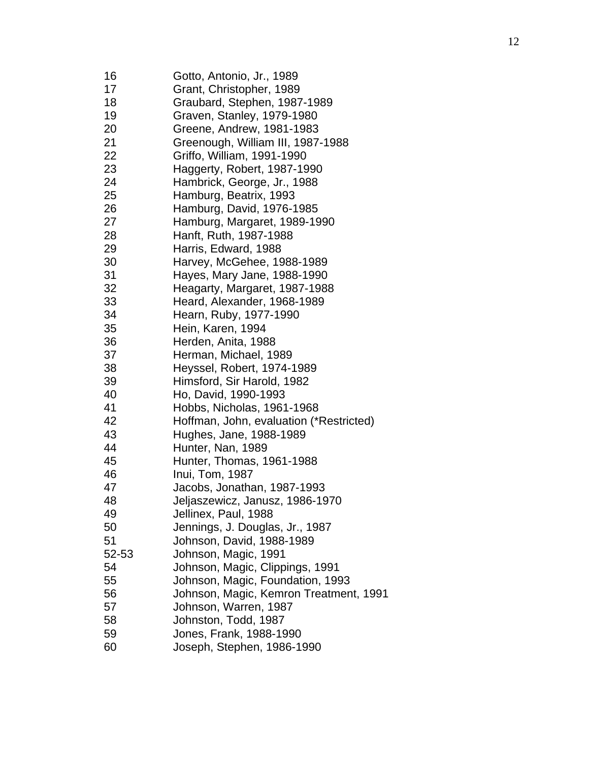| 16<br>17<br>18<br>19<br>20 | Gotto, Antonio, Jr., 1989<br>Grant, Christopher, 1989<br>Graubard, Stephen, 1987-1989<br>Graven, Stanley, 1979-1980<br>Greene, Andrew, 1981-1983 |
|----------------------------|--------------------------------------------------------------------------------------------------------------------------------------------------|
| 21                         | Greenough, William III, 1987-1988                                                                                                                |
| 22                         | Griffo, William, 1991-1990                                                                                                                       |
| 23                         | Haggerty, Robert, 1987-1990                                                                                                                      |
| 24                         | Hambrick, George, Jr., 1988                                                                                                                      |
| 25                         | Hamburg, Beatrix, 1993                                                                                                                           |
| 26                         | Hamburg, David, 1976-1985                                                                                                                        |
| 27                         | Hamburg, Margaret, 1989-1990                                                                                                                     |
| 28                         | Hanft, Ruth, 1987-1988                                                                                                                           |
| 29                         | Harris, Edward, 1988                                                                                                                             |
| 30                         | Harvey, McGehee, 1988-1989                                                                                                                       |
| 31                         | Hayes, Mary Jane, 1988-1990                                                                                                                      |
| 32                         | Heagarty, Margaret, 1987-1988                                                                                                                    |
| 33                         | Heard, Alexander, 1968-1989                                                                                                                      |
| 34                         | Hearn, Ruby, 1977-1990                                                                                                                           |
| 35                         | Hein, Karen, 1994                                                                                                                                |
| 36                         | Herden, Anita, 1988                                                                                                                              |
| 37<br>38                   | Herman, Michael, 1989                                                                                                                            |
| 39                         | Heyssel, Robert, 1974-1989<br>Himsford, Sir Harold, 1982                                                                                         |
| 40                         | Ho, David, 1990-1993                                                                                                                             |
| 41                         | Hobbs, Nicholas, 1961-1968                                                                                                                       |
| 42                         | Hoffman, John, evaluation (*Restricted)                                                                                                          |
| 43                         | Hughes, Jane, 1988-1989                                                                                                                          |
| 44                         | Hunter, Nan, 1989                                                                                                                                |
| 45                         | Hunter, Thomas, 1961-1988                                                                                                                        |
| 46                         | Inui, Tom, 1987                                                                                                                                  |
| 47                         | Jacobs, Jonathan, 1987-1993                                                                                                                      |
| 48                         | Jeljaszewicz, Janusz, 1986-1970                                                                                                                  |
| 49                         | Jellinex, Paul, 1988                                                                                                                             |
| 50                         | Jennings, J. Douglas, Jr., 1987                                                                                                                  |
| 51                         | Johnson, David, 1988-1989                                                                                                                        |
| 52-53                      | Johnson, Magic, 1991                                                                                                                             |
| 54                         | Johnson, Magic, Clippings, 1991                                                                                                                  |
| 55                         | Johnson, Magic, Foundation, 1993                                                                                                                 |
| 56                         | Johnson, Magic, Kemron Treatment, 1991                                                                                                           |
| 57                         | Johnson, Warren, 1987                                                                                                                            |
| 58                         | Johnston, Todd, 1987                                                                                                                             |
| 59                         | Jones, Frank, 1988-1990                                                                                                                          |
| 60                         | Joseph, Stephen, 1986-1990                                                                                                                       |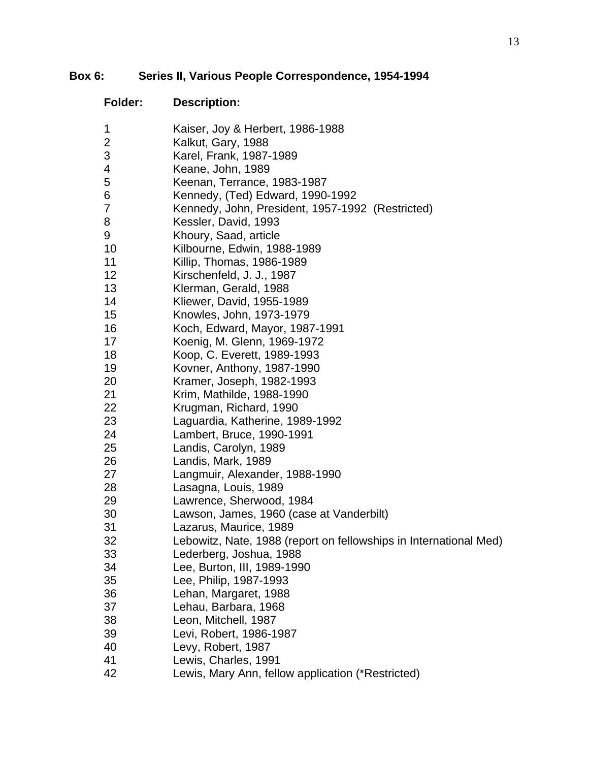# **Box 6: Series II, Various People Correspondence, 1954-1994**

| Folder: | <b>Description:</b>                                               |
|---------|-------------------------------------------------------------------|
| 1       | Kaiser, Joy & Herbert, 1986-1988                                  |
| 2       | Kalkut, Gary, 1988                                                |
| 3       | Karel, Frank, 1987-1989                                           |
| 4       | Keane, John, 1989                                                 |
| 5       | Keenan, Terrance, 1983-1987                                       |
| 6       | Kennedy, (Ted) Edward, 1990-1992                                  |
| 7       | Kennedy, John, President, 1957-1992 (Restricted)                  |
| 8       | Kessler, David, 1993                                              |
| 9       | Khoury, Saad, article                                             |
| 10      | Kilbourne, Edwin, 1988-1989                                       |
| 11      | Killip, Thomas, 1986-1989                                         |
| 12      | Kirschenfeld, J. J., 1987                                         |
| 13      | Klerman, Gerald, 1988                                             |
| 14      | Kliewer, David, 1955-1989                                         |
| 15      | Knowles, John, 1973-1979                                          |
| 16      | Koch, Edward, Mayor, 1987-1991                                    |
| 17      | Koenig, M. Glenn, 1969-1972                                       |
| 18      | Koop, C. Everett, 1989-1993                                       |
| 19      | Kovner, Anthony, 1987-1990                                        |
| 20      | Kramer, Joseph, 1982-1993                                         |
| 21      | Krim, Mathilde, 1988-1990                                         |
| 22      | Krugman, Richard, 1990                                            |
| 23      | Laguardia, Katherine, 1989-1992                                   |
| 24      | Lambert, Bruce, 1990-1991                                         |
| 25      | Landis, Carolyn, 1989                                             |
| 26      | Landis, Mark, 1989                                                |
| 27      | Langmuir, Alexander, 1988-1990                                    |
| 28      | Lasagna, Louis, 1989                                              |
| 29      | Lawrence, Sherwood, 1984                                          |
| 30      | Lawson, James, 1960 (case at Vanderbilt)                          |
| 31      | Lazarus, Maurice, 1989                                            |
| 32      | Lebowitz, Nate, 1988 (report on fellowships in International Med) |
| 33      | Lederberg, Joshua, 1988                                           |
| 34      | Lee, Burton, III, 1989-1990                                       |
| 35      | Lee, Philip, 1987-1993                                            |
| 36      | Lehan, Margaret, 1988                                             |
| 37      | Lehau, Barbara, 1968                                              |
| 38      | Leon, Mitchell, 1987                                              |
| 39      | Levi, Robert, 1986-1987                                           |
| 40      | Levy, Robert, 1987                                                |
| 41      | Lewis, Charles, 1991                                              |
| 42      | Lewis, Mary Ann, fellow application (*Restricted)                 |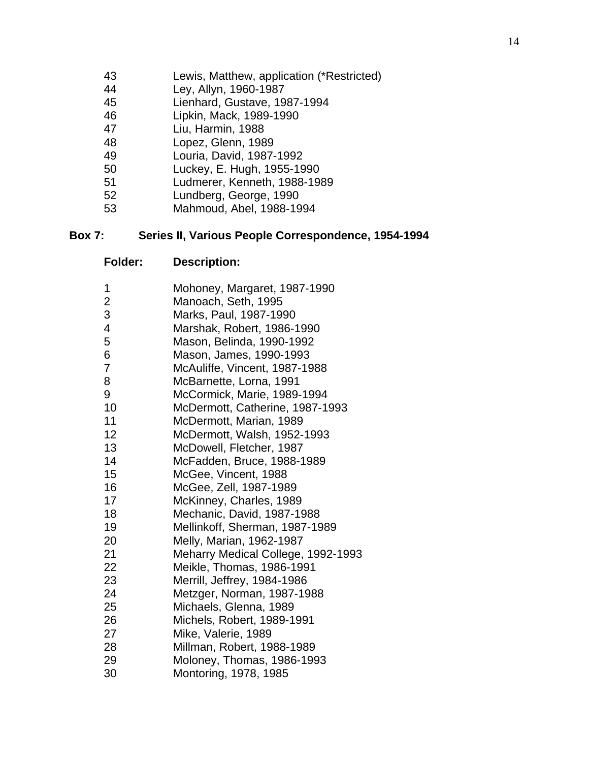- Lewis, Matthew, application (\*Restricted)
- Ley, Allyn, 1960-1987
- Lienhard, Gustave, 1987-1994
- Lipkin, Mack, 1989-1990
- Liu, Harmin, 1988
- Lopez, Glenn, 1989
- Louria, David, 1987-1992
- Luckey, E. Hugh, 1955-1990
- Ludmerer, Kenneth, 1988-1989
- Lundberg, George, 1990
- Mahmoud, Abel, 1988-1994

### **Box 7: Series II, Various People Correspondence, 1954-1994**

| 1              | Mohoney, Margaret, 1987-1990       |
|----------------|------------------------------------|
| $\overline{c}$ | Manoach, Seth, 1995                |
| 3              | Marks, Paul, 1987-1990             |
| 4              | Marshak, Robert, 1986-1990         |
| 5              | Mason, Belinda, 1990-1992          |
| 6              | Mason, James, 1990-1993            |
| 7              | McAuliffe, Vincent, 1987-1988      |
| 8              | McBarnette, Lorna, 1991            |
| 9              | McCormick, Marie, 1989-1994        |
| 10             | McDermott, Catherine, 1987-1993    |
| 11             | McDermott, Marian, 1989            |
| 12             | McDermott, Walsh, 1952-1993        |
| 13             | McDowell, Fletcher, 1987           |
| 14             | McFadden, Bruce, 1988-1989         |
| 15             | McGee, Vincent, 1988               |
| 16             | McGee, Zell, 1987-1989             |
| 17             | McKinney, Charles, 1989            |
| 18             | Mechanic, David, 1987-1988         |
| 19             | Mellinkoff, Sherman, 1987-1989     |
| 20             | Melly, Marian, 1962-1987           |
| 21             | Meharry Medical College, 1992-1993 |
| 22             | Meikle, Thomas, 1986-1991          |
| 23             | Merrill, Jeffrey, 1984-1986        |
| 24             | Metzger, Norman, 1987-1988         |
| 25             | Michaels, Glenna, 1989             |
| 26             | Michels, Robert, 1989-1991         |
| 27             | Mike, Valerie, 1989                |
| 28             | Millman, Robert, 1988-1989         |
| 29             | Moloney, Thomas, 1986-1993         |
| 30             | Montoring, 1978, 1985              |
|                |                                    |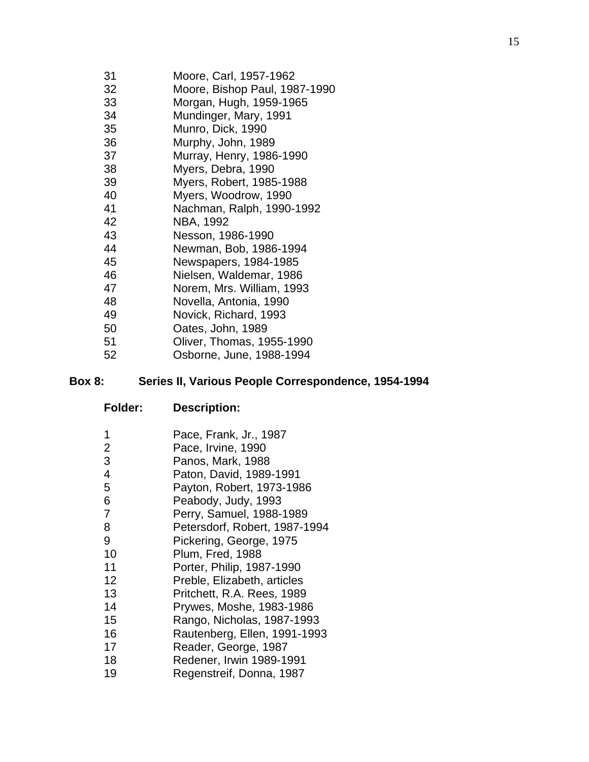| 31 | Moore, Carl, 1957-1962        |
|----|-------------------------------|
| 32 | Moore, Bishop Paul, 1987-1990 |
| 33 | Morgan, Hugh, 1959-1965       |
| 34 | Mundinger, Mary, 1991         |
| 35 | Munro, Dick, 1990             |
| 36 | Murphy, John, 1989            |
| 37 | Murray, Henry, 1986-1990      |
| 38 | Myers, Debra, 1990            |
| 39 | Myers, Robert, 1985-1988      |
| 40 | Myers, Woodrow, 1990          |
| 41 | Nachman, Ralph, 1990-1992     |
| 42 | NBA, 1992                     |
| 43 | Nesson, 1986-1990             |
| 44 | Newman, Bob, 1986-1994        |
| 45 | Newspapers, 1984-1985         |
| 46 | Nielsen, Waldemar, 1986       |
| 47 | Norem, Mrs. William, 1993     |
| 48 | Novella, Antonia, 1990        |
| 49 | Novick, Richard, 1993         |
| 50 | Oates, John, 1989             |
| 51 | Oliver, Thomas, 1955-1990     |

Osborne, June, 1988-1994

# **Box 8: Series II, Various People Correspondence, 1954-1994**

## **Folder: Description:**

| 1  | Pace, Frank, Jr., 1987        |
|----|-------------------------------|
| 2  | Pace, Irvine, 1990            |
| 3  | Panos, Mark, 1988             |
| 4  | Paton, David, 1989-1991       |
| 5  | Payton, Robert, 1973-1986     |
| 6  | Peabody, Judy, 1993           |
| 7  | Perry, Samuel, 1988-1989      |
| 8  | Petersdorf, Robert, 1987-1994 |
| 9  | Pickering, George, 1975       |
| 10 | Plum, Fred, 1988              |
| 11 | Porter, Philip, 1987-1990     |
| 12 | Preble, Elizabeth, articles   |
| 13 | Pritchett, R.A. Rees, 1989    |
| 14 | Prywes, Moshe, 1983-1986      |
| 15 | Rango, Nicholas, 1987-1993    |
| 16 | Rautenberg, Ellen, 1991-1993  |
| 17 | Reader, George, 1987          |
| 18 | Redener, Irwin 1989-1991      |
|    |                               |

Regenstreif, Donna, 1987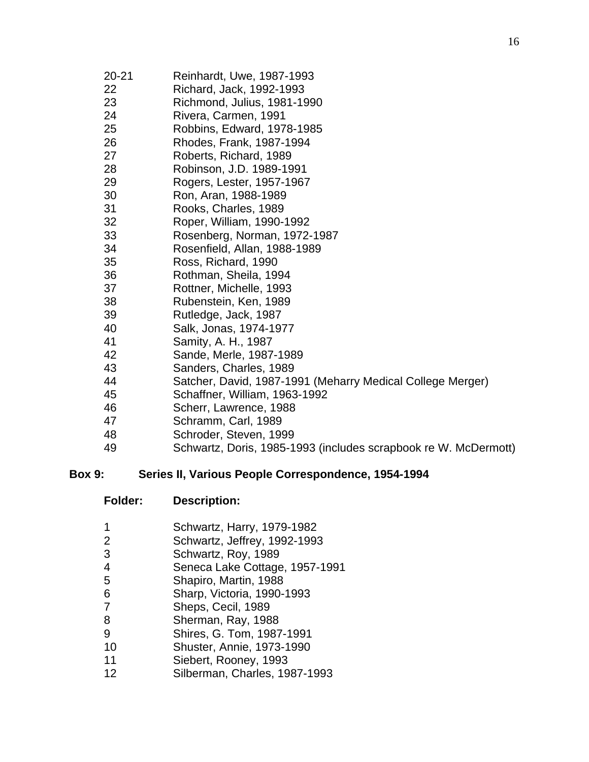- 20-21 Reinhardt, Uwe, 1987-1993
- Richard, Jack, 1992-1993
- Richmond, Julius, 1981-1990
- Rivera, Carmen, 1991
- Robbins, Edward, 1978-1985
- Rhodes, Frank, 1987-1994
- Roberts, Richard, 1989
- Robinson, J.D. 1989-1991
- Rogers, Lester, 1957-1967
- Ron, Aran, 1988-1989
- Rooks, Charles, 1989
- Roper, William, 1990-1992
- Rosenberg, Norman, 1972-1987
- Rosenfield, Allan, 1988-1989
- Ross, Richard, 1990
- Rothman, Sheila, 1994
- Rottner, Michelle, 1993
- Rubenstein, Ken, 1989
- Rutledge, Jack, 1987
- Salk, Jonas, 1974-1977
- Samity, A. H., 1987
- Sande, Merle, 1987-1989
- Sanders, Charles, 1989
- Satcher, David, 1987-1991 (Meharry Medical College Merger)
- Schaffner, William, 1963-1992
- Scherr, Lawrence, 1988
- Schramm, Carl, 1989
- Schroder, Steven, 1999
- Schwartz, Doris, 1985-1993 (includes scrapbook re W. McDermott)

#### **Box 9: Series II, Various People Correspondence, 1954-1994**

- **Folder: Description:**
- Schwartz, Harry, 1979-1982
- Schwartz, Jeffrey, 1992-1993
- Schwartz, Roy, 1989
- Seneca Lake Cottage, 1957-1991
- Shapiro, Martin, 1988
- Sharp, Victoria, 1990-1993
- Sheps, Cecil, 1989
- Sherman, Ray, 1988
- Shires, G. Tom, 1987-1991
- Shuster, Annie, 1973-1990
- Siebert, Rooney, 1993
- Silberman, Charles, 1987-1993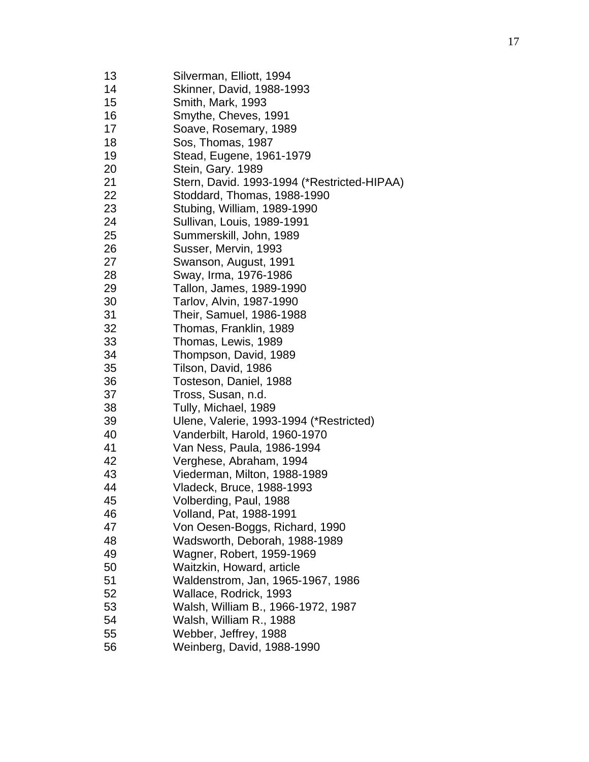| 13 | Silverman, Elliott, 1994                    |
|----|---------------------------------------------|
| 14 | <b>Skinner, David, 1988-1993</b>            |
| 15 | Smith, Mark, 1993                           |
| 16 | Smythe, Cheves, 1991                        |
| 17 | Soave, Rosemary, 1989                       |
| 18 | Sos, Thomas, 1987                           |
| 19 | Stead, Eugene, 1961-1979                    |
| 20 | Stein, Gary. 1989                           |
| 21 | Stern, David. 1993-1994 (*Restricted-HIPAA) |
| 22 | Stoddard, Thomas, 1988-1990                 |
| 23 | Stubing, William, 1989-1990                 |
| 24 | Sullivan, Louis, 1989-1991                  |
| 25 | Summerskill, John, 1989                     |
| 26 | Susser, Mervin, 1993                        |
| 27 | Swanson, August, 1991                       |
| 28 | Sway, Irma, 1976-1986                       |
| 29 | Tallon, James, 1989-1990                    |
| 30 | Tarlov, Alvin, 1987-1990                    |
| 31 | Their, Samuel, 1986-1988                    |
| 32 | Thomas, Franklin, 1989                      |
| 33 | Thomas, Lewis, 1989                         |
| 34 | Thompson, David, 1989                       |
| 35 | Tilson, David, 1986                         |
| 36 | Tosteson, Daniel, 1988                      |
| 37 | Tross, Susan, n.d.                          |
| 38 | Tully, Michael, 1989                        |
| 39 | Ulene, Valerie, 1993-1994 (*Restricted)     |
| 40 | Vanderbilt, Harold, 1960-1970               |
| 41 | Van Ness, Paula, 1986-1994                  |
| 42 | Verghese, Abraham, 1994                     |
| 43 | Viederman, Milton, 1988-1989                |
| 44 | Vladeck, Bruce, 1988-1993                   |
| 45 | Volberding, Paul, 1988                      |
| 46 | Volland, Pat, 1988-1991                     |
| 47 | Von Oesen-Boggs, Richard, 1990              |
| 48 | Wadsworth, Deborah, 1988-1989               |
| 49 | Wagner, Robert, 1959-1969                   |
| 50 | Waitzkin, Howard, article                   |
| 51 | Waldenstrom, Jan, 1965-1967, 1986           |
| 52 | Wallace, Rodrick, 1993                      |
| 53 | Walsh, William B., 1966-1972, 1987          |
| 54 | Walsh, William R., 1988                     |
| 55 | Webber, Jeffrey, 1988                       |
| 56 | Weinberg, David, 1988-1990                  |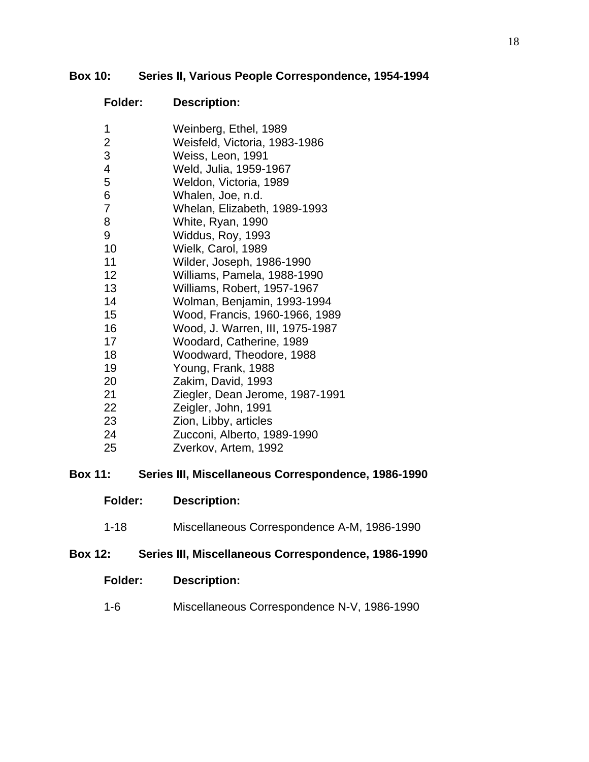## **Box 10: Series II, Various People Correspondence, 1954-1994**

| <b>Folder:</b>          | <b>Description:</b>             |
|-------------------------|---------------------------------|
| 1                       | Weinberg, Ethel, 1989           |
| $\overline{2}$          | Weisfeld, Victoria, 1983-1986   |
| 3                       | Weiss, Leon, 1991               |
| $\overline{\mathbf{4}}$ | Weld, Julia, 1959-1967          |
| 5                       | Weldon, Victoria, 1989          |
| 6                       | Whalen, Joe, n.d.               |
| $\overline{7}$          | Whelan, Elizabeth, 1989-1993    |
| 8                       | White, Ryan, 1990               |
| 9                       | Widdus, Roy, 1993               |
| 10                      | Wielk, Carol, 1989              |
| 11                      | Wilder, Joseph, 1986-1990       |
| 12                      | Williams, Pamela, 1988-1990     |
| 13                      | Williams, Robert, 1957-1967     |
| 14                      | Wolman, Benjamin, 1993-1994     |
| 15                      | Wood, Francis, 1960-1966, 1989  |
| 16                      | Wood, J. Warren, III, 1975-1987 |
| 17                      | Woodard, Catherine, 1989        |
| 18                      | Woodward, Theodore, 1988        |
| 19                      | Young, Frank, 1988              |
| 20                      | Zakim, David, 1993              |
| 21                      | Ziegler, Dean Jerome, 1987-1991 |
| 22                      | Zeigler, John, 1991             |
| 23                      | Zion, Libby, articles           |
| 24                      | Zucconi, Alberto, 1989-1990     |

Zverkov, Artem, 1992

## **Box 11: Series III, Miscellaneous Correspondence, 1986-1990**

1-18 Miscellaneous Correspondence A-M, 1986-1990

#### **Box 12: Series III, Miscellaneous Correspondence, 1986-1990**

#### **Folder: Description:**

1-6 Miscellaneous Correspondence N-V, 1986-1990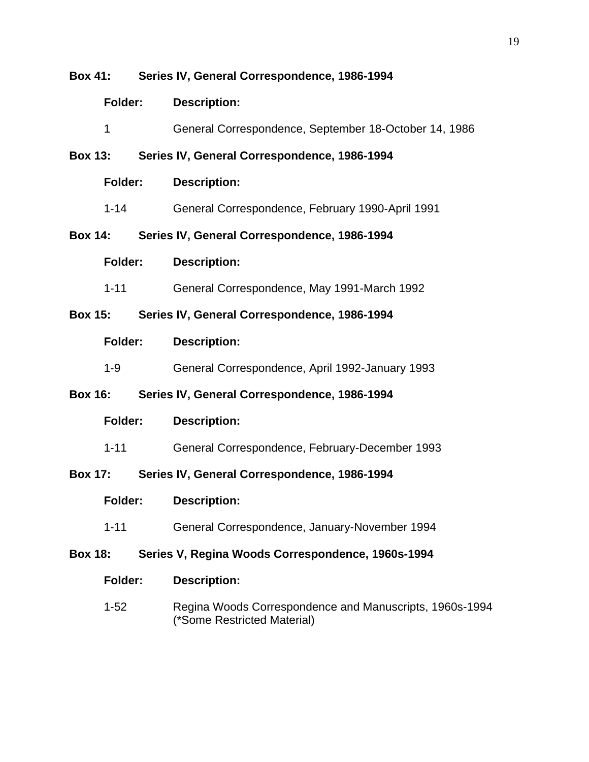#### **Box 41: Series IV, General Correspondence, 1986-1994**

**Folder: Description:**

- 1 General Correspondence, September 18-October 14, 1986
- **Box 13: Series IV, General Correspondence, 1986-1994**
	- **Folder: Description:**
	- 1-14 General Correspondence, February 1990-April 1991

**Box 14: Series IV, General Correspondence, 1986-1994**

## **Folder: Description:**

1-11 General Correspondence, May 1991-March 1992

**Box 15: Series IV, General Correspondence, 1986-1994**

## **Folder: Description:**

- 1-9 General Correspondence, April 1992-January 1993
- **Box 16: Series IV, General Correspondence, 1986-1994**

## **Folder: Description:**

- 1-11 General Correspondence, February-December 1993
- **Box 17: Series IV, General Correspondence, 1986-1994**

## **Folder: Description:**

1-11 General Correspondence, January-November 1994

### **Box 18: Series V, Regina Woods Correspondence, 1960s-1994**

- **Folder: Description:**
- 1-52 Regina Woods Correspondence and Manuscripts, 1960s-1994 (\*Some Restricted Material)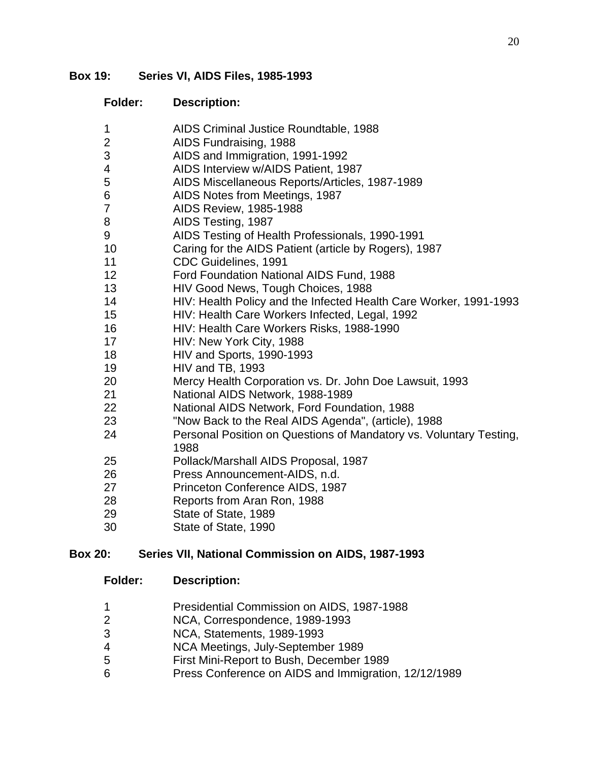#### **Box 19: Series VI, AIDS Files, 1985-1993**

 AIDS Criminal Justice Roundtable, 1988 AIDS Fundraising, 1988 AIDS and Immigration, 1991-1992 AIDS Interview w/AIDS Patient, 1987 AIDS Miscellaneous Reports/Articles, 1987-1989 AIDS Notes from Meetings, 1987 AIDS Review, 1985-1988 AIDS Testing, 1987 AIDS Testing of Health Professionals, 1990-1991 Caring for the AIDS Patient (article by Rogers), 1987 CDC Guidelines, 1991 Ford Foundation National AIDS Fund, 1988 HIV Good News, Tough Choices, 1988 HIV: Health Policy and the Infected Health Care Worker, 1991-1993 HIV: Health Care Workers Infected, Legal, 1992 HIV: Health Care Workers Risks, 1988-1990 HIV: New York City, 1988 HIV and Sports, 1990-1993 HIV and TB, 1993 Mercy Health Corporation vs. Dr. John Doe Lawsuit, 1993 National AIDS Network, 1988-1989 National AIDS Network, Ford Foundation, 1988 "Now Back to the Real AIDS Agenda", (article), 1988 Personal Position on Questions of Mandatory vs. Voluntary Testing, Pollack/Marshall AIDS Proposal, 1987 Press Announcement-AIDS, n.d. Princeton Conference AIDS, 1987 Reports from Aran Ron, 1988 State of State, 1989 State of State, 1990

#### **Box 20: Series VII, National Commission on AIDS, 1987-1993**

- Presidential Commission on AIDS, 1987-1988
- NCA, Correspondence, 1989-1993
- NCA, Statements, 1989-1993
- NCA Meetings, July-September 1989
- First Mini-Report to Bush, December 1989
- Press Conference on AIDS and Immigration, 12/12/1989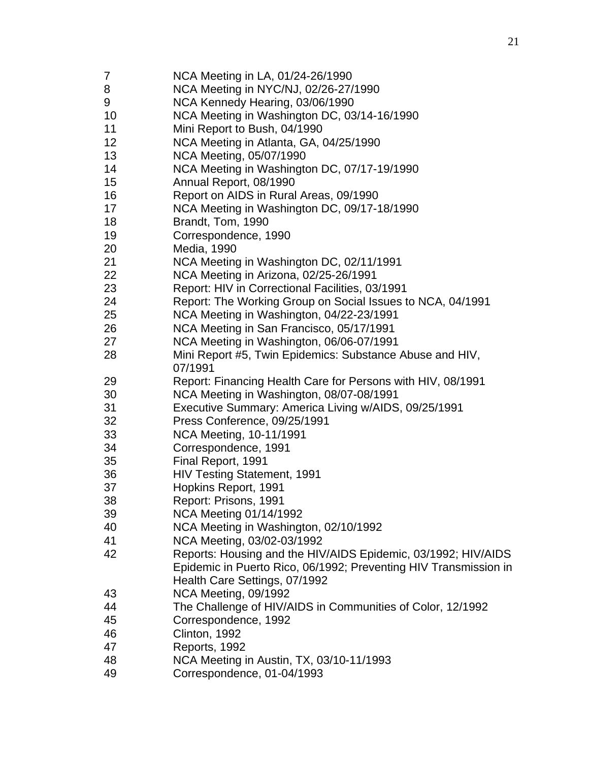- NCA Meeting in LA, 01/24-26/1990
- NCA Meeting in NYC/NJ, 02/26-27/1990
- NCA Kennedy Hearing, 03/06/1990
- NCA Meeting in Washington DC, 03/14-16/1990
- Mini Report to Bush, 04/1990
- NCA Meeting in Atlanta, GA, 04/25/1990
- NCA Meeting, 05/07/1990
- NCA Meeting in Washington DC, 07/17-19/1990
- Annual Report, 08/1990
- Report on AIDS in Rural Areas, 09/1990
- NCA Meeting in Washington DC, 09/17-18/1990
- Brandt, Tom, 1990
- Correspondence, 1990
- Media, 1990
- NCA Meeting in Washington DC, 02/11/1991
- NCA Meeting in Arizona, 02/25-26/1991
- Report: HIV in Correctional Facilities, 03/1991
- Report: The Working Group on Social Issues to NCA, 04/1991
- NCA Meeting in Washington, 04/22-23/1991
- NCA Meeting in San Francisco, 05/17/1991
- NCA Meeting in Washington, 06/06-07/1991
- Mini Report #5, Twin Epidemics: Substance Abuse and HIV, 07/1991
- Report: Financing Health Care for Persons with HIV, 08/1991
- NCA Meeting in Washington, 08/07-08/1991
- Executive Summary: America Living w/AIDS, 09/25/1991
- Press Conference, 09/25/1991
- NCA Meeting, 10-11/1991
- Correspondence, 1991
- Final Report, 1991
- HIV Testing Statement, 1991
- Hopkins Report, 1991
- Report: Prisons, 1991
- NCA Meeting 01/14/1992
- NCA Meeting in Washington, 02/10/1992
- NCA Meeting, 03/02-03/1992
- Reports: Housing and the HIV/AIDS Epidemic, 03/1992; HIV/AIDS Epidemic in Puerto Rico, 06/1992; Preventing HIV Transmission in Health Care Settings, 07/1992
- NCA Meeting, 09/1992
- The Challenge of HIV/AIDS in Communities of Color, 12/1992
- Correspondence, 1992
- Clinton, 1992
- Reports, 1992
- NCA Meeting in Austin, TX, 03/10-11/1993
- Correspondence, 01-04/1993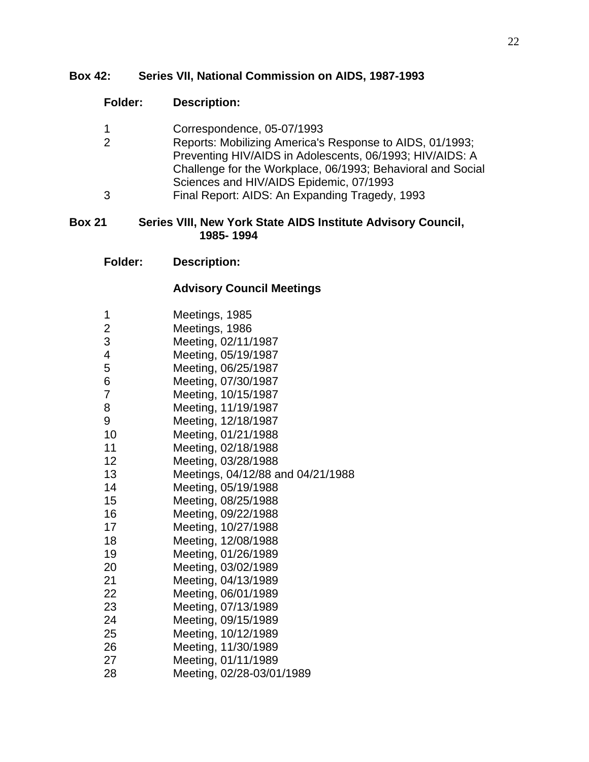## **Box 42: Series VII, National Commission on AIDS, 1987-1993**

## **Folder: Description:**

| 1 | Correspondence, 05-07/1993                                  |
|---|-------------------------------------------------------------|
| 2 | Reports: Mobilizing America's Response to AIDS, 01/1993;    |
|   | Preventing HIV/AIDS in Adolescents, 06/1993; HIV/AIDS: A    |
|   | Challenge for the Workplace, 06/1993; Behavioral and Social |
|   | Sciences and HIV/AIDS Epidemic, 07/1993                     |
| 3 | Final Report: AIDS: An Expanding Tragedy, 1993              |

## **Box 21 Series VIII, New York State AIDS Institute Advisory Council, 1985- 1994**

# **Advisory Council Meetings**

| 1              | Meetings, 1985                    |
|----------------|-----------------------------------|
| 2              | Meetings, 1986                    |
| 3              | Meeting, 02/11/1987               |
| $\overline{4}$ | Meeting, 05/19/1987               |
| 5              | Meeting, 06/25/1987               |
| 6              | Meeting, 07/30/1987               |
| $\overline{7}$ | Meeting, 10/15/1987               |
| 8              | Meeting, 11/19/1987               |
| 9              | Meeting, 12/18/1987               |
| 10             | Meeting, 01/21/1988               |
| 11             | Meeting, 02/18/1988               |
| 12             | Meeting, 03/28/1988               |
| 13             | Meetings, 04/12/88 and 04/21/1988 |
| 14             | Meeting, 05/19/1988               |
| 15             | Meeting, 08/25/1988               |
| 16             | Meeting, 09/22/1988               |
| 17             | Meeting, 10/27/1988               |
| 18             | Meeting, 12/08/1988               |
| 19             | Meeting, 01/26/1989               |
| 20             | Meeting, 03/02/1989               |
| 21             | Meeting, 04/13/1989               |
| 22             | Meeting, 06/01/1989               |
| 23             | Meeting, 07/13/1989               |
| 24             | Meeting, 09/15/1989               |
| 25             | Meeting, 10/12/1989               |
| 26             | Meeting, 11/30/1989               |
| 27             | Meeting, 01/11/1989               |
| 28             | Meeting, 02/28-03/01/1989         |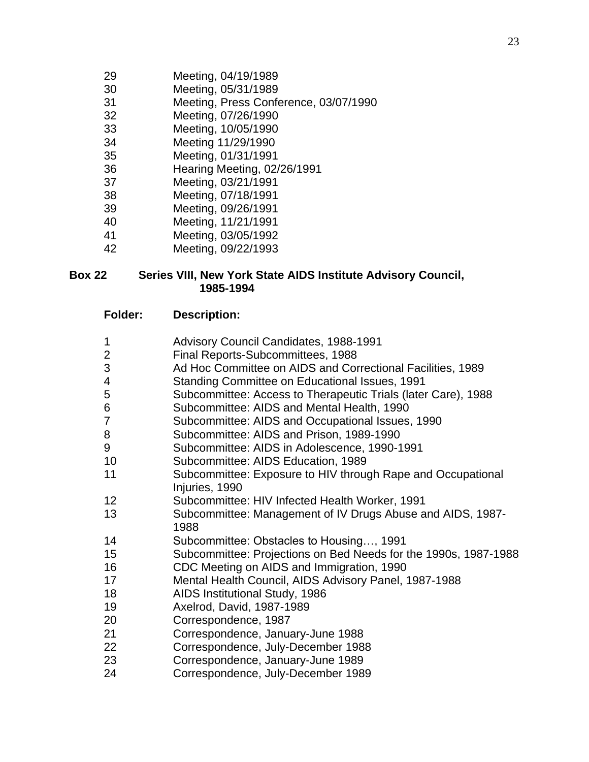- Meeting, 04/19/1989
- Meeting, 05/31/1989
- Meeting, Press Conference, 03/07/1990
- Meeting, 07/26/1990
- Meeting, 10/05/1990
- Meeting 11/29/1990
- Meeting, 01/31/1991
- Hearing Meeting, 02/26/1991
- Meeting, 03/21/1991
- Meeting, 07/18/1991
- Meeting, 09/26/1991
- Meeting, 11/21/1991
- Meeting, 03/05/1992
- Meeting, 09/22/1993

#### **Box 22 Series VIII, New York State AIDS Institute Advisory Council, 1985-1994**

- Advisory Council Candidates, 1988-1991
- Final Reports-Subcommittees, 1988
- Ad Hoc Committee on AIDS and Correctional Facilities, 1989
- Standing Committee on Educational Issues, 1991
- Subcommittee: Access to Therapeutic Trials (later Care), 1988
- Subcommittee: AIDS and Mental Health, 1990
- Subcommittee: AIDS and Occupational Issues, 1990
- Subcommittee: AIDS and Prison, 1989-1990
- Subcommittee: AIDS in Adolescence, 1990-1991
- Subcommittee: AIDS Education, 1989
- Subcommittee: Exposure to HIV through Rape and Occupational Injuries, 1990
- Subcommittee: HIV Infected Health Worker, 1991
- Subcommittee: Management of IV Drugs Abuse and AIDS, 1987-
- Subcommittee: Obstacles to Housing…, 1991
- Subcommittee: Projections on Bed Needs for the 1990s, 1987-1988
- CDC Meeting on AIDS and Immigration, 1990
- Mental Health Council, AIDS Advisory Panel, 1987-1988
- AIDS Institutional Study, 1986
- Axelrod, David, 1987-1989
- Correspondence, 1987
- Correspondence, January-June 1988
- Correspondence, July-December 1988
- Correspondence, January-June 1989
- Correspondence, July-December 1989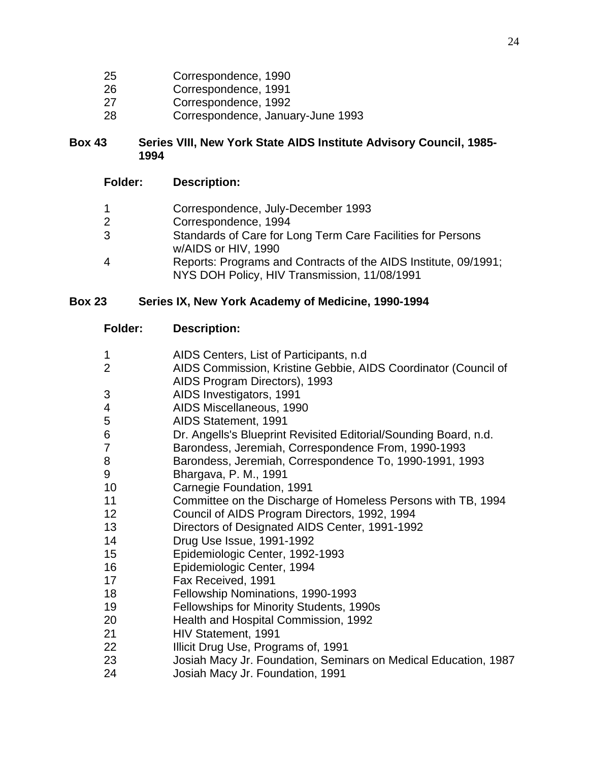- Correspondence, 1990
- Correspondence, 1991
- Correspondence, 1992
- Correspondence, January-June 1993

#### **Box 43 Series VIII, New York State AIDS Institute Advisory Council, 1985-**

## **Folder: Description:**

|                | Correspondence, July-December 1993 |
|----------------|------------------------------------|
| $\overline{2}$ | Correspondence, 1994               |

- Standards of Care for Long Term Care Facilities for Persons w/AIDS or HIV, 1990
- Reports: Programs and Contracts of the AIDS Institute, 09/1991; NYS DOH Policy, HIV Transmission, 11/08/1991

## **Box 23 Series IX, New York Academy of Medicine, 1990-1994**

- AIDS Centers, List of Participants, n.d
- AIDS Commission, Kristine Gebbie, AIDS Coordinator (Council of AIDS Program Directors), 1993
- AIDS Investigators, 1991
- AIDS Miscellaneous, 1990
- AIDS Statement, 1991
- Dr. Angells's Blueprint Revisited Editorial/Sounding Board, n.d.
- Barondess, Jeremiah, Correspondence From, 1990-1993
- Barondess, Jeremiah, Correspondence To, 1990-1991, 1993
- Bhargava, P. M., 1991
- Carnegie Foundation, 1991
- Committee on the Discharge of Homeless Persons with TB, 1994
- Council of AIDS Program Directors, 1992, 1994
- Directors of Designated AIDS Center, 1991-1992
- Drug Use Issue, 1991-1992
- Epidemiologic Center, 1992-1993
- Epidemiologic Center, 1994
- Fax Received, 1991
- Fellowship Nominations, 1990-1993
- Fellowships for Minority Students, 1990s
- Health and Hospital Commission, 1992
- HIV Statement, 1991
- Illicit Drug Use, Programs of, 1991
- Josiah Macy Jr. Foundation, Seminars on Medical Education, 1987
- Josiah Macy Jr. Foundation, 1991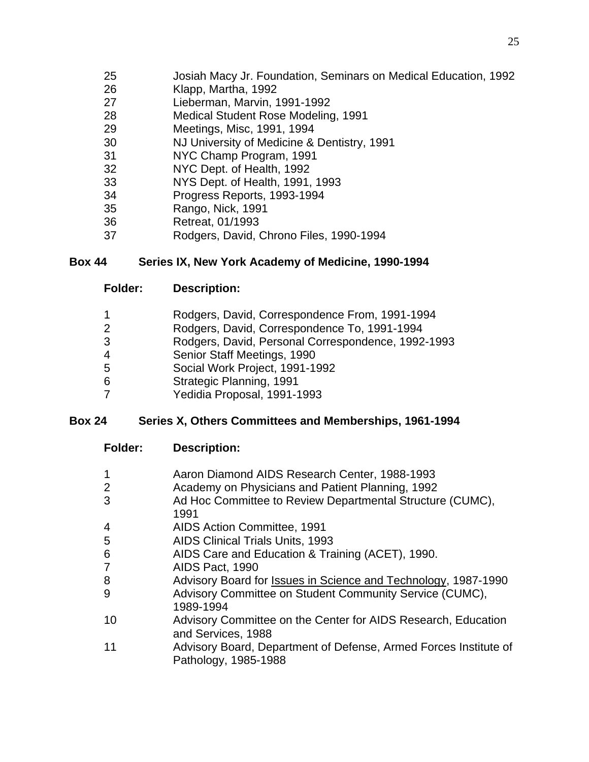- Josiah Macy Jr. Foundation, Seminars on Medical Education, 1992
- Klapp, Martha, 1992
- Lieberman, Marvin, 1991-1992
- Medical Student Rose Modeling, 1991
- Meetings, Misc, 1991, 1994
- NJ University of Medicine & Dentistry, 1991
- NYC Champ Program, 1991
- NYC Dept. of Health, 1992
- NYS Dept. of Health, 1991, 1993
- Progress Reports, 1993-1994
- Rango, Nick, 1991
- Retreat, 01/1993
- Rodgers, David, Chrono Files, 1990-1994

#### **Box 44 Series IX, New York Academy of Medicine, 1990-1994**

#### **Folder: Description:**

- Rodgers, David, Correspondence From, 1991-1994
- Rodgers, David, Correspondence To, 1991-1994
- Rodgers, David, Personal Correspondence, 1992-1993
- Senior Staff Meetings, 1990
- Social Work Project, 1991-1992
- Strategic Planning, 1991
- Yedidia Proposal, 1991-1993

### **Box 24 Series X, Others Committees and Memberships, 1961-1994**

- Aaron Diamond AIDS Research Center, 1988-1993
- Academy on Physicians and Patient Planning, 1992
- Ad Hoc Committee to Review Departmental Structure (CUMC),
- 
- AIDS Action Committee, 1991
- AIDS Clinical Trials Units, 1993
- AIDS Care and Education & Training (ACET), 1990.
- AIDS Pact, 1990
- Advisory Board for Issues in Science and Technology, 1987-1990
- 9 Advisory Committee on Student Community Service (CUMC), 1989-1994
- Advisory Committee on the Center for AIDS Research, Education and Services, 1988
- Advisory Board, Department of Defense, Armed Forces Institute of Pathology, 1985-1988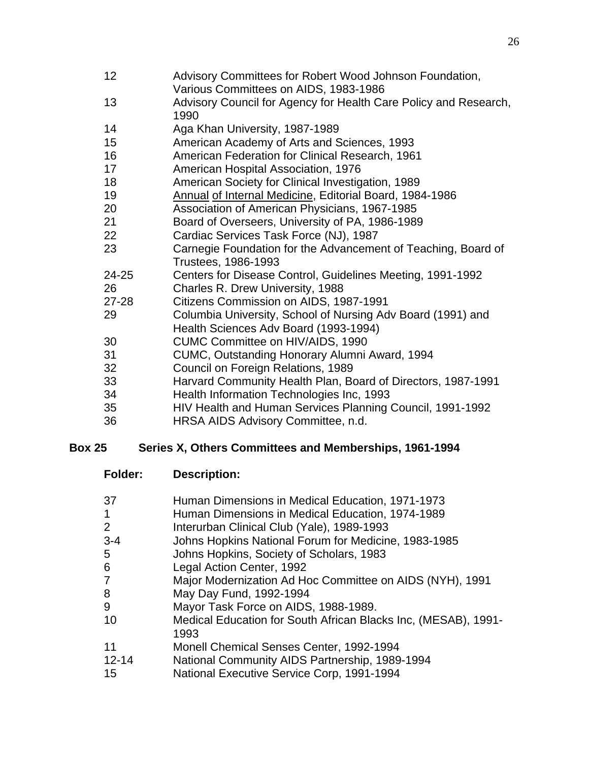- Advisory Committees for Robert Wood Johnson Foundation, Various Committees on AIDS, 1983-1986
- Advisory Council for Agency for Health Care Policy and Research,
	-
- Aga Khan University, 1987-1989
- American Academy of Arts and Sciences, 1993
- American Federation for Clinical Research, 1961
- American Hospital Association, 1976
- American Society for Clinical Investigation, 1989
- Annual of Internal Medicine, Editorial Board, 1984-1986
- Association of American Physicians, 1967-1985
- Board of Overseers, University of PA, 1986-1989
- Cardiac Services Task Force (NJ), 1987
- Carnegie Foundation for the Advancement of Teaching, Board of Trustees, 1986-1993
- 24-25 Centers for Disease Control, Guidelines Meeting, 1991-1992
- Charles R. Drew University, 1988
- 27-28 Citizens Commission on AIDS, 1987-1991
- Columbia University, School of Nursing Adv Board (1991) and Health Sciences Adv Board (1993-1994)
- CUMC Committee on HIV/AIDS, 1990
- CUMC, Outstanding Honorary Alumni Award, 1994
- Council on Foreign Relations, 1989
- Harvard Community Health Plan, Board of Directors, 1987-1991
- Health Information Technologies Inc, 1993
- HIV Health and Human Services Planning Council, 1991-1992
- HRSA AIDS Advisory Committee, n.d.

### **Box 25 Series X, Others Committees and Memberships, 1961-1994**

- **Folder: Description:**
- Human Dimensions in Medical Education, 1971-1973 Human Dimensions in Medical Education, 1974-1989 Interurban Clinical Club (Yale), 1989-1993 3-4 Johns Hopkins National Forum for Medicine, 1983-1985 Johns Hopkins, Society of Scholars, 1983 Legal Action Center, 1992 Major Modernization Ad Hoc Committee on AIDS (NYH), 1991 May Day Fund, 1992-1994 Mayor Task Force on AIDS, 1988-1989. Medical Education for South African Blacks Inc, (MESAB), 1991- Monell Chemical Senses Center, 1992-1994 12-14 National Community AIDS Partnership, 1989-1994 National Executive Service Corp, 1991-1994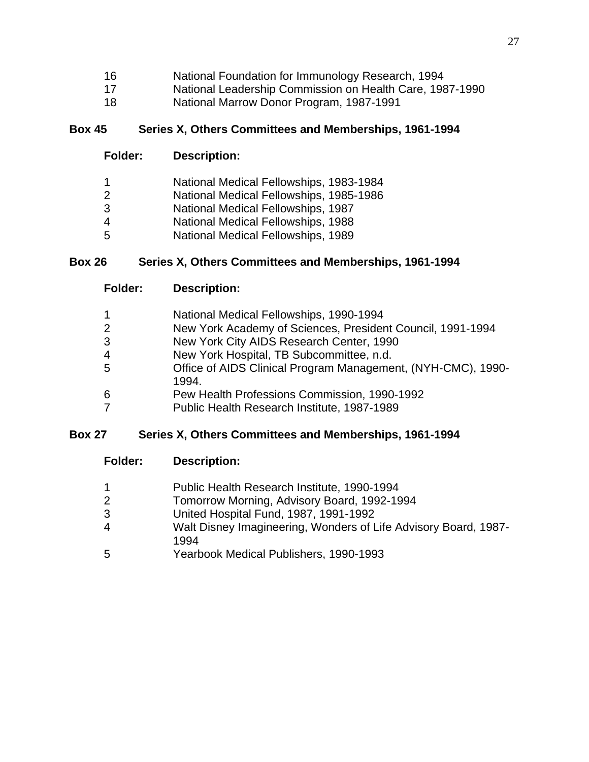- National Foundation for Immunology Research, 1994
- National Leadership Commission on Health Care, 1987-1990
- National Marrow Donor Program, 1987-1991

#### **Box 45 Series X, Others Committees and Memberships, 1961-1994**

#### **Folder: Description:**

- National Medical Fellowships, 1983-1984
- National Medical Fellowships, 1985-1986
- National Medical Fellowships, 1987
- National Medical Fellowships, 1988
- National Medical Fellowships, 1989

#### **Box 26 Series X, Others Committees and Memberships, 1961-1994**

#### **Folder: Description:**

| 1              | National Medical Fellowships, 1990-1994                               |
|----------------|-----------------------------------------------------------------------|
| $\overline{2}$ | New York Academy of Sciences, President Council, 1991-1994            |
| 3              | New York City AIDS Research Center, 1990                              |
| 4              | New York Hospital, TB Subcommittee, n.d.                              |
| 5.             | Office of AIDS Clinical Program Management, (NYH-CMC), 1990-<br>1994. |
| 6              | Pew Health Professions Commission, 1990-1992                          |
| 7              | Public Health Research Institute, 1987-1989                           |

### **Box 27 Series X, Others Committees and Memberships, 1961-1994**

- Public Health Research Institute, 1990-1994
- Tomorrow Morning, Advisory Board, 1992-1994
- United Hospital Fund, 1987, 1991-1992
- Walt Disney Imagineering, Wonders of Life Advisory Board, 1987-
- Yearbook Medical Publishers, 1990-1993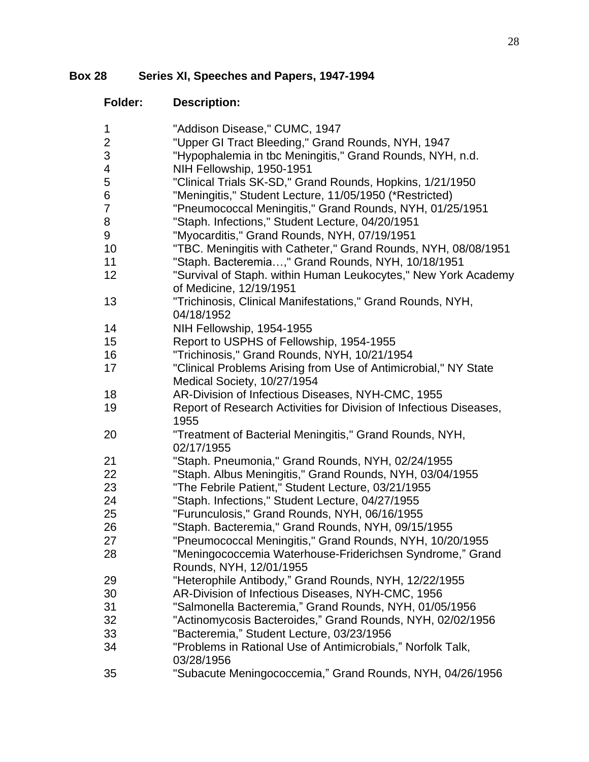# **Box 28 Series XI, Speeches and Papers, 1947-1994**

| 1  | "Addison Disease," CUMC, 1947                                                             |
|----|-------------------------------------------------------------------------------------------|
| 2  | "Upper GI Tract Bleeding," Grand Rounds, NYH, 1947                                        |
| 3  | "Hypophalemia in tbc Meningitis," Grand Rounds, NYH, n.d.                                 |
| 4  | NIH Fellowship, 1950-1951                                                                 |
| 5  | "Clinical Trials SK-SD," Grand Rounds, Hopkins, 1/21/1950                                 |
| 6  | "Meningitis," Student Lecture, 11/05/1950 (*Restricted)                                   |
| 7  | "Pneumococcal Meningitis," Grand Rounds, NYH, 01/25/1951                                  |
| 8  | "Staph. Infections," Student Lecture, 04/20/1951                                          |
| 9  | "Myocarditis," Grand Rounds, NYH, 07/19/1951                                              |
| 10 | "TBC. Meningitis with Catheter," Grand Rounds, NYH, 08/08/1951                            |
| 11 | "Staph. Bacteremia," Grand Rounds, NYH, 10/18/1951                                        |
| 12 | "Survival of Staph. within Human Leukocytes," New York Academy<br>of Medicine, 12/19/1951 |
| 13 | "Trichinosis, Clinical Manifestations," Grand Rounds, NYH,                                |
|    | 04/18/1952                                                                                |
| 14 | NIH Fellowship, 1954-1955                                                                 |
| 15 | Report to USPHS of Fellowship, 1954-1955                                                  |
| 16 | "Trichinosis," Grand Rounds, NYH, 10/21/1954                                              |
| 17 | "Clinical Problems Arising from Use of Antimicrobial," NY State                           |
|    | Medical Society, 10/27/1954                                                               |
| 18 | AR-Division of Infectious Diseases, NYH-CMC, 1955                                         |
| 19 | Report of Research Activities for Division of Infectious Diseases,<br>1955                |
| 20 | "Treatment of Bacterial Meningitis," Grand Rounds, NYH,                                   |
|    | 02/17/1955                                                                                |
| 21 | "Staph. Pneumonia," Grand Rounds, NYH, 02/24/1955                                         |
| 22 | "Staph. Albus Meningitis," Grand Rounds, NYH, 03/04/1955                                  |
| 23 | "The Febrile Patient," Student Lecture, 03/21/1955                                        |
| 24 | "Staph. Infections," Student Lecture, 04/27/1955                                          |
| 25 | "Furunculosis," Grand Rounds, NYH, 06/16/1955                                             |
| 26 | "Staph. Bacteremia," Grand Rounds, NYH, 09/15/1955                                        |
| 27 | "Pneumococcal Meningitis," Grand Rounds, NYH, 10/20/1955                                  |
| 28 | "Meningococcemia Waterhouse-Friderichsen Syndrome," Grand<br>Rounds, NYH, 12/01/1955      |
| 29 | "Heterophile Antibody," Grand Rounds, NYH, 12/22/1955                                     |
| 30 | AR-Division of Infectious Diseases, NYH-CMC, 1956                                         |
| 31 | "Salmonella Bacteremia," Grand Rounds, NYH, 01/05/1956                                    |
| 32 | "Actinomycosis Bacteroides," Grand Rounds, NYH, 02/02/1956                                |
| 33 | "Bacteremia," Student Lecture, 03/23/1956                                                 |
| 34 | "Problems in Rational Use of Antimicrobials," Norfolk Talk,                               |
|    | 03/28/1956                                                                                |
| 35 | "Subacute Meningococcemia," Grand Rounds, NYH, 04/26/1956                                 |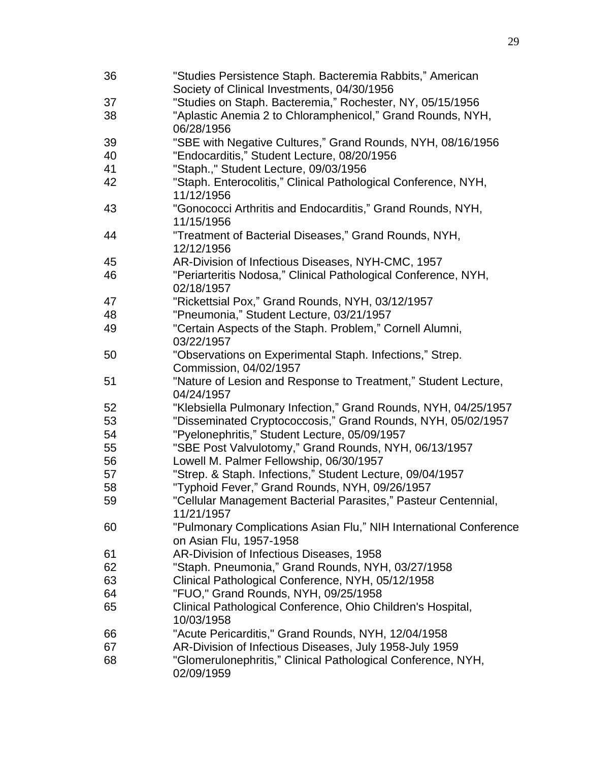| 36 | "Studies Persistence Staph. Bacteremia Rabbits," American                                    |
|----|----------------------------------------------------------------------------------------------|
|    | Society of Clinical Investments, 04/30/1956                                                  |
| 37 | "Studies on Staph. Bacteremia," Rochester, NY, 05/15/1956                                    |
| 38 | "Aplastic Anemia 2 to Chloramphenicol," Grand Rounds, NYH,<br>06/28/1956                     |
| 39 | "SBE with Negative Cultures," Grand Rounds, NYH, 08/16/1956                                  |
| 40 | "Endocarditis," Student Lecture, 08/20/1956                                                  |
| 41 | "Staph.," Student Lecture, 09/03/1956                                                        |
| 42 | "Staph. Enterocolitis," Clinical Pathological Conference, NYH,<br>11/12/1956                 |
| 43 | "Gonococci Arthritis and Endocarditis," Grand Rounds, NYH,<br>11/15/1956                     |
| 44 | "Treatment of Bacterial Diseases," Grand Rounds, NYH,<br>12/12/1956                          |
| 45 | AR-Division of Infectious Diseases, NYH-CMC, 1957                                            |
| 46 | "Periarteritis Nodosa," Clinical Pathological Conference, NYH,<br>02/18/1957                 |
| 47 | "Rickettsial Pox," Grand Rounds, NYH, 03/12/1957                                             |
| 48 | "Pneumonia," Student Lecture, 03/21/1957                                                     |
| 49 | "Certain Aspects of the Staph. Problem," Cornell Alumni,                                     |
|    | 03/22/1957                                                                                   |
| 50 | "Observations on Experimental Staph. Infections," Strep.                                     |
|    | Commission, 04/02/1957                                                                       |
| 51 | "Nature of Lesion and Response to Treatment," Student Lecture,<br>04/24/1957                 |
| 52 | "Klebsiella Pulmonary Infection," Grand Rounds, NYH, 04/25/1957                              |
| 53 | "Disseminated Cryptococcosis," Grand Rounds, NYH, 05/02/1957                                 |
| 54 | "Pyelonephritis," Student Lecture, 05/09/1957                                                |
| 55 | "SBE Post Valvulotomy," Grand Rounds, NYH, 06/13/1957                                        |
| 56 | Lowell M. Palmer Fellowship, 06/30/1957                                                      |
| 57 | "Strep. & Staph. Infections," Student Lecture, 09/04/1957                                    |
| 58 | "Typhoid Fever," Grand Rounds, NYH, 09/26/1957                                               |
| 59 | "Cellular Management Bacterial Parasites," Pasteur Centennial,                               |
|    | 11/21/1957                                                                                   |
| 60 | "Pulmonary Complications Asian Flu," NIH International Conference<br>on Asian Flu, 1957-1958 |
| 61 | AR-Division of Infectious Diseases, 1958                                                     |
| 62 | "Staph. Pneumonia," Grand Rounds, NYH, 03/27/1958                                            |
| 63 | Clinical Pathological Conference, NYH, 05/12/1958                                            |
|    |                                                                                              |
| 64 | "FUO," Grand Rounds, NYH, 09/25/1958                                                         |
| 65 | Clinical Pathological Conference, Ohio Children's Hospital,<br>10/03/1958                    |
| 66 | "Acute Pericarditis," Grand Rounds, NYH, 12/04/1958                                          |
| 67 | AR-Division of Infectious Diseases, July 1958-July 1959                                      |
| 68 | "Glomerulonephritis," Clinical Pathological Conference, NYH,<br>02/09/1959                   |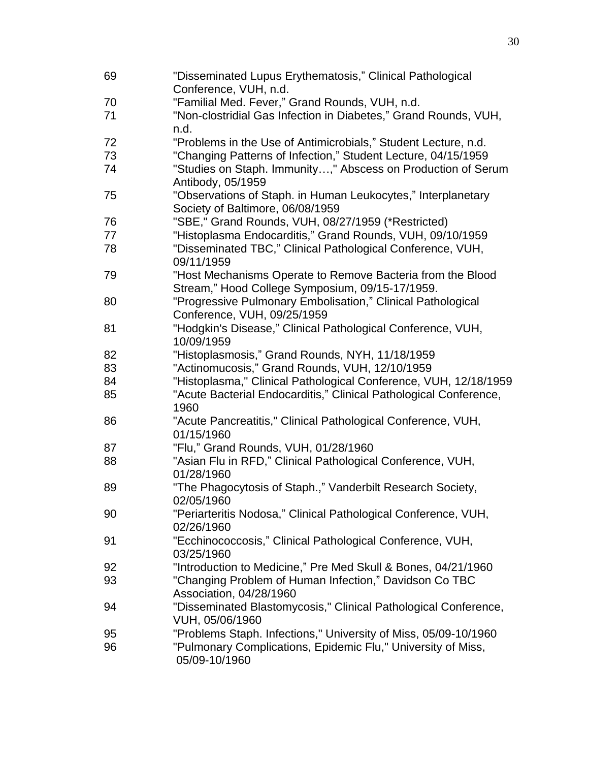| 69 | "Disseminated Lupus Erythematosis," Clinical Pathological<br>Conference, VUH, n.d. |
|----|------------------------------------------------------------------------------------|
| 70 | "Familial Med. Fever," Grand Rounds, VUH, n.d.                                     |
| 71 | "Non-clostridial Gas Infection in Diabetes," Grand Rounds, VUH,<br>n.d.            |
| 72 | "Problems in the Use of Antimicrobials," Student Lecture, n.d.                     |
| 73 | "Changing Patterns of Infection," Student Lecture, 04/15/1959                      |
| 74 | "Studies on Staph. Immunity," Abscess on Production of Serum<br>Antibody, 05/1959  |
| 75 | "Observations of Staph. in Human Leukocytes," Interplanetary                       |
|    | Society of Baltimore, 06/08/1959                                                   |
| 76 | "SBE," Grand Rounds, VUH, 08/27/1959 (*Restricted)                                 |
| 77 | "Histoplasma Endocarditis," Grand Rounds, VUH, 09/10/1959                          |
| 78 | "Disseminated TBC," Clinical Pathological Conference, VUH,                         |
|    | 09/11/1959                                                                         |
| 79 | "Host Mechanisms Operate to Remove Bacteria from the Blood                         |
|    | Stream," Hood College Symposium, 09/15-17/1959.                                    |
| 80 | "Progressive Pulmonary Embolisation," Clinical Pathological                        |
|    | Conference, VUH, 09/25/1959                                                        |
| 81 | "Hodgkin's Disease," Clinical Pathological Conference, VUH,                        |
|    | 10/09/1959                                                                         |
| 82 | "Histoplasmosis," Grand Rounds, NYH, 11/18/1959                                    |
| 83 | "Actinomucosis," Grand Rounds, VUH, 12/10/1959                                     |
| 84 | "Histoplasma," Clinical Pathological Conference, VUH, 12/18/1959                   |
| 85 | "Acute Bacterial Endocarditis," Clinical Pathological Conference,                  |
|    | 1960                                                                               |
| 86 | "Acute Pancreatitis," Clinical Pathological Conference, VUH,                       |
|    | 01/15/1960                                                                         |
| 87 | "Flu," Grand Rounds, VUH, 01/28/1960                                               |
| 88 | "Asian Flu in RFD," Clinical Pathological Conference, VUH,<br>01/28/1960           |
| 89 | "The Phagocytosis of Staph.," Vanderbilt Research Society,                         |
|    | 02/05/1960                                                                         |
| 90 | "Periarteritis Nodosa," Clinical Pathological Conference, VUH,                     |
|    | 02/26/1960                                                                         |
| 91 | "Ecchinococcosis," Clinical Pathological Conference, VUH,                          |
|    | 03/25/1960                                                                         |
| 92 | "Introduction to Medicine," Pre Med Skull & Bones, 04/21/1960                      |
| 93 | "Changing Problem of Human Infection," Davidson Co TBC                             |
|    | Association, 04/28/1960                                                            |
| 94 | "Disseminated Blastomycosis," Clinical Pathological Conference,                    |
|    | VUH, 05/06/1960                                                                    |
| 95 | "Problems Staph. Infections," University of Miss, 05/09-10/1960                    |
| 96 | "Pulmonary Complications, Epidemic Flu," University of Miss,                       |
|    | 05/09-10/1960                                                                      |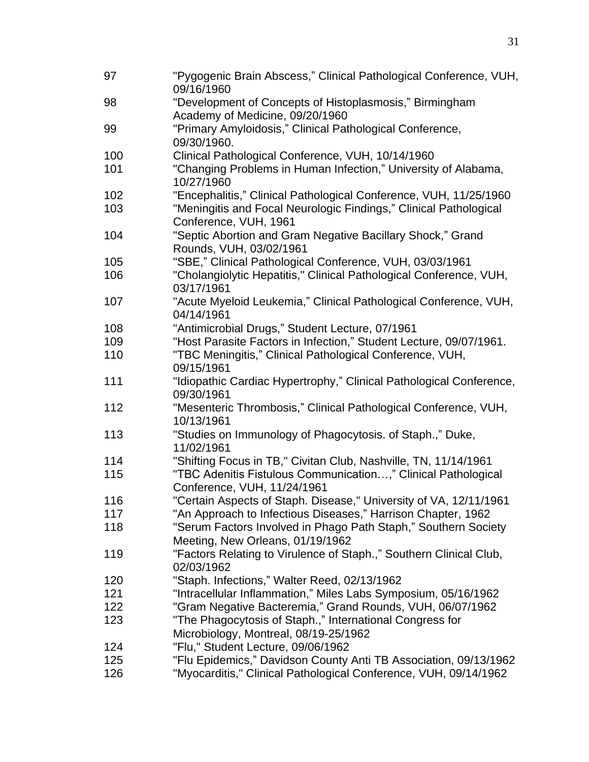| 97         | "Pygogenic Brain Abscess," Clinical Pathological Conference, VUH,<br>09/16/1960                                                |
|------------|--------------------------------------------------------------------------------------------------------------------------------|
| 98         | "Development of Concepts of Histoplasmosis," Birmingham                                                                        |
|            | Academy of Medicine, 09/20/1960                                                                                                |
| 99         | "Primary Amyloidosis," Clinical Pathological Conference,<br>09/30/1960.                                                        |
| 100        | Clinical Pathological Conference, VUH, 10/14/1960                                                                              |
| 101        | "Changing Problems in Human Infection," University of Alabama,<br>10/27/1960                                                   |
| 102        | "Encephalitis," Clinical Pathological Conference, VUH, 11/25/1960                                                              |
| 103        | "Meningitis and Focal Neurologic Findings," Clinical Pathological<br>Conference, VUH, 1961                                     |
| 104        | "Septic Abortion and Gram Negative Bacillary Shock," Grand<br>Rounds, VUH, 03/02/1961                                          |
|            |                                                                                                                                |
| 105<br>106 | "SBE," Clinical Pathological Conference, VUH, 03/03/1961<br>"Cholangiolytic Hepatitis," Clinical Pathological Conference, VUH, |
|            | 03/17/1961                                                                                                                     |
| 107        | "Acute Myeloid Leukemia," Clinical Pathological Conference, VUH,<br>04/14/1961                                                 |
| 108        | "Antimicrobial Drugs," Student Lecture, 07/1961                                                                                |
| 109        | "Host Parasite Factors in Infection," Student Lecture, 09/07/1961.                                                             |
| 110        | "TBC Meningitis," Clinical Pathological Conference, VUH,<br>09/15/1961                                                         |
| 111        | "Idiopathic Cardiac Hypertrophy," Clinical Pathological Conference,<br>09/30/1961                                              |
| 112        | "Mesenteric Thrombosis," Clinical Pathological Conference, VUH,<br>10/13/1961                                                  |
| 113        | "Studies on Immunology of Phagocytosis. of Staph.," Duke,<br>11/02/1961                                                        |
| 114        | "Shifting Focus in TB," Civitan Club, Nashville, TN, 11/14/1961                                                                |
| 115        | "TBC Adenitis Fistulous Communication," Clinical Pathological<br>Conference, VUH, 11/24/1961                                   |
| 116        |                                                                                                                                |
|            | "Certain Aspects of Staph. Disease," University of VA, 12/11/1961                                                              |
| 117        | "An Approach to Infectious Diseases," Harrison Chapter, 1962                                                                   |
| 118        | "Serum Factors Involved in Phago Path Staph," Southern Society<br>Meeting, New Orleans, 01/19/1962                             |
| 119        | "Factors Relating to Virulence of Staph.," Southern Clinical Club,<br>02/03/1962                                               |
| 120        | "Staph. Infections," Walter Reed, 02/13/1962                                                                                   |
| 121        | "Intracellular Inflammation," Miles Labs Symposium, 05/16/1962                                                                 |
| 122        | "Gram Negative Bacteremia," Grand Rounds, VUH, 06/07/1962                                                                      |
|            |                                                                                                                                |
| 123        | "The Phagocytosis of Staph.," International Congress for<br>Microbiology, Montreal, 08/19-25/1962                              |
| 124        | "Flu," Student Lecture, 09/06/1962                                                                                             |
| 125        | "Flu Epidemics," Davidson County Anti TB Association, 09/13/1962                                                               |
| 126        | "Myocarditis," Clinical Pathological Conference, VUH, 09/14/1962                                                               |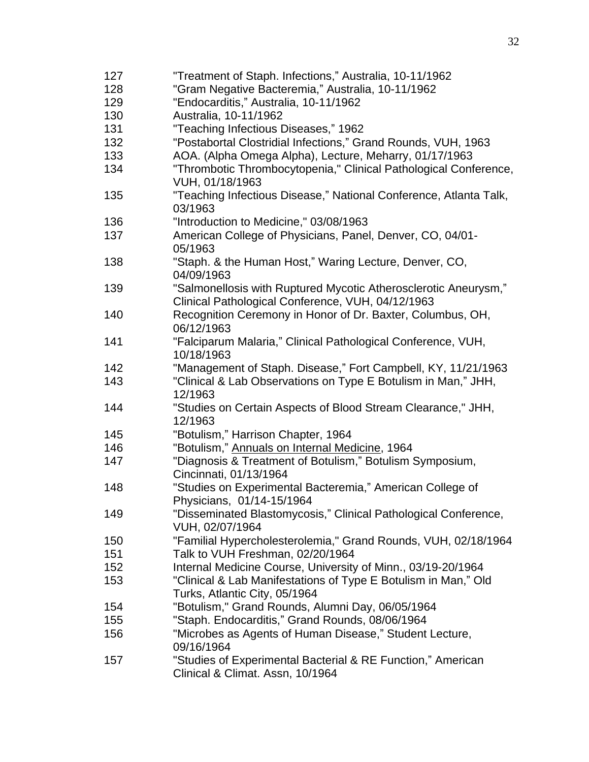| 127 | "Treatment of Staph. Infections," Australia, 10-11/1962                                                              |
|-----|----------------------------------------------------------------------------------------------------------------------|
| 128 | "Gram Negative Bacteremia," Australia, 10-11/1962                                                                    |
| 129 | "Endocarditis," Australia, 10-11/1962                                                                                |
| 130 | Australia, 10-11/1962                                                                                                |
| 131 | "Teaching Infectious Diseases," 1962                                                                                 |
| 132 | "Postabortal Clostridial Infections," Grand Rounds, VUH, 1963                                                        |
| 133 | AOA. (Alpha Omega Alpha), Lecture, Meharry, 01/17/1963                                                               |
| 134 | "Thrombotic Thrombocytopenia," Clinical Pathological Conference,<br>VUH, 01/18/1963                                  |
| 135 | "Teaching Infectious Disease," National Conference, Atlanta Talk,<br>03/1963                                         |
| 136 | "Introduction to Medicine," 03/08/1963                                                                               |
| 137 | American College of Physicians, Panel, Denver, CO, 04/01-<br>05/1963                                                 |
| 138 | "Staph. & the Human Host," Waring Lecture, Denver, CO,<br>04/09/1963                                                 |
| 139 | "Salmonellosis with Ruptured Mycotic Atherosclerotic Aneurysm,"<br>Clinical Pathological Conference, VUH, 04/12/1963 |
| 140 | Recognition Ceremony in Honor of Dr. Baxter, Columbus, OH,                                                           |
|     | 06/12/1963                                                                                                           |
| 141 | "Falciparum Malaria," Clinical Pathological Conference, VUH,                                                         |
|     | 10/18/1963                                                                                                           |
| 142 | "Management of Staph. Disease," Fort Campbell, KY, 11/21/1963                                                        |
| 143 | "Clinical & Lab Observations on Type E Botulism in Man," JHH,<br>12/1963                                             |
| 144 | "Studies on Certain Aspects of Blood Stream Clearance," JHH,<br>12/1963                                              |
| 145 | "Botulism," Harrison Chapter, 1964                                                                                   |
| 146 | "Botulism," Annuals on Internal Medicine, 1964                                                                       |
| 147 | "Diagnosis & Treatment of Botulism," Botulism Symposium,<br>Cincinnati, 01/13/1964                                   |
| 148 | "Studies on Experimental Bacteremia," American College of<br>Physicians, 01/14-15/1964                               |
| 149 | "Disseminated Blastomycosis," Clinical Pathological Conference,<br>VUH, 02/07/1964                                   |
| 150 | "Familial Hypercholesterolemia," Grand Rounds, VUH, 02/18/1964                                                       |
| 151 | Talk to VUH Freshman, 02/20/1964                                                                                     |
| 152 | Internal Medicine Course, University of Minn., 03/19-20/1964                                                         |
| 153 | "Clinical & Lab Manifestations of Type E Botulism in Man," Old                                                       |
|     | Turks, Atlantic City, 05/1964                                                                                        |
| 154 | "Botulism," Grand Rounds, Alumni Day, 06/05/1964                                                                     |
| 155 | "Staph. Endocarditis," Grand Rounds, 08/06/1964                                                                      |
| 156 | "Microbes as Agents of Human Disease," Student Lecture,                                                              |
|     | 09/16/1964                                                                                                           |
| 157 | "Studies of Experimental Bacterial & RE Function," American<br>Clinical & Climat. Assn, 10/1964                      |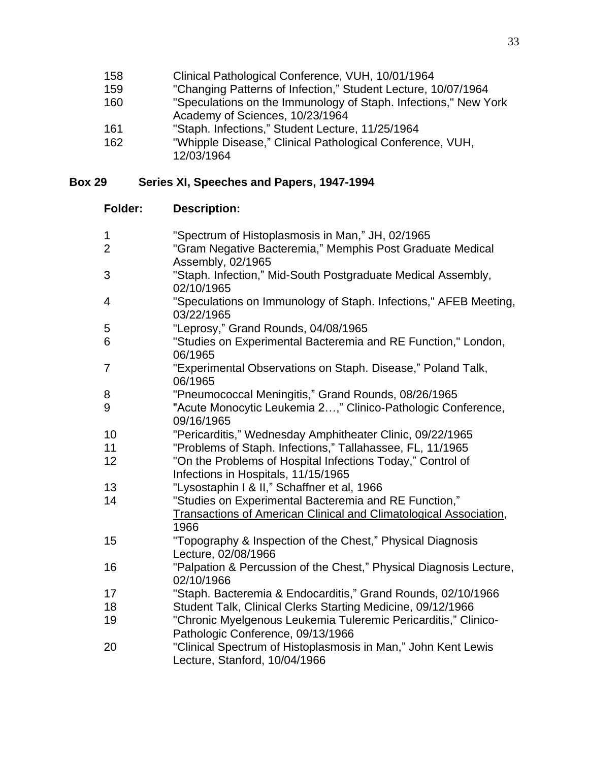- Clinical Pathological Conference, VUH, 10/01/1964
- "Changing Patterns of Infection," Student Lecture, 10/07/1964
- "Speculations on the Immunology of Staph. Infections," New York Academy of Sciences, 10/23/1964
- "Staph. Infections," Student Lecture, 11/25/1964
- "Whipple Disease," Clinical Pathological Conference, VUH, 12/03/1964

## **Box 29 Series XI, Speeches and Papers, 1947-1994**

| $\mathbf 1$    | "Spectrum of Histoplasmosis in Man," JH, 02/1965                                                    |
|----------------|-----------------------------------------------------------------------------------------------------|
| $\overline{2}$ | "Gram Negative Bacteremia," Memphis Post Graduate Medical<br>Assembly, 02/1965                      |
| 3              | "Staph. Infection," Mid-South Postgraduate Medical Assembly,<br>02/10/1965                          |
| 4              | "Speculations on Immunology of Staph. Infections," AFEB Meeting,<br>03/22/1965                      |
| 5              | "Leprosy," Grand Rounds, 04/08/1965                                                                 |
| 6              | "Studies on Experimental Bacteremia and RE Function," London,<br>06/1965                            |
| $\overline{7}$ | "Experimental Observations on Staph. Disease," Poland Talk,<br>06/1965                              |
| 8              | "Pneumococcal Meningitis," Grand Rounds, 08/26/1965                                                 |
| 9              | "Acute Monocytic Leukemia 2," Clinico-Pathologic Conference,<br>09/16/1965                          |
| 10             | "Pericarditis," Wednesday Amphitheater Clinic, 09/22/1965                                           |
| 11             | "Problems of Staph. Infections," Tallahassee, FL, 11/1965                                           |
| 12             | "On the Problems of Hospital Infections Today," Control of<br>Infections in Hospitals, 11/15/1965   |
| 13             | "Lysostaphin I & II," Schaffner et al, 1966                                                         |
| 14             | "Studies on Experimental Bacteremia and RE Function,"                                               |
|                | <b>Transactions of American Clinical and Climatological Association,</b><br>1966                    |
| 15             | "Topography & Inspection of the Chest," Physical Diagnosis<br>Lecture, 02/08/1966                   |
| 16             | "Palpation & Percussion of the Chest," Physical Diagnosis Lecture,<br>02/10/1966                    |
| 17             | "Staph. Bacteremia & Endocarditis," Grand Rounds, 02/10/1966                                        |
| 18             | Student Talk, Clinical Clerks Starting Medicine, 09/12/1966                                         |
| 19             | "Chronic Myelgenous Leukemia Tuleremic Pericarditis," Clinico-<br>Pathologic Conference, 09/13/1966 |
| 20             | "Clinical Spectrum of Histoplasmosis in Man," John Kent Lewis<br>Lecture, Stanford, 10/04/1966      |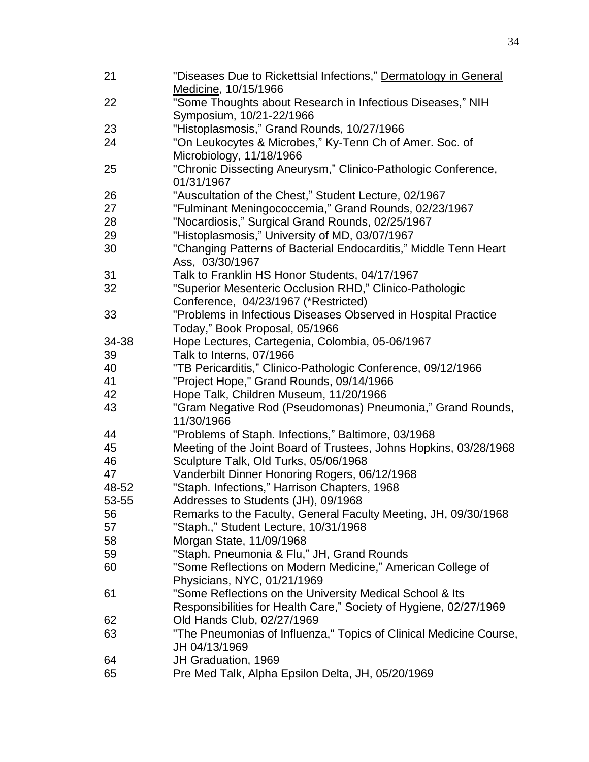| 21    | "Diseases Due to Rickettsial Infections," Dermatology in General<br>Medicine, 10/15/1966 |
|-------|------------------------------------------------------------------------------------------|
| 22    | "Some Thoughts about Research in Infectious Diseases," NIH                               |
|       | Symposium, 10/21-22/1966                                                                 |
| 23    | "Histoplasmosis," Grand Rounds, 10/27/1966                                               |
| 24    | "On Leukocytes & Microbes," Ky-Tenn Ch of Amer. Soc. of                                  |
|       | Microbiology, 11/18/1966                                                                 |
| 25    | "Chronic Dissecting Aneurysm," Clinico-Pathologic Conference,                            |
|       | 01/31/1967                                                                               |
| 26    | "Auscultation of the Chest," Student Lecture, 02/1967                                    |
| 27    | "Fulminant Meningococcemia," Grand Rounds, 02/23/1967                                    |
| 28    | "Nocardiosis," Surgical Grand Rounds, 02/25/1967                                         |
| 29    | "Histoplasmosis," University of MD, 03/07/1967                                           |
| 30    | "Changing Patterns of Bacterial Endocarditis," Middle Tenn Heart                         |
|       | Ass, 03/30/1967                                                                          |
| 31    | Talk to Franklin HS Honor Students, 04/17/1967                                           |
| 32    | "Superior Mesenteric Occlusion RHD," Clinico-Pathologic                                  |
|       | Conference, 04/23/1967 (*Restricted)                                                     |
| 33    | "Problems in Infectious Diseases Observed in Hospital Practice                           |
|       | Today," Book Proposal, 05/1966                                                           |
| 34-38 | Hope Lectures, Cartegenia, Colombia, 05-06/1967                                          |
| 39    | Talk to Interns, 07/1966                                                                 |
| 40    | "TB Pericarditis," Clinico-Pathologic Conference, 09/12/1966                             |
| 41    | "Project Hope," Grand Rounds, 09/14/1966                                                 |
| 42    | Hope Talk, Children Museum, 11/20/1966                                                   |
| 43    | "Gram Negative Rod (Pseudomonas) Pneumonia," Grand Rounds,                               |
|       | 11/30/1966                                                                               |
| 44    | "Problems of Staph. Infections," Baltimore, 03/1968                                      |
| 45    | Meeting of the Joint Board of Trustees, Johns Hopkins, 03/28/1968                        |
| 46    | Sculpture Talk, Old Turks, 05/06/1968                                                    |
| 47    | Vanderbilt Dinner Honoring Rogers, 06/12/1968                                            |
| 48-52 | "Staph. Infections," Harrison Chapters, 1968                                             |
| 53-55 | Addresses to Students (JH), 09/1968                                                      |
| 56    | Remarks to the Faculty, General Faculty Meeting, JH, 09/30/1968                          |
| 57    | "Staph.," Student Lecture, 10/31/1968                                                    |
| 58    | Morgan State, 11/09/1968                                                                 |
| 59    | "Staph. Pneumonia & Flu," JH, Grand Rounds                                               |
| 60    | "Some Reflections on Modern Medicine," American College of                               |
|       | Physicians, NYC, 01/21/1969                                                              |
| 61    | "Some Reflections on the University Medical School & Its                                 |
|       | Responsibilities for Health Care," Society of Hygiene, 02/27/1969                        |
| 62    | Old Hands Club, 02/27/1969                                                               |
| 63    | "The Pneumonias of Influenza," Topics of Clinical Medicine Course,                       |
|       | JH 04/13/1969                                                                            |
| 64    | JH Graduation, 1969                                                                      |
| 65    | Pre Med Talk, Alpha Epsilon Delta, JH, 05/20/1969                                        |
|       |                                                                                          |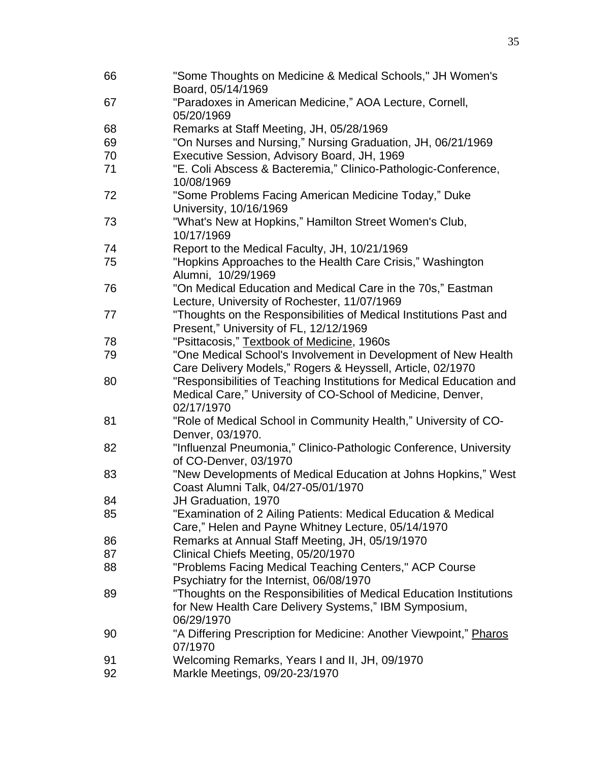66 "Some Thoughts on Medicine & Medical Schools," JH Women's Board, 05/14/1969 67 "Paradoxes in American Medicine," AOA Lecture, Cornell, 05/20/1969 68 Remarks at Staff Meeting, JH, 05/28/1969 69 "On Nurses and Nursing," Nursing Graduation, JH, 06/21/1969 70 Executive Session, Advisory Board, JH, 1969 71 "E. Coli Abscess & Bacteremia," Clinico-Pathologic-Conference, 10/08/1969 72 "Some Problems Facing American Medicine Today," Duke University, 10/16/1969 73 "What's New at Hopkins," Hamilton Street Women's Club, 10/17/1969 74 Report to the Medical Faculty, JH, 10/21/1969 75 "Hopkins Approaches to the Health Care Crisis," Washington Alumni, 10/29/1969 76 "On Medical Education and Medical Care in the 70s," Eastman Lecture, University of Rochester, 11/07/1969 77 "Thoughts on the Responsibilities of Medical Institutions Past and Present," University of FL, 12/12/1969 78 "Psittacosis," Textbook of Medicine, 1960s 79 "One Medical School's Involvement in Development of New Health Care Delivery Models," Rogers & Heyssell, Article, 02/1970 80 "Responsibilities of Teaching Institutions for Medical Education and Medical Care," University of CO-School of Medicine, Denver, 02/17/1970 81 "Role of Medical School in Community Health," University of CO-Denver, 03/1970. 82 "Influenzal Pneumonia," Clinico-Pathologic Conference, University of CO-Denver, 03/1970 83 "New Developments of Medical Education at Johns Hopkins," West Coast Alumni Talk, 04/27-05/01/1970 84 JH Graduation, 1970 85 "Examination of 2 Ailing Patients: Medical Education & Medical Care," Helen and Payne Whitney Lecture, 05/14/1970 86 Remarks at Annual Staff Meeting, JH, 05/19/1970 87 Clinical Chiefs Meeting, 05/20/1970 88 "Problems Facing Medical Teaching Centers," ACP Course Psychiatry for the Internist, 06/08/1970 89 "Thoughts on the Responsibilities of Medical Education Institutions for New Health Care Delivery Systems," IBM Symposium, 06/29/1970 90 "A Differing Prescription for Medicine: Another Viewpoint," Pharos 07/1970 91 Welcoming Remarks, Years I and II, JH, 09/1970 92 Markle Meetings, 09/20-23/1970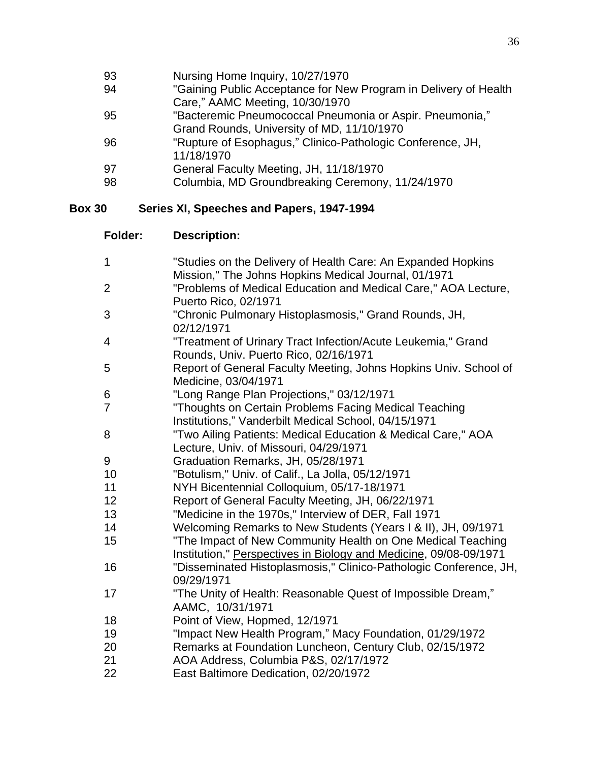| 93 | Nursing Home Inquiry, 10/27/1970 |  |
|----|----------------------------------|--|
|    |                                  |  |

- "Gaining Public Acceptance for New Program in Delivery of Health Care," AAMC Meeting, 10/30/1970
- "Bacteremic Pneumococcal Pneumonia or Aspir. Pneumonia," Grand Rounds, University of MD, 11/10/1970
- "Rupture of Esophagus," Clinico-Pathologic Conference, JH, 11/18/1970
- General Faculty Meeting, JH, 11/18/1970
- Columbia, MD Groundbreaking Ceremony, 11/24/1970

### **Box 30 Series XI, Speeches and Papers, 1947-1994**

| $\mathbf{1}$   | "Studies on the Delivery of Health Care: An Expanded Hopkins                                                                                   |
|----------------|------------------------------------------------------------------------------------------------------------------------------------------------|
| $\overline{2}$ | Mission," The Johns Hopkins Medical Journal, 01/1971<br>"Problems of Medical Education and Medical Care," AOA Lecture,<br>Puerto Rico, 02/1971 |
| 3              | "Chronic Pulmonary Histoplasmosis," Grand Rounds, JH,                                                                                          |
|                | 02/12/1971                                                                                                                                     |
| 4              | "Treatment of Urinary Tract Infection/Acute Leukemia," Grand<br>Rounds, Univ. Puerto Rico, 02/16/1971                                          |
| 5              | Report of General Faculty Meeting, Johns Hopkins Univ. School of<br>Medicine, 03/04/1971                                                       |
| 6              | "Long Range Plan Projections," 03/12/1971                                                                                                      |
| 7              | "Thoughts on Certain Problems Facing Medical Teaching<br>Institutions," Vanderbilt Medical School, 04/15/1971                                  |
| 8              | "Two Ailing Patients: Medical Education & Medical Care," AOA<br>Lecture, Univ. of Missouri, 04/29/1971                                         |
| 9              | Graduation Remarks, JH, 05/28/1971                                                                                                             |
| 10             | "Botulism," Univ. of Calif., La Jolla, 05/12/1971                                                                                              |
| 11             | NYH Bicentennial Colloquium, 05/17-18/1971                                                                                                     |
| 12             | Report of General Faculty Meeting, JH, 06/22/1971                                                                                              |
| 13             | "Medicine in the 1970s," Interview of DER, Fall 1971                                                                                           |
| 14             | Welcoming Remarks to New Students (Years I & II), JH, 09/1971                                                                                  |
| 15             | "The Impact of New Community Health on One Medical Teaching<br>Institution," Perspectives in Biology and Medicine, 09/08-09/1971               |
| 16             | "Disseminated Histoplasmosis," Clinico-Pathologic Conference, JH,<br>09/29/1971                                                                |
| 17             | "The Unity of Health: Reasonable Quest of Impossible Dream,"<br>AAMC, 10/31/1971                                                               |
| 18             | Point of View, Hopmed, 12/1971                                                                                                                 |
| 19             | "Impact New Health Program," Macy Foundation, 01/29/1972                                                                                       |
| 20             | Remarks at Foundation Luncheon, Century Club, 02/15/1972                                                                                       |
| 21             | AOA Address, Columbia P&S, 02/17/1972                                                                                                          |
| 22             | East Baltimore Dedication, 02/20/1972                                                                                                          |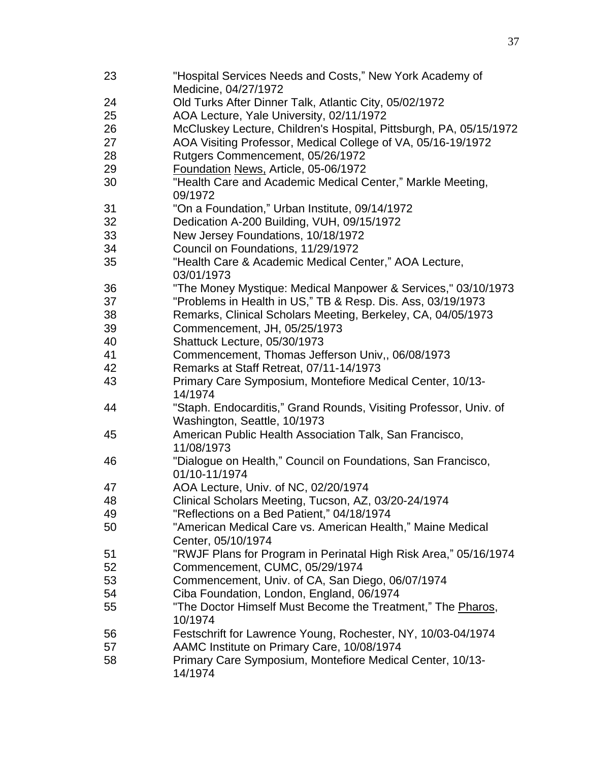"Hospital Services Needs and Costs," New York Academy of Medicine, 04/27/1972 Old Turks After Dinner Talk, Atlantic City, 05/02/1972 AOA Lecture, Yale University, 02/11/1972 McCluskey Lecture, Children's Hospital, Pittsburgh, PA, 05/15/1972 AOA Visiting Professor, Medical College of VA, 05/16-19/1972 Rutgers Commencement, 05/26/1972 Foundation News, Article, 05-06/1972 "Health Care and Academic Medical Center," Markle Meeting, 09/1972 "On a Foundation," Urban Institute, 09/14/1972 Dedication A-200 Building, VUH, 09/15/1972 New Jersey Foundations, 10/18/1972 Council on Foundations, 11/29/1972 "Health Care & Academic Medical Center," AOA Lecture, 03/01/1973 "The Money Mystique: Medical Manpower & Services," 03/10/1973 "Problems in Health in US," TB & Resp. Dis. Ass, 03/19/1973 Remarks, Clinical Scholars Meeting, Berkeley, CA, 04/05/1973 Commencement, JH, 05/25/1973 Shattuck Lecture, 05/30/1973 Commencement, Thomas Jefferson Univ,, 06/08/1973 Remarks at Staff Retreat, 07/11-14/1973 Primary Care Symposium, Montefiore Medical Center, 10/13- 14/1974 "Staph. Endocarditis," Grand Rounds, Visiting Professor, Univ. of Washington, Seattle, 10/1973 American Public Health Association Talk, San Francisco, 11/08/1973 "Dialogue on Health," Council on Foundations, San Francisco, 01/10-11/1974 AOA Lecture, Univ. of NC, 02/20/1974 Clinical Scholars Meeting, Tucson, AZ, 03/20-24/1974 "Reflections on a Bed Patient," 04/18/1974 "American Medical Care vs. American Health," Maine Medical Center, 05/10/1974 "RWJF Plans for Program in Perinatal High Risk Area," 05/16/1974 Commencement, CUMC, 05/29/1974 Commencement, Univ. of CA, San Diego, 06/07/1974 Ciba Foundation, London, England, 06/1974 **The Doctor Himself Must Become the Treatment,**" The **Pharos,** 10/1974 Festschrift for Lawrence Young, Rochester, NY, 10/03-04/1974 AAMC Institute on Primary Care, 10/08/1974 Primary Care Symposium, Montefiore Medical Center, 10/13- 14/1974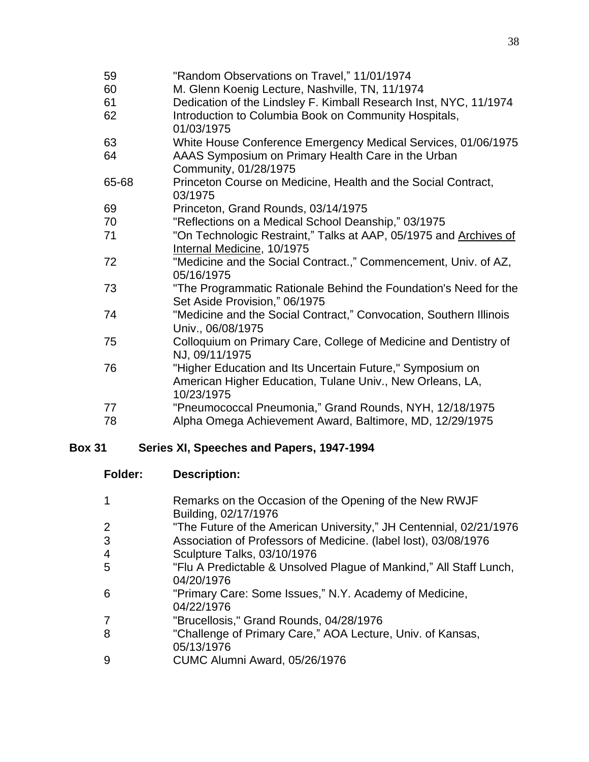- 59 "Random Observations on Travel," 11/01/1974
- 60 M. Glenn Koenig Lecture, Nashville, TN, 11/1974
- 61 Dedication of the Lindsley F. Kimball Research Inst, NYC, 11/1974
- 62 Introduction to Columbia Book on Community Hospitals, 01/03/1975
- 63 White House Conference Emergency Medical Services, 01/06/1975
- 64 AAAS Symposium on Primary Health Care in the Urban Community, 01/28/1975
- 65-68 Princeton Course on Medicine, Health and the Social Contract, 03/1975
- 69 Princeton, Grand Rounds, 03/14/1975
- 70 "Reflections on a Medical School Deanship," 03/1975
- 71 "On Technologic Restraint," Talks at AAP, 05/1975 and Archives of Internal Medicine, 10/1975
- 72 "Medicine and the Social Contract.," Commencement, Univ. of AZ, 05/16/1975
- 73 "The Programmatic Rationale Behind the Foundation's Need for the Set Aside Provision," 06/1975
- 74 "Medicine and the Social Contract," Convocation, Southern Illinois Univ., 06/08/1975
- 75 Colloquium on Primary Care, College of Medicine and Dentistry of NJ, 09/11/1975
- 76 "Higher Education and Its Uncertain Future," Symposium on American Higher Education, Tulane Univ., New Orleans, LA, 10/23/1975
- 77 "Pneumococcal Pneumonia," Grand Rounds, NYH, 12/18/1975
- 78 Alpha Omega Achievement Award, Baltimore, MD, 12/29/1975

#### **Box 31 Series XI, Speeches and Papers, 1947-1994**

- **Folder: Description:**
- 1 Remarks on the Occasion of the Opening of the New RWJF Building, 02/17/1976 2 "The Future of the American University," JH Centennial, 02/21/1976 3 Association of Professors of Medicine. (label lost), 03/08/1976 4 Sculpture Talks, 03/10/1976 5 "Flu A Predictable & Unsolved Plague of Mankind," All Staff Lunch, 04/20/1976 6 "Primary Care: Some Issues," N.Y. Academy of Medicine, 04/22/1976 7 "Brucellosis," Grand Rounds, 04/28/1976 8 "Challenge of Primary Care," AOA Lecture, Univ. of Kansas, 05/13/1976 9 CUMC Alumni Award, 05/26/1976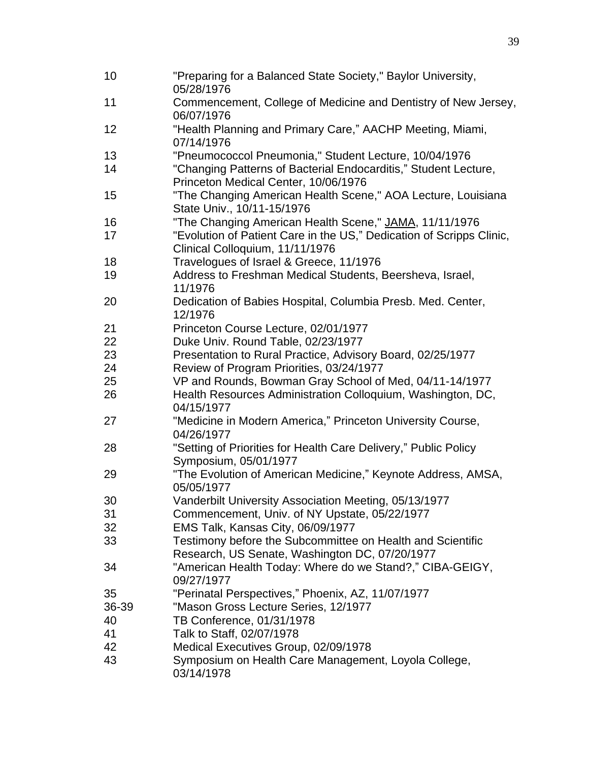| 10    | "Preparing for a Balanced State Society," Baylor University,<br>05/28/1976                                   |
|-------|--------------------------------------------------------------------------------------------------------------|
| 11    | Commencement, College of Medicine and Dentistry of New Jersey,<br>06/07/1976                                 |
| 12    | "Health Planning and Primary Care," AACHP Meeting, Miami,                                                    |
|       | 07/14/1976                                                                                                   |
| 13    | "Pneumococcol Pneumonia," Student Lecture, 10/04/1976                                                        |
| 14    | "Changing Patterns of Bacterial Endocarditis," Student Lecture,<br>Princeton Medical Center, 10/06/1976      |
| 15    | "The Changing American Health Scene," AOA Lecture, Louisiana<br>State Univ., 10/11-15/1976                   |
| 16    | "The Changing American Health Scene," JAMA, 11/11/1976                                                       |
| 17    | "Evolution of Patient Care in the US," Dedication of Scripps Clinic,<br>Clinical Colloquium, 11/11/1976      |
| 18    | Travelogues of Israel & Greece, 11/1976                                                                      |
| 19    | Address to Freshman Medical Students, Beersheva, Israel,                                                     |
|       | 11/1976                                                                                                      |
| 20    | Dedication of Babies Hospital, Columbia Presb. Med. Center,<br>12/1976                                       |
| 21    | Princeton Course Lecture, 02/01/1977                                                                         |
| 22    | Duke Univ. Round Table, 02/23/1977                                                                           |
| 23    | Presentation to Rural Practice, Advisory Board, 02/25/1977                                                   |
| 24    | Review of Program Priorities, 03/24/1977                                                                     |
| 25    | VP and Rounds, Bowman Gray School of Med, 04/11-14/1977                                                      |
| 26    | Health Resources Administration Colloquium, Washington, DC,<br>04/15/1977                                    |
| 27    | "Medicine in Modern America," Princeton University Course,<br>04/26/1977                                     |
| 28    | "Setting of Priorities for Health Care Delivery," Public Policy<br>Symposium, 05/01/1977                     |
| 29    | "The Evolution of American Medicine," Keynote Address, AMSA,<br>05/05/1977                                   |
| 30    | Vanderbilt University Association Meeting, 05/13/1977                                                        |
| 31    | Commencement, Univ. of NY Upstate, 05/22/1977                                                                |
| 32    | EMS Talk, Kansas City, 06/09/1977                                                                            |
| 33    | Testimony before the Subcommittee on Health and Scientific<br>Research, US Senate, Washington DC, 07/20/1977 |
| 34    | "American Health Today: Where do we Stand?," CIBA-GEIGY,<br>09/27/1977                                       |
| 35    | "Perinatal Perspectives," Phoenix, AZ, 11/07/1977                                                            |
| 36-39 | "Mason Gross Lecture Series, 12/1977                                                                         |
| 40    | TB Conference, 01/31/1978                                                                                    |
| 41    | Talk to Staff, 02/07/1978                                                                                    |
| 42    | Medical Executives Group, 02/09/1978                                                                         |
| 43    | Symposium on Health Care Management, Loyola College,                                                         |
|       | 03/14/1978                                                                                                   |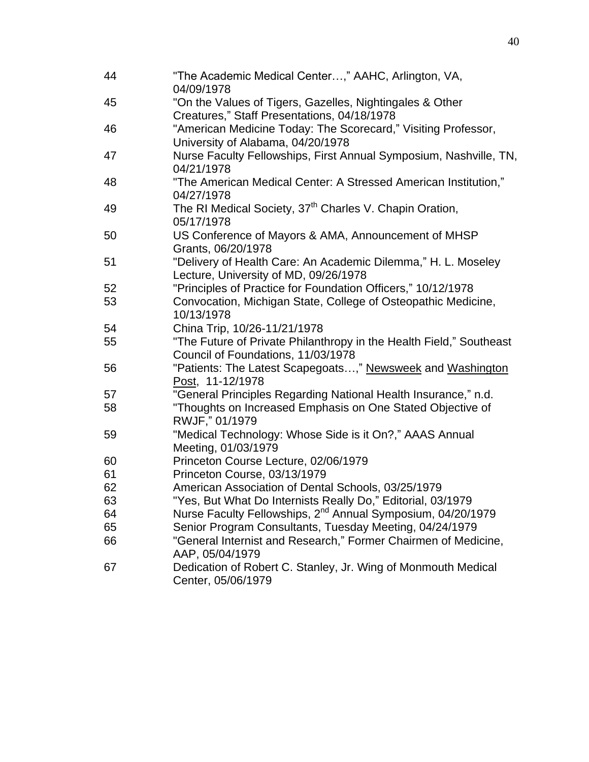| 44       | "The Academic Medical Center," AAHC, Arlington, VA,<br>04/09/1978                                                                      |
|----------|----------------------------------------------------------------------------------------------------------------------------------------|
| 45       | "On the Values of Tigers, Gazelles, Nightingales & Other                                                                               |
|          | Creatures," Staff Presentations, 04/18/1978                                                                                            |
| 46       | "American Medicine Today: The Scorecard," Visiting Professor,                                                                          |
|          | University of Alabama, 04/20/1978                                                                                                      |
| 47       | Nurse Faculty Fellowships, First Annual Symposium, Nashville, TN,                                                                      |
|          | 04/21/1978                                                                                                                             |
| 48       | "The American Medical Center: A Stressed American Institution,"                                                                        |
|          | 04/27/1978                                                                                                                             |
| 49       | The RI Medical Society, 37 <sup>th</sup> Charles V. Chapin Oration,                                                                    |
|          | 05/17/1978                                                                                                                             |
| 50       | US Conference of Mayors & AMA, Announcement of MHSP                                                                                    |
|          | Grants, 06/20/1978                                                                                                                     |
| 51       | "Delivery of Health Care: An Academic Dilemma," H. L. Moseley                                                                          |
|          | Lecture, University of MD, 09/26/1978                                                                                                  |
| 52       | "Principles of Practice for Foundation Officers," 10/12/1978                                                                           |
| 53       | Convocation, Michigan State, College of Osteopathic Medicine,                                                                          |
|          | 10/13/1978                                                                                                                             |
| 54       | China Trip, 10/26-11/21/1978                                                                                                           |
| 55       | "The Future of Private Philanthropy in the Health Field," Southeast                                                                    |
|          | Council of Foundations, 11/03/1978                                                                                                     |
| 56       | "Patients: The Latest Scapegoats," Newsweek and Washington                                                                             |
|          | Post, 11-12/1978                                                                                                                       |
| 57       | "General Principles Regarding National Health Insurance," n.d.                                                                         |
| 58       | "Thoughts on Increased Emphasis on One Stated Objective of                                                                             |
|          | RWJF," 01/1979                                                                                                                         |
| 59       | "Medical Technology: Whose Side is it On?," AAAS Annual                                                                                |
|          | Meeting, 01/03/1979                                                                                                                    |
| 60       | Princeton Course Lecture, 02/06/1979                                                                                                   |
| 61<br>62 | Princeton Course, 03/13/1979<br>American Association of Dental Schools, 03/25/1979                                                     |
| 63       |                                                                                                                                        |
| 64       | "Yes, But What Do Internists Really Do," Editorial, 03/1979<br>Nurse Faculty Fellowships, 2 <sup>nd</sup> Annual Symposium, 04/20/1979 |
| 65       | Senior Program Consultants, Tuesday Meeting, 04/24/1979                                                                                |
| 66       | "General Internist and Research," Former Chairmen of Medicine,                                                                         |
|          | AAP, 05/04/1979                                                                                                                        |
| 67       | Dedication of Robert C. Stanley, Jr. Wing of Monmouth Medical                                                                          |
|          | Center, 05/06/1979                                                                                                                     |
|          |                                                                                                                                        |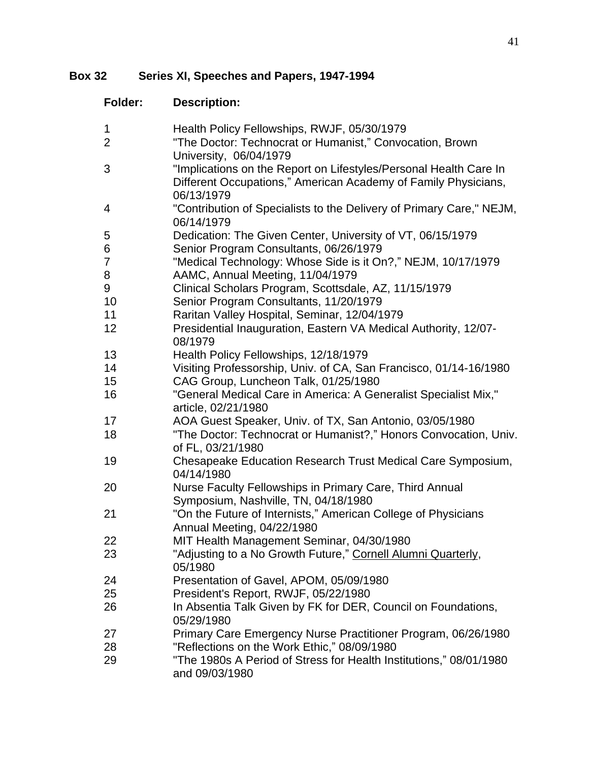#### **Box 32 Series XI, Speeches and Papers, 1947-1994**

**Folder: Description:** Health Policy Fellowships, RWJF, 05/30/1979 "The Doctor: Technocrat or Humanist," Convocation, Brown University, 06/04/1979 "Implications on the Report on Lifestyles/Personal Health Care In Different Occupations," American Academy of Family Physicians, 06/13/1979 "Contribution of Specialists to the Delivery of Primary Care," NEJM, 06/14/1979 Dedication: The Given Center, University of VT, 06/15/1979 Senior Program Consultants, 06/26/1979 "Medical Technology: Whose Side is it On?," NEJM, 10/17/1979 AAMC, Annual Meeting, 11/04/1979 Clinical Scholars Program, Scottsdale, AZ, 11/15/1979 Senior Program Consultants, 11/20/1979 Raritan Valley Hospital, Seminar, 12/04/1979 Presidential Inauguration, Eastern VA Medical Authority, 12/07- 08/1979 Health Policy Fellowships, 12/18/1979 Visiting Professorship, Univ. of CA, San Francisco, 01/14-16/1980 CAG Group, Luncheon Talk, 01/25/1980 "General Medical Care in America: A Generalist Specialist Mix," article, 02/21/1980 AOA Guest Speaker, Univ. of TX, San Antonio, 03/05/1980 "The Doctor: Technocrat or Humanist?," Honors Convocation, Univ. of FL, 03/21/1980 Chesapeake Education Research Trust Medical Care Symposium, 04/14/1980 Nurse Faculty Fellowships in Primary Care, Third Annual Symposium, Nashville, TN, 04/18/1980 "On the Future of Internists," American College of Physicians Annual Meeting, 04/22/1980 MIT Health Management Seminar, 04/30/1980 "Adjusting to a No Growth Future," Cornell Alumni Quarterly, 05/1980 Presentation of Gavel, APOM, 05/09/1980 President's Report, RWJF, 05/22/1980 26 In Absentia Talk Given by FK for DER, Council on Foundations, 05/29/1980 Primary Care Emergency Nurse Practitioner Program, 06/26/1980 "Reflections on the Work Ethic," 08/09/1980

 "The 1980s A Period of Stress for Health Institutions," 08/01/1980 and 09/03/1980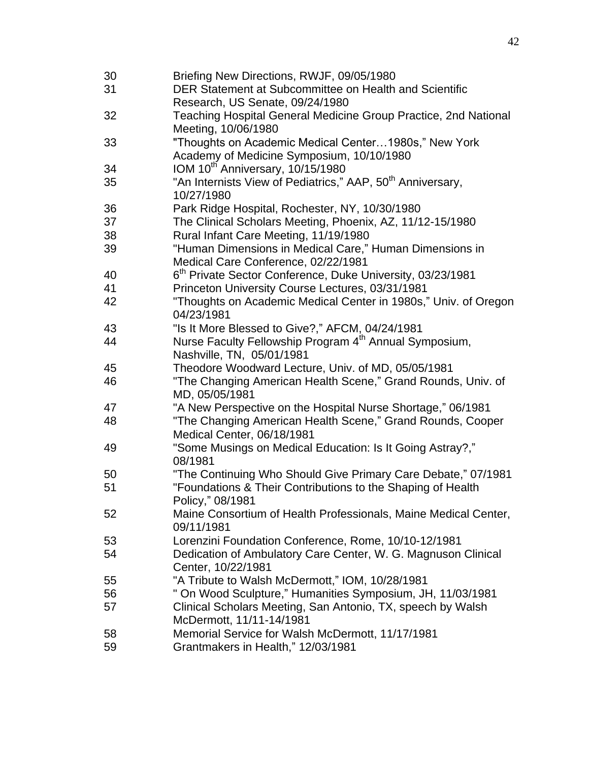| 30 | Briefing New Directions, RWJF, 09/05/1980                                            |
|----|--------------------------------------------------------------------------------------|
| 31 | DER Statement at Subcommittee on Health and Scientific                               |
|    | Research, US Senate, 09/24/1980                                                      |
| 32 | Teaching Hospital General Medicine Group Practice, 2nd National                      |
|    | Meeting, 10/06/1980                                                                  |
| 33 | "Thoughts on Academic Medical Center1980s," New York                                 |
|    | Academy of Medicine Symposium, 10/10/1980                                            |
| 34 | IOM 10 <sup>th</sup> Anniversary, 10/15/1980                                         |
| 35 | "An Internists View of Pediatrics," AAP, 50 <sup>th</sup> Anniversary,<br>10/27/1980 |
| 36 | Park Ridge Hospital, Rochester, NY, 10/30/1980                                       |
| 37 | The Clinical Scholars Meeting, Phoenix, AZ, 11/12-15/1980                            |
| 38 | Rural Infant Care Meeting, 11/19/1980                                                |
| 39 | "Human Dimensions in Medical Care," Human Dimensions in                              |
|    | Medical Care Conference, 02/22/1981                                                  |
| 40 | 6 <sup>th</sup> Private Sector Conference, Duke University, 03/23/1981               |
| 41 | Princeton University Course Lectures, 03/31/1981                                     |
| 42 | "Thoughts on Academic Medical Center in 1980s," Univ. of Oregon                      |
|    | 04/23/1981                                                                           |
| 43 | "Is It More Blessed to Give?," AFCM, 04/24/1981                                      |
| 44 | Nurse Faculty Fellowship Program 4 <sup>th</sup> Annual Symposium,                   |
|    | Nashville, TN, 05/01/1981                                                            |
| 45 | Theodore Woodward Lecture, Univ. of MD, 05/05/1981                                   |
| 46 | "The Changing American Health Scene," Grand Rounds, Univ. of                         |
|    | MD, 05/05/1981                                                                       |
| 47 | "A New Perspective on the Hospital Nurse Shortage," 06/1981                          |
| 48 | "The Changing American Health Scene," Grand Rounds, Cooper                           |
|    | Medical Center, 06/18/1981                                                           |
| 49 | "Some Musings on Medical Education: Is It Going Astray?,"                            |
|    | 08/1981                                                                              |
| 50 | "The Continuing Who Should Give Primary Care Debate," 07/1981                        |
| 51 | "Foundations & Their Contributions to the Shaping of Health                          |
|    | Policy," 08/1981                                                                     |
| 52 | Maine Consortium of Health Professionals, Maine Medical Center,                      |
|    | 09/11/1981                                                                           |
| 53 | Lorenzini Foundation Conference, Rome, 10/10-12/1981                                 |
| 54 | Dedication of Ambulatory Care Center, W. G. Magnuson Clinical                        |
|    | Center, 10/22/1981                                                                   |
| 55 | "A Tribute to Walsh McDermott," IOM, 10/28/1981                                      |
| 56 | " On Wood Sculpture," Humanities Symposium, JH, 11/03/1981                           |
| 57 | Clinical Scholars Meeting, San Antonio, TX, speech by Walsh                          |
|    | McDermott, 11/11-14/1981                                                             |
| 58 | Memorial Service for Walsh McDermott, 11/17/1981                                     |
| 59 | Grantmakers in Health," 12/03/1981                                                   |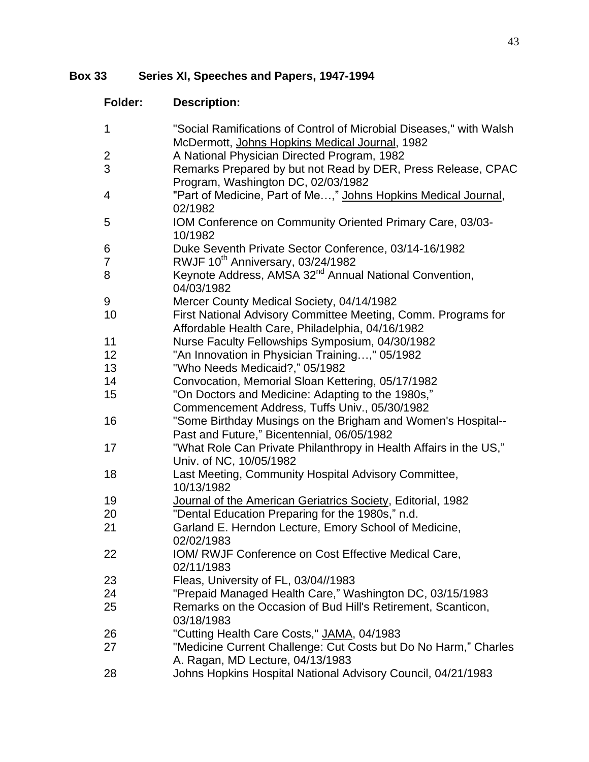# **Box 33 Series XI, Speeches and Papers, 1947-1994**

| $\mathbf{1}$   | "Social Ramifications of Control of Microbial Diseases," with Walsh  |
|----------------|----------------------------------------------------------------------|
|                | McDermott, Johns Hopkins Medical Journal, 1982                       |
| 2              | A National Physician Directed Program, 1982                          |
| 3              | Remarks Prepared by but not Read by DER, Press Release, CPAC         |
|                | Program, Washington DC, 02/03/1982                                   |
| $\overline{4}$ | "Part of Medicine, Part of Me," Johns Hopkins Medical Journal,       |
|                | 02/1982                                                              |
| 5              | IOM Conference on Community Oriented Primary Care, 03/03-<br>10/1982 |
| 6              | Duke Seventh Private Sector Conference, 03/14-16/1982                |
| $\overline{7}$ | RWJF 10 <sup>th</sup> Anniversary, 03/24/1982                        |
| 8              | Keynote Address, AMSA 32 <sup>nd</sup> Annual National Convention,   |
|                | 04/03/1982                                                           |
| 9              | Mercer County Medical Society, 04/14/1982                            |
| 10             | First National Advisory Committee Meeting, Comm. Programs for        |
|                | Affordable Health Care, Philadelphia, 04/16/1982                     |
| 11             | Nurse Faculty Fellowships Symposium, 04/30/1982                      |
| 12             | "An Innovation in Physician Training," 05/1982                       |
| 13             | "Who Needs Medicaid?," 05/1982                                       |
| 14             | Convocation, Memorial Sloan Kettering, 05/17/1982                    |
| 15             | "On Doctors and Medicine: Adapting to the 1980s,"                    |
|                | Commencement Address, Tuffs Univ., 05/30/1982                        |
| 16             | "Some Birthday Musings on the Brigham and Women's Hospital--         |
|                |                                                                      |
|                | Past and Future," Bicentennial, 06/05/1982                           |
| 17             | "What Role Can Private Philanthropy in Health Affairs in the US,"    |
|                | Univ. of NC, 10/05/1982                                              |
| 18             | Last Meeting, Community Hospital Advisory Committee,                 |
|                | 10/13/1982                                                           |
| 19             | Journal of the American Geriatrics Society, Editorial, 1982          |
| 20             | "Dental Education Preparing for the 1980s," n.d.                     |
| 21             | Garland E. Herndon Lecture, Emory School of Medicine,                |
|                | 02/02/1983                                                           |
| 22             | IOM/ RWJF Conference on Cost Effective Medical Care,                 |
|                | 02/11/1983                                                           |
| 23             | Fleas, University of FL, 03/04//1983                                 |
| 24             | "Prepaid Managed Health Care," Washington DC, 03/15/1983             |
| 25             | Remarks on the Occasion of Bud Hill's Retirement, Scanticon,         |
|                | 03/18/1983                                                           |
| 26             | "Cutting Health Care Costs," JAMA, 04/1983                           |
| 27             | "Medicine Current Challenge: Cut Costs but Do No Harm," Charles      |
|                | A. Ragan, MD Lecture, 04/13/1983                                     |
| 28             | Johns Hopkins Hospital National Advisory Council, 04/21/1983         |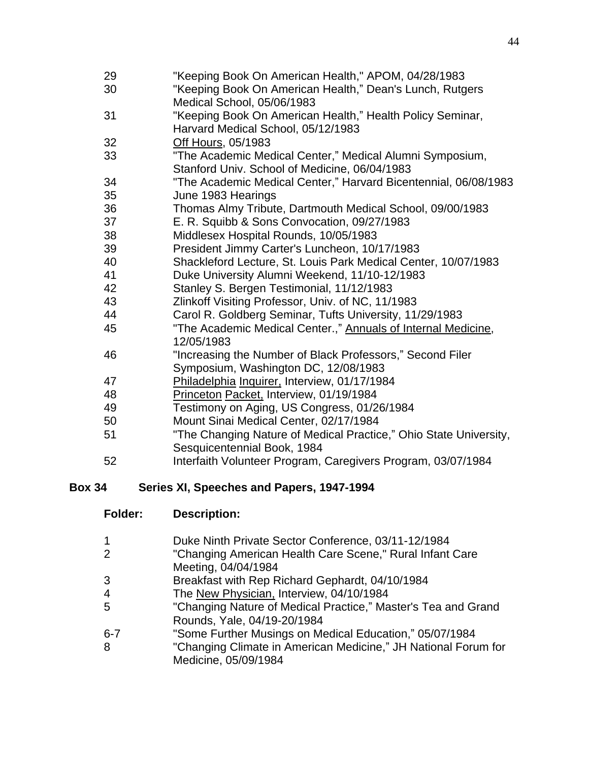- "Keeping Book On American Health," APOM, 04/28/1983 "Keeping Book On American Health," Dean's Lunch, Rutgers Medical School, 05/06/1983 "Keeping Book On American Health," Health Policy Seminar, Harvard Medical School, 05/12/1983 Off Hours, 05/1983 "The Academic Medical Center," Medical Alumni Symposium, Stanford Univ. School of Medicine, 06/04/1983 "The Academic Medical Center," Harvard Bicentennial, 06/08/1983 June 1983 Hearings Thomas Almy Tribute, Dartmouth Medical School, 09/00/1983 E. R. Squibb & Sons Convocation, 09/27/1983 Middlesex Hospital Rounds, 10/05/1983 President Jimmy Carter's Luncheon, 10/17/1983 Shackleford Lecture, St. Louis Park Medical Center, 10/07/1983 Duke University Alumni Weekend, 11/10-12/1983 Stanley S. Bergen Testimonial, 11/12/1983 Zlinkoff Visiting Professor, Univ. of NC, 11/1983 Carol R. Goldberg Seminar, Tufts University, 11/29/1983 "The Academic Medical Center.," Annuals of Internal Medicine, 12/05/1983 "Increasing the Number of Black Professors," Second Filer Symposium, Washington DC, 12/08/1983 Philadelphia Inquirer, Interview, 01/17/1984 Princeton Packet, Interview, 01/19/1984 Testimony on Aging, US Congress, 01/26/1984 Mount Sinai Medical Center, 02/17/1984 "The Changing Nature of Medical Practice," Ohio State University, Sesquicentennial Book, 1984
- Interfaith Volunteer Program, Caregivers Program, 03/07/1984

### **Box 34 Series XI, Speeches and Papers, 1947-1994**

| $\mathbf{1}$   | Duke Ninth Private Sector Conference, 03/11-12/1984            |
|----------------|----------------------------------------------------------------|
| 2              | "Changing American Health Care Scene," Rural Infant Care       |
|                | Meeting, 04/04/1984                                            |
| 3              | Breakfast with Rep Richard Gephardt, 04/10/1984                |
| $\overline{4}$ | The New Physician, Interview, 04/10/1984                       |
| 5              | "Changing Nature of Medical Practice," Master's Tea and Grand  |
|                | Rounds, Yale, 04/19-20/1984                                    |
| $6 - 7$        | "Some Further Musings on Medical Education," 05/07/1984        |
| 8              | "Changing Climate in American Medicine," JH National Forum for |
|                | Medicine, 05/09/1984                                           |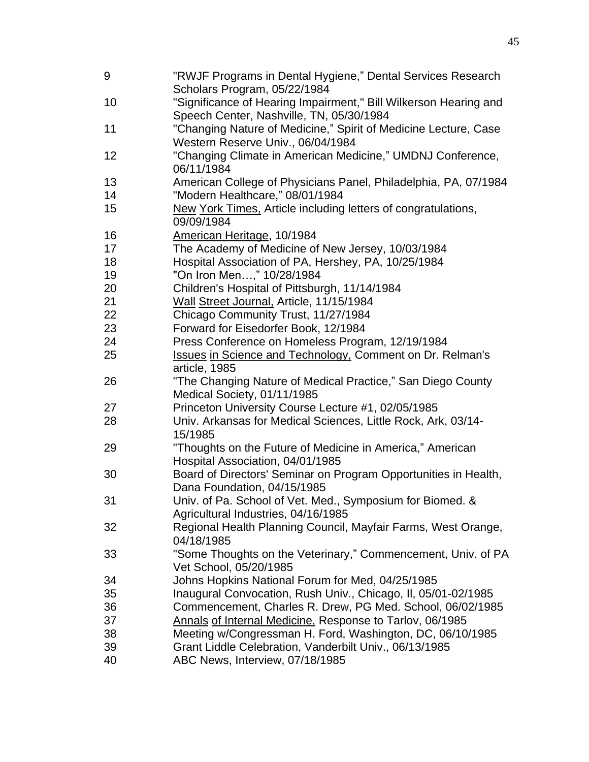| 9  | "RWJF Programs in Dental Hygiene," Dental Services Research<br>Scholars Program, 05/22/1984          |
|----|------------------------------------------------------------------------------------------------------|
| 10 | "Significance of Hearing Impairment," Bill Wilkerson Hearing and                                     |
|    | Speech Center, Nashville, TN, 05/30/1984                                                             |
| 11 | "Changing Nature of Medicine," Spirit of Medicine Lecture, Case<br>Western Reserve Univ., 06/04/1984 |
| 12 | "Changing Climate in American Medicine," UMDNJ Conference,                                           |
|    | 06/11/1984                                                                                           |
| 13 | American College of Physicians Panel, Philadelphia, PA, 07/1984                                      |
| 14 | "Modern Healthcare," 08/01/1984                                                                      |
| 15 | New York Times, Article including letters of congratulations,<br>09/09/1984                          |
| 16 | American Heritage, 10/1984                                                                           |
| 17 | The Academy of Medicine of New Jersey, 10/03/1984                                                    |
| 18 | Hospital Association of PA, Hershey, PA, 10/25/1984                                                  |
| 19 | "On Iron Men," 10/28/1984                                                                            |
| 20 | Children's Hospital of Pittsburgh, 11/14/1984                                                        |
| 21 | Wall Street Journal, Article, 11/15/1984                                                             |
| 22 | Chicago Community Trust, 11/27/1984                                                                  |
| 23 | Forward for Eisedorfer Book, 12/1984                                                                 |
| 24 | Press Conference on Homeless Program, 12/19/1984                                                     |
| 25 | <b>Issues in Science and Technology, Comment on Dr. Relman's</b>                                     |
|    | article, 1985                                                                                        |
| 26 | "The Changing Nature of Medical Practice," San Diego County                                          |
|    | Medical Society, 01/11/1985                                                                          |
| 27 | Princeton University Course Lecture #1, 02/05/1985                                                   |
| 28 | Univ. Arkansas for Medical Sciences, Little Rock, Ark, 03/14-                                        |
|    | 15/1985                                                                                              |
| 29 | "Thoughts on the Future of Medicine in America," American                                            |
|    | Hospital Association, 04/01/1985                                                                     |
| 30 | Board of Directors' Seminar on Program Opportunities in Health,                                      |
|    | Dana Foundation, 04/15/1985                                                                          |
| 31 | Univ. of Pa. School of Vet. Med., Symposium for Biomed. &                                            |
|    | Agricultural Industries, 04/16/1985                                                                  |
| 32 | Regional Health Planning Council, Mayfair Farms, West Orange,                                        |
|    | 04/18/1985                                                                                           |
| 33 | "Some Thoughts on the Veterinary," Commencement, Univ. of PA                                         |
|    | Vet School, 05/20/1985                                                                               |
| 34 | Johns Hopkins National Forum for Med, 04/25/1985                                                     |
| 35 | Inaugural Convocation, Rush Univ., Chicago, II, 05/01-02/1985                                        |
| 36 | Commencement, Charles R. Drew, PG Med. School, 06/02/1985                                            |
| 37 | Annals of Internal Medicine, Response to Tarlov, 06/1985                                             |
| 38 | Meeting w/Congressman H. Ford, Washington, DC, 06/10/1985                                            |
| 39 | Grant Liddle Celebration, Vanderbilt Univ., 06/13/1985                                               |
| 40 | ABC News, Interview, 07/18/1985                                                                      |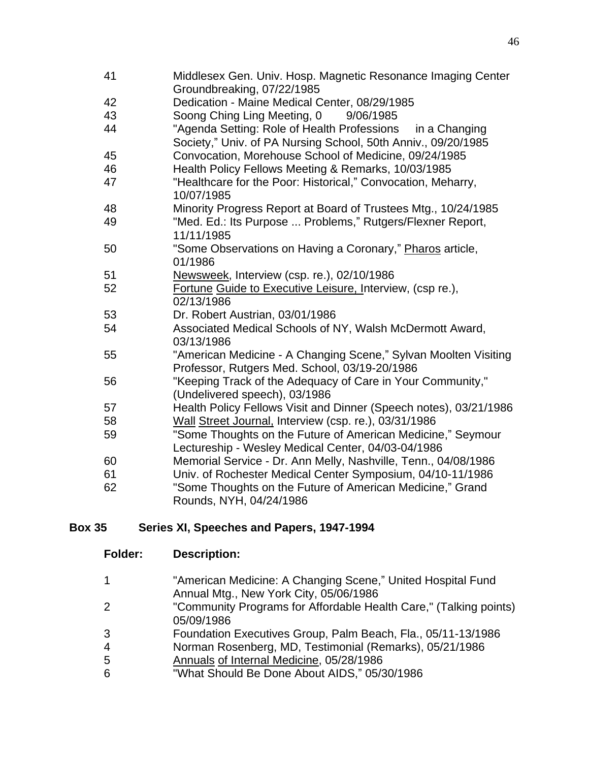| 41 | Middlesex Gen. Univ. Hosp. Magnetic Resonance Imaging Center                                                                  |
|----|-------------------------------------------------------------------------------------------------------------------------------|
|    | Groundbreaking, 07/22/1985                                                                                                    |
| 42 | Dedication - Maine Medical Center, 08/29/1985                                                                                 |
| 43 | Soong Ching Ling Meeting, 0 9/06/1985                                                                                         |
| 44 | "Agenda Setting: Role of Health Professions<br>in a Changing<br>Society," Univ. of PA Nursing School, 50th Anniv., 09/20/1985 |
| 45 | Convocation, Morehouse School of Medicine, 09/24/1985                                                                         |
| 46 | Health Policy Fellows Meeting & Remarks, 10/03/1985                                                                           |
| 47 | "Healthcare for the Poor: Historical," Convocation, Meharry,<br>10/07/1985                                                    |
| 48 | Minority Progress Report at Board of Trustees Mtg., 10/24/1985                                                                |
| 49 | "Med. Ed.: Its Purpose  Problems," Rutgers/Flexner Report,<br>11/11/1985                                                      |
| 50 | "Some Observations on Having a Coronary," Pharos article,<br>01/1986                                                          |
| 51 | Newsweek, Interview (csp. re.), 02/10/1986                                                                                    |
| 52 | Fortune Guide to Executive Leisure, Interview, (csp re.),<br>02/13/1986                                                       |
| 53 | Dr. Robert Austrian, 03/01/1986                                                                                               |
| 54 | Associated Medical Schools of NY, Walsh McDermott Award,<br>03/13/1986                                                        |
| 55 | "American Medicine - A Changing Scene," Sylvan Moolten Visiting<br>Professor, Rutgers Med. School, 03/19-20/1986              |
| 56 | "Keeping Track of the Adequacy of Care in Your Community,"<br>(Undelivered speech), 03/1986                                   |
| 57 | Health Policy Fellows Visit and Dinner (Speech notes), 03/21/1986                                                             |
| 58 | Wall Street Journal, Interview (csp. re.), 03/31/1986                                                                         |
| 59 | "Some Thoughts on the Future of American Medicine," Seymour<br>Lectureship - Wesley Medical Center, 04/03-04/1986             |
| 60 | Memorial Service - Dr. Ann Melly, Nashville, Tenn., 04/08/1986                                                                |
| 61 | Univ. of Rochester Medical Center Symposium, 04/10-11/1986                                                                    |
| 62 | "Some Thoughts on the Future of American Medicine," Grand<br>Rounds, NYH, 04/24/1986                                          |
|    |                                                                                                                               |

# **Box 35 Series XI, Speeches and Papers, 1947-1994**

| $\mathbf 1$    | "American Medicine: A Changing Scene," United Hospital Fund       |
|----------------|-------------------------------------------------------------------|
|                | Annual Mtg., New York City, 05/06/1986                            |
| 2              | "Community Programs for Affordable Health Care," (Talking points) |
|                | 05/09/1986                                                        |
| 3              | Foundation Executives Group, Palm Beach, Fla., 05/11-13/1986      |
| $\overline{4}$ | Norman Rosenberg, MD, Testimonial (Remarks), 05/21/1986           |
| 5              | Annuals of Internal Medicine, 05/28/1986                          |
| 6              | "What Should Be Done About AIDS," 05/30/1986                      |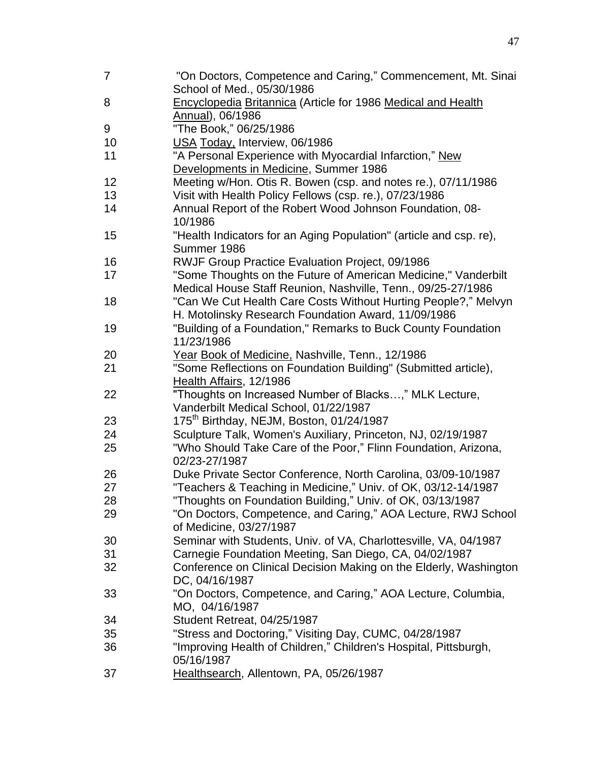| $\overline{7}$ | "On Doctors, Competence and Caring," Commencement, Mt. Sinai                                                                |
|----------------|-----------------------------------------------------------------------------------------------------------------------------|
| 8              | School of Med., 05/30/1986<br><b>Encyclopedia Britannica (Article for 1986 Medical and Health</b>                           |
|                | Annual), 06/1986                                                                                                            |
| 9              | "The Book," 06/25/1986                                                                                                      |
| 10             | USA Today, Interview, 06/1986                                                                                               |
| 11             | "A Personal Experience with Myocardial Infarction," New                                                                     |
|                | Developments in Medicine, Summer 1986                                                                                       |
| 12             | Meeting w/Hon. Otis R. Bowen (csp. and notes re.), 07/11/1986                                                               |
| 13             | Visit with Health Policy Fellows (csp. re.), 07/23/1986                                                                     |
| 14             | Annual Report of the Robert Wood Johnson Foundation, 08-<br>10/1986                                                         |
| 15             | "Health Indicators for an Aging Population" (article and csp. re),                                                          |
|                | Summer 1986                                                                                                                 |
| 16             | RWJF Group Practice Evaluation Project, 09/1986                                                                             |
| 17             | "Some Thoughts on the Future of American Medicine," Vanderbilt                                                              |
|                | Medical House Staff Reunion, Nashville, Tenn., 09/25-27/1986                                                                |
| 18             | "Can We Cut Health Care Costs Without Hurting People?," Melvyn                                                              |
|                | H. Motolinsky Research Foundation Award, 11/09/1986                                                                         |
| 19             | "Building of a Foundation," Remarks to Buck County Foundation                                                               |
|                | 11/23/1986                                                                                                                  |
| 20             | Year Book of Medicine, Nashville, Tenn., 12/1986                                                                            |
| 21             | "Some Reflections on Foundation Building" (Submitted article),<br>Health Affairs, 12/1986                                   |
| 22             | "Thoughts on Increased Number of Blacks," MLK Lecture,                                                                      |
|                | Vanderbilt Medical School, 01/22/1987                                                                                       |
| 23             | 175 <sup>th</sup> Birthday, NEJM, Boston, 01/24/1987                                                                        |
| 24             | Sculpture Talk, Women's Auxiliary, Princeton, NJ, 02/19/1987                                                                |
| 25             | "Who Should Take Care of the Poor," Flinn Foundation, Arizona,                                                              |
|                | 02/23-27/1987                                                                                                               |
| 26             | Duke Private Sector Conference, North Carolina, 03/09-10/1987                                                               |
| 27             | "Teachers & Teaching in Medicine," Univ. of OK, 03/12-14/1987                                                               |
| 28             | "Thoughts on Foundation Building," Univ. of OK, 03/13/1987                                                                  |
| 29             | "On Doctors, Competence, and Caring," AOA Lecture, RWJ School                                                               |
|                | of Medicine, 03/27/1987                                                                                                     |
| 30<br>31       | Seminar with Students, Univ. of VA, Charlottesville, VA, 04/1987                                                            |
| 32             | Carnegie Foundation Meeting, San Diego, CA, 04/02/1987<br>Conference on Clinical Decision Making on the Elderly, Washington |
|                | DC, 04/16/1987                                                                                                              |
| 33             | "On Doctors, Competence, and Caring," AOA Lecture, Columbia,                                                                |
|                | MO, 04/16/1987                                                                                                              |
| 34             | Student Retreat, 04/25/1987                                                                                                 |
| 35             | "Stress and Doctoring," Visiting Day, CUMC, 04/28/1987                                                                      |
| 36             | "Improving Health of Children," Children's Hospital, Pittsburgh,                                                            |
|                | 05/16/1987                                                                                                                  |
| 37             | Healthsearch, Allentown, PA, 05/26/1987                                                                                     |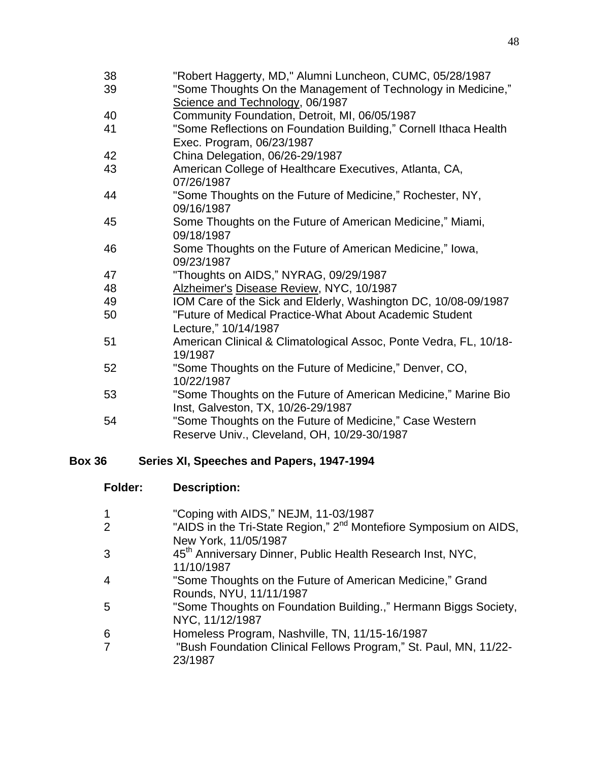| 38<br>39 | "Robert Haggerty, MD," Alumni Luncheon, CUMC, 05/28/1987<br>"Some Thoughts On the Management of Technology in Medicine," |
|----------|--------------------------------------------------------------------------------------------------------------------------|
|          | Science and Technology, 06/1987                                                                                          |
| 40       | Community Foundation, Detroit, MI, 06/05/1987                                                                            |
| 41       | "Some Reflections on Foundation Building," Cornell Ithaca Health<br>Exec. Program, 06/23/1987                            |
| 42       | China Delegation, 06/26-29/1987                                                                                          |
| 43       | American College of Healthcare Executives, Atlanta, CA,<br>07/26/1987                                                    |
| 44       | "Some Thoughts on the Future of Medicine," Rochester, NY,<br>09/16/1987                                                  |
| 45       | Some Thoughts on the Future of American Medicine," Miami,<br>09/18/1987                                                  |
| 46       | Some Thoughts on the Future of American Medicine," Iowa,<br>09/23/1987                                                   |
| 47       | "Thoughts on AIDS," NYRAG, 09/29/1987                                                                                    |
| 48       | Alzheimer's Disease Review, NYC, 10/1987                                                                                 |
| 49       | IOM Care of the Sick and Elderly, Washington DC, 10/08-09/1987                                                           |
| 50       | "Future of Medical Practice-What About Academic Student<br>Lecture," 10/14/1987                                          |
| 51       | American Clinical & Climatological Assoc, Ponte Vedra, FL, 10/18-                                                        |
|          | 19/1987                                                                                                                  |
| 52       | "Some Thoughts on the Future of Medicine," Denver, CO,<br>10/22/1987                                                     |
| 53       | "Some Thoughts on the Future of American Medicine," Marine Bio<br>Inst, Galveston, TX, 10/26-29/1987                     |
| 54       | "Some Thoughts on the Future of Medicine," Case Western<br>Reserve Univ., Cleveland, OH, 10/29-30/1987                   |
|          |                                                                                                                          |

# **Box 36 Series XI, Speeches and Papers, 1947-1994**

| 1              | "Coping with AIDS," NEJM, 11-03/1987                                          |
|----------------|-------------------------------------------------------------------------------|
| $\overline{2}$ | "AIDS in the Tri-State Region," 2 <sup>nd</sup> Montefiore Symposium on AIDS, |
|                | New York, 11/05/1987                                                          |
| 3              | 45 <sup>th</sup> Anniversary Dinner, Public Health Research Inst, NYC,        |
|                | 11/10/1987                                                                    |
| 4              | "Some Thoughts on the Future of American Medicine," Grand                     |
|                | Rounds, NYU, 11/11/1987                                                       |
| 5              | "Some Thoughts on Foundation Building.," Hermann Biggs Society,               |
|                | NYC, 11/12/1987                                                               |
| 6              | Homeless Program, Nashville, TN, 11/15-16/1987                                |
| 7              | "Bush Foundation Clinical Fellows Program," St. Paul, MN, 11/22-              |
|                | 23/1987                                                                       |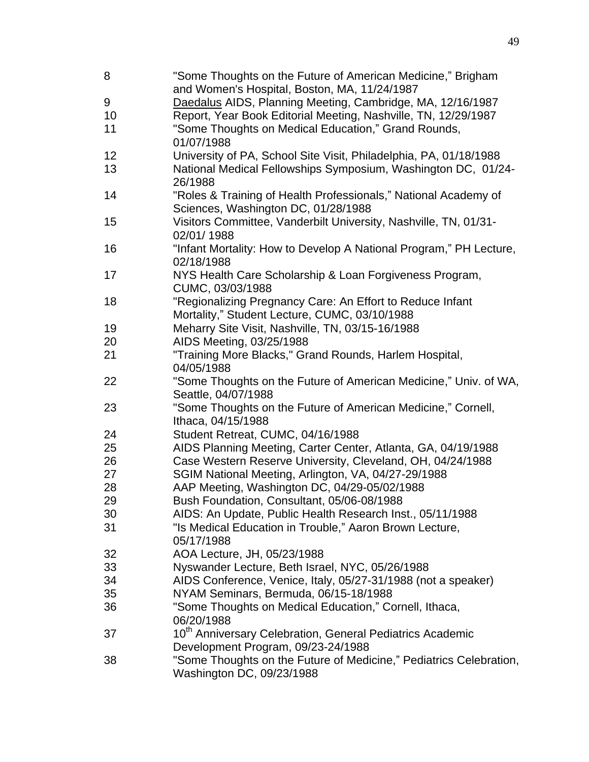| 8  | "Some Thoughts on the Future of American Medicine," Brigham<br>and Women's Hospital, Boston, MA, 11/24/1987 |
|----|-------------------------------------------------------------------------------------------------------------|
| 9  | Daedalus AIDS, Planning Meeting, Cambridge, MA, 12/16/1987                                                  |
| 10 | Report, Year Book Editorial Meeting, Nashville, TN, 12/29/1987                                              |
| 11 | "Some Thoughts on Medical Education," Grand Rounds,                                                         |
|    | 01/07/1988                                                                                                  |
| 12 | University of PA, School Site Visit, Philadelphia, PA, 01/18/1988                                           |
| 13 | National Medical Fellowships Symposium, Washington DC, 01/24-<br>26/1988                                    |
| 14 | "Roles & Training of Health Professionals," National Academy of<br>Sciences, Washington DC, 01/28/1988      |
| 15 | Visitors Committee, Vanderbilt University, Nashville, TN, 01/31-<br>02/01/1988                              |
| 16 | "Infant Mortality: How to Develop A National Program," PH Lecture,                                          |
|    | 02/18/1988                                                                                                  |
| 17 | NYS Health Care Scholarship & Loan Forgiveness Program,                                                     |
|    | CUMC, 03/03/1988                                                                                            |
| 18 | "Regionalizing Pregnancy Care: An Effort to Reduce Infant                                                   |
|    | Mortality," Student Lecture, CUMC, 03/10/1988                                                               |
| 19 |                                                                                                             |
|    | Meharry Site Visit, Nashville, TN, 03/15-16/1988                                                            |
| 20 | AIDS Meeting, 03/25/1988                                                                                    |
| 21 | "Training More Blacks," Grand Rounds, Harlem Hospital,<br>04/05/1988                                        |
| 22 | "Some Thoughts on the Future of American Medicine," Univ. of WA,<br>Seattle, 04/07/1988                     |
| 23 | "Some Thoughts on the Future of American Medicine," Cornell,<br>Ithaca, 04/15/1988                          |
| 24 | Student Retreat, CUMC, 04/16/1988                                                                           |
| 25 | AIDS Planning Meeting, Carter Center, Atlanta, GA, 04/19/1988                                               |
| 26 | Case Western Reserve University, Cleveland, OH, 04/24/1988                                                  |
| 27 |                                                                                                             |
|    | SGIM National Meeting, Arlington, VA, 04/27-29/1988                                                         |
| 28 | AAP Meeting, Washington DC, 04/29-05/02/1988                                                                |
| 29 | Bush Foundation, Consultant, 05/06-08/1988                                                                  |
| 30 | AIDS: An Update, Public Health Research Inst., 05/11/1988                                                   |
| 31 | "Is Medical Education in Trouble," Aaron Brown Lecture,<br>05/17/1988                                       |
| 32 | AOA Lecture, JH, 05/23/1988                                                                                 |
| 33 | Nyswander Lecture, Beth Israel, NYC, 05/26/1988                                                             |
| 34 | AIDS Conference, Venice, Italy, 05/27-31/1988 (not a speaker)                                               |
| 35 | NYAM Seminars, Bermuda, 06/15-18/1988                                                                       |
| 36 | "Some Thoughts on Medical Education," Cornell, Ithaca,                                                      |
|    | 06/20/1988                                                                                                  |
| 37 | 10 <sup>th</sup> Anniversary Celebration, General Pediatrics Academic                                       |
|    | Development Program, 09/23-24/1988                                                                          |
| 38 | "Some Thoughts on the Future of Medicine," Pediatrics Celebration,                                          |
|    | Washington DC, 09/23/1988                                                                                   |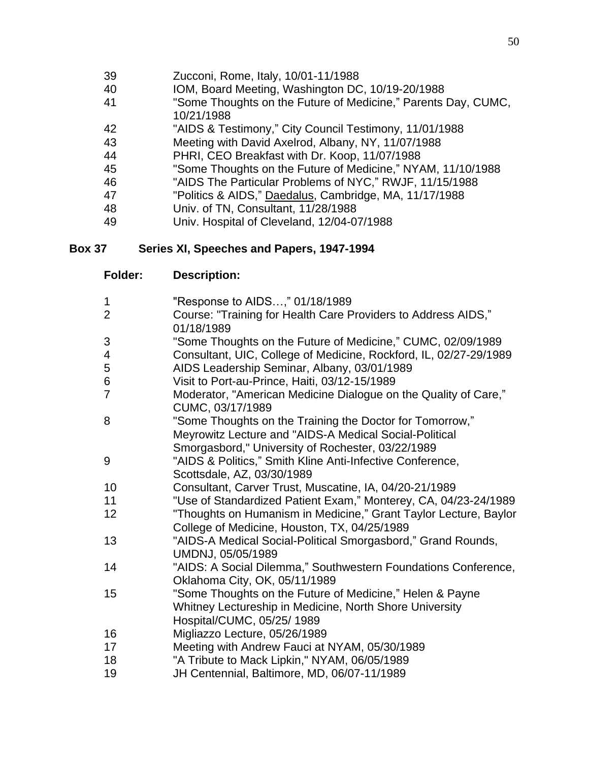- Zucconi, Rome, Italy, 10/01-11/1988
- IOM, Board Meeting, Washington DC, 10/19-20/1988
- "Some Thoughts on the Future of Medicine," Parents Day, CUMC, 10/21/1988
- "AIDS & Testimony," City Council Testimony, 11/01/1988
- Meeting with David Axelrod, Albany, NY, 11/07/1988
- PHRI, CEO Breakfast with Dr. Koop, 11/07/1988
- "Some Thoughts on the Future of Medicine," NYAM, 11/10/1988
- "AIDS The Particular Problems of NYC," RWJF, 11/15/1988
- "Politics & AIDS," Daedalus, Cambridge, MA, 11/17/1988
- Univ. of TN, Consultant, 11/28/1988
- Univ. Hospital of Cleveland, 12/04-07/1988

#### **Box 37 Series XI, Speeches and Papers, 1947-1994**

| $\mathbf{1}$   | "Response to AIDS," 01/18/1989                                                                                   |
|----------------|------------------------------------------------------------------------------------------------------------------|
| 2              | Course: "Training for Health Care Providers to Address AIDS,"<br>01/18/1989                                      |
| 3              | "Some Thoughts on the Future of Medicine," CUMC, 02/09/1989                                                      |
| $\overline{4}$ | Consultant, UIC, College of Medicine, Rockford, IL, 02/27-29/1989                                                |
| 5              | AIDS Leadership Seminar, Albany, 03/01/1989                                                                      |
| 6              | Visit to Port-au-Prince, Haiti, 03/12-15/1989                                                                    |
| $\overline{7}$ | Moderator, "American Medicine Dialogue on the Quality of Care,"<br>CUMC, 03/17/1989                              |
| 8              | "Some Thoughts on the Training the Doctor for Tomorrow,"                                                         |
|                | Meyrowitz Lecture and "AIDS-A Medical Social-Political                                                           |
|                | Smorgasbord," University of Rochester, 03/22/1989                                                                |
| 9              | "AIDS & Politics," Smith Kline Anti-Infective Conference,                                                        |
|                | Scottsdale, AZ, 03/30/1989                                                                                       |
| 10             | Consultant, Carver Trust, Muscatine, IA, 04/20-21/1989                                                           |
| 11             | "Use of Standardized Patient Exam," Monterey, CA, 04/23-24/1989                                                  |
| 12             | "Thoughts on Humanism in Medicine," Grant Taylor Lecture, Baylor<br>College of Medicine, Houston, TX, 04/25/1989 |
| 13             | "AIDS-A Medical Social-Political Smorgasbord," Grand Rounds,                                                     |
|                | UMDNJ, 05/05/1989                                                                                                |
| 14             | "AIDS: A Social Dilemma," Southwestern Foundations Conference,<br>Oklahoma City, OK, 05/11/1989                  |
| 15             | "Some Thoughts on the Future of Medicine," Helen & Payne                                                         |
|                | Whitney Lectureship in Medicine, North Shore University                                                          |
|                | Hospital/CUMC, 05/25/ 1989                                                                                       |
| 16             | Migliazzo Lecture, 05/26/1989                                                                                    |
| 17             | Meeting with Andrew Fauci at NYAM, 05/30/1989                                                                    |
| 18             | "A Tribute to Mack Lipkin," NYAM, 06/05/1989                                                                     |
| 19             | JH Centennial, Baltimore, MD, 06/07-11/1989                                                                      |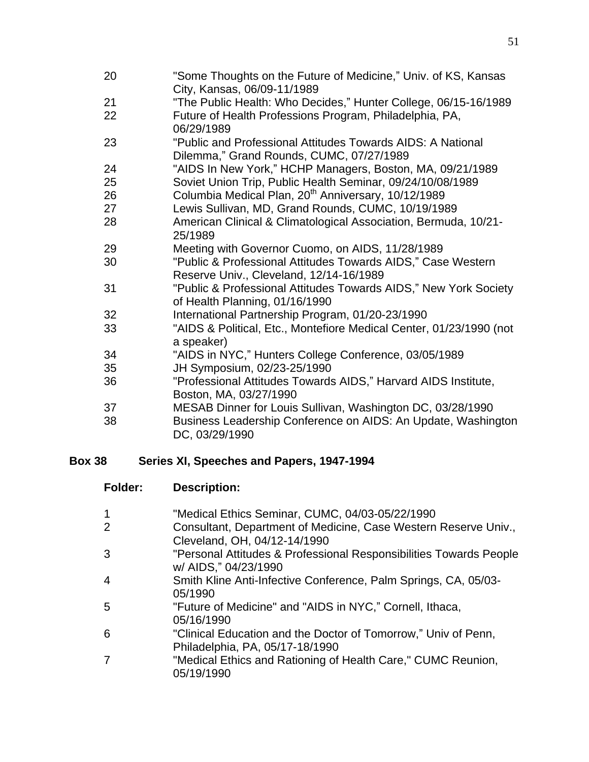"Some Thoughts on the Future of Medicine," Univ. of KS, Kansas City, Kansas, 06/09-11/1989 "The Public Health: Who Decides," Hunter College, 06/15-16/1989 Future of Health Professions Program, Philadelphia, PA, 06/29/1989 "Public and Professional Attitudes Towards AIDS: A National Dilemma," Grand Rounds, CUMC, 07/27/1989 "AIDS In New York," HCHP Managers, Boston, MA, 09/21/1989 Soviet Union Trip, Public Health Seminar, 09/24/10/08/1989 26 Columbia Medical Plan, 20<sup>th</sup> Anniversary, 10/12/1989 Lewis Sullivan, MD, Grand Rounds, CUMC, 10/19/1989 American Clinical & Climatological Association, Bermuda, 10/21- 25/1989 Meeting with Governor Cuomo, on AIDS, 11/28/1989 "Public & Professional Attitudes Towards AIDS," Case Western Reserve Univ., Cleveland, 12/14-16/1989 "Public & Professional Attitudes Towards AIDS," New York Society of Health Planning, 01/16/1990 International Partnership Program, 01/20-23/1990 "AIDS & Political, Etc., Montefiore Medical Center, 01/23/1990 (not a speaker) "AIDS in NYC," Hunters College Conference, 03/05/1989 JH Symposium, 02/23-25/1990 "Professional Attitudes Towards AIDS," Harvard AIDS Institute, Boston, MA, 03/27/1990 MESAB Dinner for Louis Sullivan, Washington DC, 03/28/1990 Business Leadership Conference on AIDS: An Update, Washington DC, 03/29/1990

### **Box 38 Series XI, Speeches and Papers, 1947-1994**

| <b>Folder:</b> | <b>Description:</b> |
|----------------|---------------------|
|                |                     |

| 1 | "Medical Ethics Seminar, CUMC, 04/03-05/22/1990                                                   |
|---|---------------------------------------------------------------------------------------------------|
| 2 | Consultant, Department of Medicine, Case Western Reserve Univ.,                                   |
|   | Cleveland, OH, 04/12-14/1990                                                                      |
| 3 | "Personal Attitudes & Professional Responsibilities Towards People<br>w/ AIDS," 04/23/1990        |
| 4 | Smith Kline Anti-Infective Conference, Palm Springs, CA, 05/03-<br>05/1990                        |
| 5 | "Future of Medicine" and "AIDS in NYC," Cornell, Ithaca,<br>05/16/1990                            |
| 6 | "Clinical Education and the Doctor of Tomorrow," Univ of Penn,<br>Philadelphia, PA, 05/17-18/1990 |
| 7 | "Medical Ethics and Rationing of Health Care," CUMC Reunion,<br>05/19/1990                        |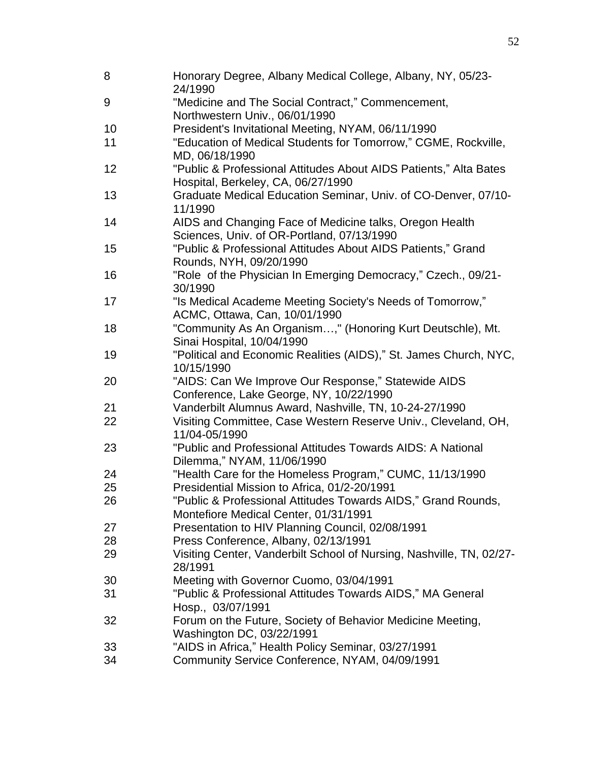| 8  | Honorary Degree, Albany Medical College, Albany, NY, 05/23-<br>24/1990                                  |
|----|---------------------------------------------------------------------------------------------------------|
| 9  | "Medicine and The Social Contract," Commencement,<br>Northwestern Univ., 06/01/1990                     |
| 10 | President's Invitational Meeting, NYAM, 06/11/1990                                                      |
| 11 | "Education of Medical Students for Tomorrow," CGME, Rockville,<br>MD, 06/18/1990                        |
| 12 | "Public & Professional Attitudes About AIDS Patients," Alta Bates<br>Hospital, Berkeley, CA, 06/27/1990 |
| 13 | Graduate Medical Education Seminar, Univ. of CO-Denver, 07/10-<br>11/1990                               |
| 14 | AIDS and Changing Face of Medicine talks, Oregon Health<br>Sciences, Univ. of OR-Portland, 07/13/1990   |
| 15 | "Public & Professional Attitudes About AIDS Patients," Grand<br>Rounds, NYH, 09/20/1990                 |
| 16 | "Role of the Physician In Emerging Democracy," Czech., 09/21-<br>30/1990                                |
| 17 | "Is Medical Academe Meeting Society's Needs of Tomorrow,"<br>ACMC, Ottawa, Can, 10/01/1990              |
| 18 | "Community As An Organism," (Honoring Kurt Deutschle), Mt.<br>Sinai Hospital, 10/04/1990                |
| 19 | "Political and Economic Realities (AIDS)," St. James Church, NYC,<br>10/15/1990                         |
| 20 | "AIDS: Can We Improve Our Response," Statewide AIDS<br>Conference, Lake George, NY, 10/22/1990          |
| 21 | Vanderbilt Alumnus Award, Nashville, TN, 10-24-27/1990                                                  |
| 22 | Visiting Committee, Case Western Reserve Univ., Cleveland, OH,<br>11/04-05/1990                         |
| 23 | "Public and Professional Attitudes Towards AIDS: A National<br>Dilemma," NYAM, 11/06/1990               |
| 24 | "Health Care for the Homeless Program," CUMC, 11/13/1990                                                |
| 25 | Presidential Mission to Africa, 01/2-20/1991                                                            |
| 26 | "Public & Professional Attitudes Towards AIDS," Grand Rounds,                                           |
|    | Montefiore Medical Center, 01/31/1991                                                                   |
| 27 | Presentation to HIV Planning Council, 02/08/1991                                                        |
| 28 | Press Conference, Albany, 02/13/1991                                                                    |
| 29 | Visiting Center, Vanderbilt School of Nursing, Nashville, TN, 02/27-<br>28/1991                         |

- Meeting with Governor Cuomo, 03/04/1991
- "Public & Professional Attitudes Towards AIDS," MA General Hosp., 03/07/1991
- Forum on the Future, Society of Behavior Medicine Meeting, Washington DC, 03/22/1991
- "AIDS in Africa," Health Policy Seminar, 03/27/1991
- Community Service Conference, NYAM, 04/09/1991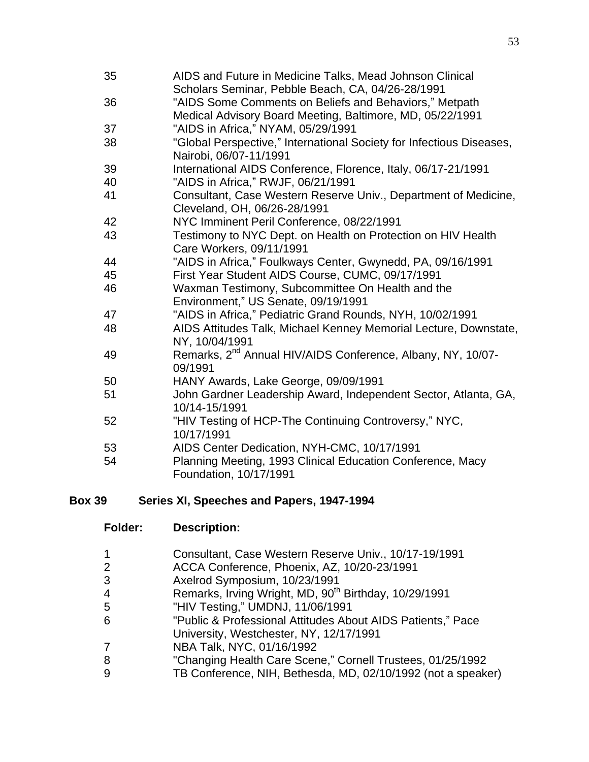| AIDS and Future in Medicine Talks, Mead Johnson Clinical<br>Scholars Seminar, Pebble Beach, CA, 04/26-28/1991       |
|---------------------------------------------------------------------------------------------------------------------|
| "AIDS Some Comments on Beliefs and Behaviors," Metpath<br>Medical Advisory Board Meeting, Baltimore, MD, 05/22/1991 |
| "AIDS in Africa," NYAM, 05/29/1991                                                                                  |
| "Global Perspective," International Society for Infectious Diseases,<br>Nairobi, 06/07-11/1991                      |
| International AIDS Conference, Florence, Italy, 06/17-21/1991                                                       |
| "AIDS in Africa," RWJF, 06/21/1991                                                                                  |
| Consultant, Case Western Reserve Univ., Department of Medicine,<br>Cleveland, OH, 06/26-28/1991                     |
| NYC Imminent Peril Conference, 08/22/1991                                                                           |
| Testimony to NYC Dept. on Health on Protection on HIV Health<br>Care Workers, 09/11/1991                            |
| "AIDS in Africa," Foulkways Center, Gwynedd, PA, 09/16/1991                                                         |
| First Year Student AIDS Course, CUMC, 09/17/1991                                                                    |
| Waxman Testimony, Subcommittee On Health and the<br>Environment," US Senate, 09/19/1991                             |
| "AIDS in Africa," Pediatric Grand Rounds, NYH, 10/02/1991                                                           |
| AIDS Attitudes Talk, Michael Kenney Memorial Lecture, Downstate,<br>NY, 10/04/1991                                  |
| Remarks, 2 <sup>nd</sup> Annual HIV/AIDS Conference, Albany, NY, 10/07-<br>09/1991                                  |
| HANY Awards, Lake George, 09/09/1991                                                                                |
| John Gardner Leadership Award, Independent Sector, Atlanta, GA,<br>10/14-15/1991                                    |
| "HIV Testing of HCP-The Continuing Controversy," NYC,<br>10/17/1991                                                 |
| AIDS Center Dedication, NYH-CMC, 10/17/1991                                                                         |
| Planning Meeting, 1993 Clinical Education Conference, Macy<br>Foundation, 10/17/1991                                |
|                                                                                                                     |

#### **Box 39 Series XI, Speeches and Papers, 1947-1994**

- Consultant, Case Western Reserve Univ., 10/17-19/1991
- ACCA Conference, Phoenix, AZ, 10/20-23/1991
- 
- 3 Axelrod Symposium, 10/23/1991<br>4 Remarks, Irving Wright, MD, 90<sup>th</sup> 4 Remarks, Irving Wright, MD, 90<sup>th</sup> Birthday, 10/29/1991<br>5 THIV Testing," UMDNJ, 11/06/1991
- "HIV Testing," UMDNJ, 11/06/1991
- "Public & Professional Attitudes About AIDS Patients," Pace University, Westchester, NY, 12/17/1991
- NBA Talk, NYC, 01/16/1992
- "Changing Health Care Scene," Cornell Trustees, 01/25/1992
- TB Conference, NIH, Bethesda, MD, 02/10/1992 (not a speaker)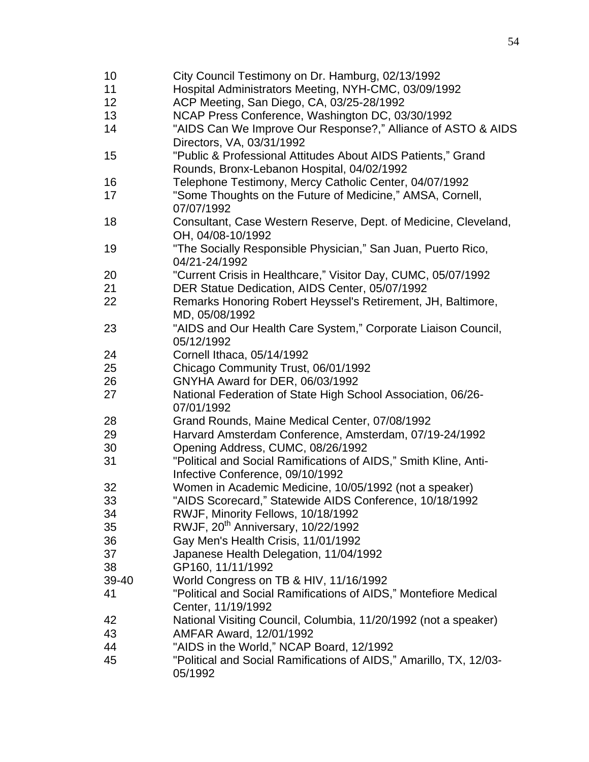| 10    | City Council Testimony on Dr. Hamburg, 02/13/1992                  |
|-------|--------------------------------------------------------------------|
| 11    | Hospital Administrators Meeting, NYH-CMC, 03/09/1992               |
| 12    | ACP Meeting, San Diego, CA, 03/25-28/1992                          |
| 13    | NCAP Press Conference, Washington DC, 03/30/1992                   |
| 14    | "AIDS Can We Improve Our Response?," Alliance of ASTO & AIDS       |
|       | Directors, VA, 03/31/1992                                          |
| 15    | "Public & Professional Attitudes About AIDS Patients," Grand       |
|       | Rounds, Bronx-Lebanon Hospital, 04/02/1992                         |
| 16    | Telephone Testimony, Mercy Catholic Center, 04/07/1992             |
| 17    | "Some Thoughts on the Future of Medicine," AMSA, Cornell,          |
|       | 07/07/1992                                                         |
| 18    | Consultant, Case Western Reserve, Dept. of Medicine, Cleveland,    |
|       | OH, 04/08-10/1992                                                  |
| 19    | "The Socially Responsible Physician," San Juan, Puerto Rico,       |
|       | 04/21-24/1992                                                      |
| 20    | "Current Crisis in Healthcare," Visitor Day, CUMC, 05/07/1992      |
| 21    | DER Statue Dedication, AIDS Center, 05/07/1992                     |
| 22    | Remarks Honoring Robert Heyssel's Retirement, JH, Baltimore,       |
|       | MD, 05/08/1992                                                     |
| 23    | "AIDS and Our Health Care System," Corporate Liaison Council,      |
|       | 05/12/1992                                                         |
| 24    | Cornell Ithaca, 05/14/1992                                         |
| 25    | Chicago Community Trust, 06/01/1992                                |
| 26    | GNYHA Award for DER, 06/03/1992                                    |
| 27    | National Federation of State High School Association, 06/26-       |
|       | 07/01/1992                                                         |
| 28    | Grand Rounds, Maine Medical Center, 07/08/1992                     |
| 29    | Harvard Amsterdam Conference, Amsterdam, 07/19-24/1992             |
| 30    | Opening Address, CUMC, 08/26/1992                                  |
| 31    | "Political and Social Ramifications of AIDS," Smith Kline, Anti-   |
|       | Infective Conference, 09/10/1992                                   |
| 32    | Women in Academic Medicine, 10/05/1992 (not a speaker)             |
| 33    | "AIDS Scorecard," Statewide AIDS Conference, 10/18/1992            |
| 34    | RWJF, Minority Fellows, 10/18/1992                                 |
| 35    | RWJF, 20 <sup>th</sup> Anniversary, 10/22/1992                     |
| 36    | Gay Men's Health Crisis, 11/01/1992                                |
| 37    | Japanese Health Delegation, 11/04/1992                             |
| 38    | GP160, 11/11/1992                                                  |
| 39-40 | World Congress on TB & HIV, 11/16/1992                             |
| 41    | "Political and Social Ramifications of AIDS," Montefiore Medical   |
|       | Center, 11/19/1992                                                 |
| 42    | National Visiting Council, Columbia, 11/20/1992 (not a speaker)    |
| 43    | AMFAR Award, 12/01/1992                                            |
| 44    | "AIDS in the World," NCAP Board, 12/1992                           |
| 45    | "Political and Social Ramifications of AIDS," Amarillo, TX, 12/03- |
|       | 05/1992                                                            |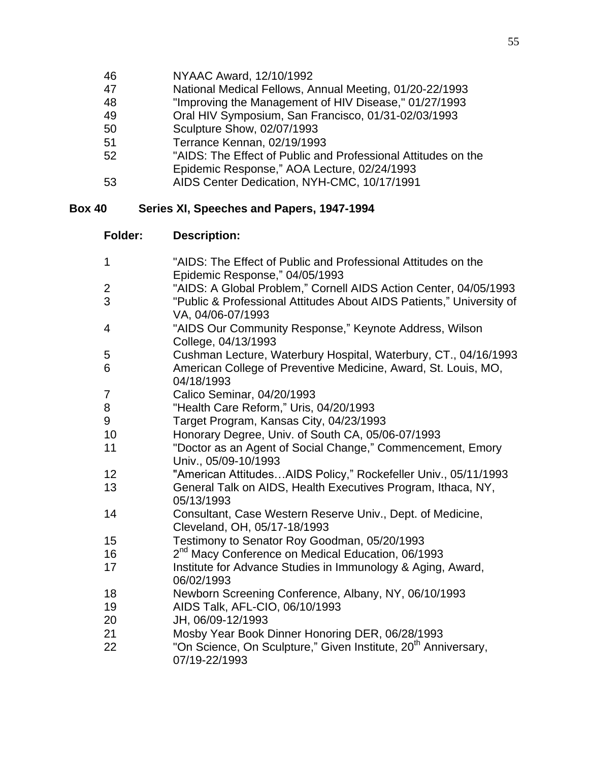- NYAAC Award, 12/10/1992
- National Medical Fellows, Annual Meeting, 01/20-22/1993
- "Improving the Management of HIV Disease," 01/27/1993
- Oral HIV Symposium, San Francisco, 01/31-02/03/1993
- Sculpture Show, 02/07/1993
- Terrance Kennan, 02/19/1993
- "AIDS: The Effect of Public and Professional Attitudes on the Epidemic Response," AOA Lecture, 02/24/1993
- AIDS Center Dedication, NYH-CMC, 10/17/1991

#### **Box 40 Series XI, Speeches and Papers, 1947-1994**

| $\mathbf{1}$   | "AIDS: The Effect of Public and Professional Attitudes on the                               |
|----------------|---------------------------------------------------------------------------------------------|
|                | Epidemic Response," 04/05/1993                                                              |
| $\overline{2}$ | "AIDS: A Global Problem," Cornell AIDS Action Center, 04/05/1993                            |
| 3              | "Public & Professional Attitudes About AIDS Patients," University of                        |
|                | VA, 04/06-07/1993                                                                           |
| 4              | "AIDS Our Community Response," Keynote Address, Wilson                                      |
| 5              | College, 04/13/1993<br>Cushman Lecture, Waterbury Hospital, Waterbury, CT., 04/16/1993      |
|                | American College of Preventive Medicine, Award, St. Louis, MO,                              |
| 6              | 04/18/1993                                                                                  |
| 7              | Calico Seminar, 04/20/1993                                                                  |
| 8              | "Health Care Reform," Uris, 04/20/1993                                                      |
| 9              | Target Program, Kansas City, 04/23/1993                                                     |
| 10             | Honorary Degree, Univ. of South CA, 05/06-07/1993                                           |
| 11             | "Doctor as an Agent of Social Change," Commencement, Emory                                  |
|                | Univ., 05/09-10/1993                                                                        |
| 12             | "American AttitudesAIDS Policy," Rockefeller Univ., 05/11/1993                              |
| 13             | General Talk on AIDS, Health Executives Program, Ithaca, NY,<br>05/13/1993                  |
| 14             | Consultant, Case Western Reserve Univ., Dept. of Medicine,                                  |
|                | Cleveland, OH, 05/17-18/1993                                                                |
| 15             | Testimony to Senator Roy Goodman, 05/20/1993                                                |
| 16             | 2 <sup>nd</sup> Macy Conference on Medical Education, 06/1993                               |
| 17             | Institute for Advance Studies in Immunology & Aging, Award,<br>06/02/1993                   |
| 18             | Newborn Screening Conference, Albany, NY, 06/10/1993                                        |
| 19             | AIDS Talk, AFL-CIO, 06/10/1993                                                              |
| 20             | JH, 06/09-12/1993                                                                           |
| 21             | Mosby Year Book Dinner Honoring DER, 06/28/1993                                             |
| 22             | "On Science, On Sculpture," Given Institute, 20 <sup>th</sup> Anniversary,<br>07/19-22/1993 |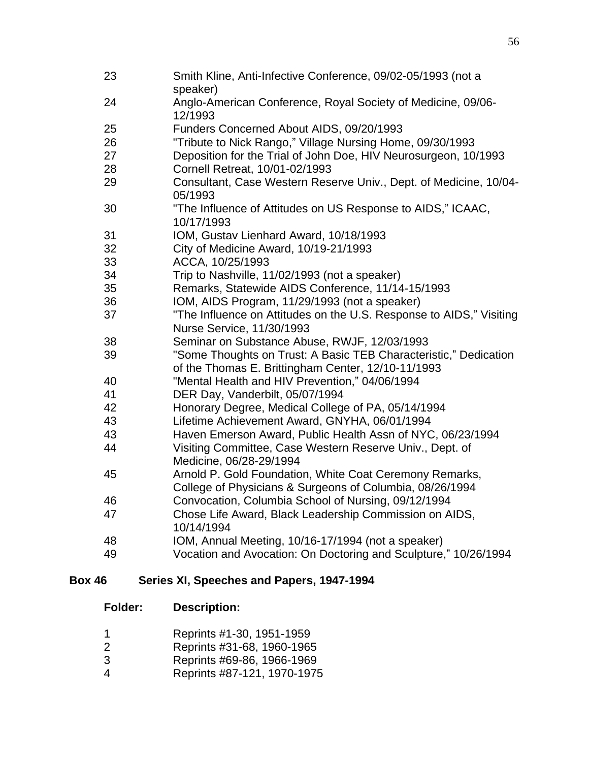- Smith Kline, Anti-Infective Conference, 09/02-05/1993 (not a speaker)
- Anglo-American Conference, Royal Society of Medicine, 09/06- 12/1993
- Funders Concerned About AIDS, 09/20/1993
- "Tribute to Nick Rango," Village Nursing Home, 09/30/1993
- Deposition for the Trial of John Doe, HIV Neurosurgeon, 10/1993
- Cornell Retreat, 10/01-02/1993
- Consultant, Case Western Reserve Univ., Dept. of Medicine, 10/04- 05/1993
- "The Influence of Attitudes on US Response to AIDS," ICAAC, 10/17/1993
- IOM, Gustav Lienhard Award, 10/18/1993
- City of Medicine Award, 10/19-21/1993
- ACCA, 10/25/1993
- Trip to Nashville, 11/02/1993 (not a speaker)
- Remarks, Statewide AIDS Conference, 11/14-15/1993
- IOM, AIDS Program, 11/29/1993 (not a speaker)
- "The Influence on Attitudes on the U.S. Response to AIDS," Visiting Nurse Service, 11/30/1993
- Seminar on Substance Abuse, RWJF, 12/03/1993
- "Some Thoughts on Trust: A Basic TEB Characteristic," Dedication of the Thomas E. Brittingham Center, 12/10-11/1993
- "Mental Health and HIV Prevention," 04/06/1994
- DER Day, Vanderbilt, 05/07/1994
- Honorary Degree, Medical College of PA, 05/14/1994
- Lifetime Achievement Award, GNYHA, 06/01/1994
- Haven Emerson Award, Public Health Assn of NYC, 06/23/1994
- Visiting Committee, Case Western Reserve Univ., Dept. of Medicine, 06/28-29/1994
- Arnold P. Gold Foundation, White Coat Ceremony Remarks, College of Physicians & Surgeons of Columbia, 08/26/1994
- Convocation, Columbia School of Nursing, 09/12/1994
- Chose Life Award, Black Leadership Commission on AIDS, 10/14/1994
- IOM, Annual Meeting, 10/16-17/1994 (not a speaker)
- Vocation and Avocation: On Doctoring and Sculpture," 10/26/1994

### **Box 46 Series XI, Speeches and Papers, 1947-1994**

- Reprints #1-30, 1951-1959
- Reprints #31-68, 1960-1965
- Reprints #69-86, 1966-1969
- Reprints #87-121, 1970-1975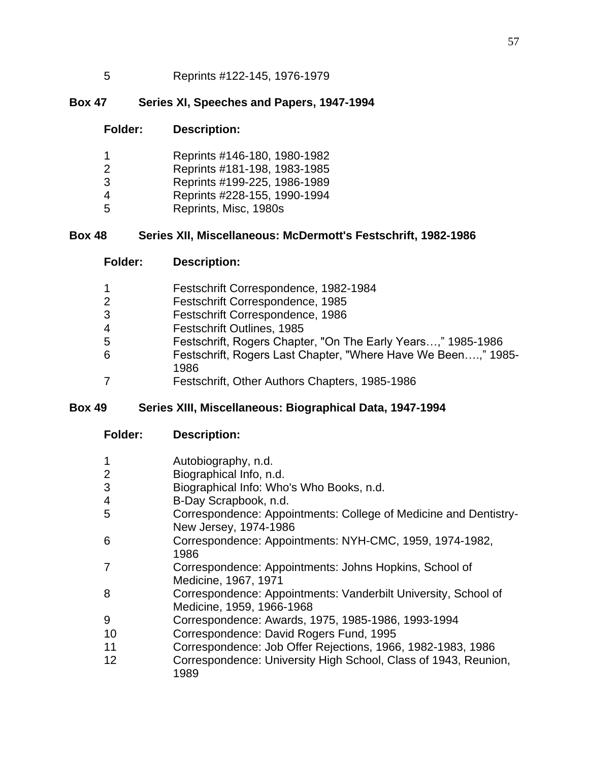Reprints #122-145, 1976-1979

## **Box 47 Series XI, Speeches and Papers, 1947-1994**

| <b>Folder:</b> | <b>Description:</b>          |
|----------------|------------------------------|
| -1             | Reprints #146-180, 1980-1982 |
| $\mathcal{P}$  | Reprints #181-198, 1983-1985 |
| 3              | Reprints #199-225, 1986-1989 |
|                | Reprints #228-155, 1990-1994 |
| 5              | Reprints, Misc, 1980s        |

## **Box 48 Series XII, Miscellaneous: McDermott's Festschrift, 1982-1986**

| 1              | Festschrift Correspondence, 1982-1984                         |
|----------------|---------------------------------------------------------------|
| $\overline{2}$ | Festschrift Correspondence, 1985                              |
| 3              | Festschrift Correspondence, 1986                              |
| 4              | Festschrift Outlines, 1985                                    |
| 5              | Festschrift, Rogers Chapter, "On The Early Years," 1985-1986  |
| 6              | Festschrift, Rogers Last Chapter, "Where Have We Been," 1985- |
|                | 1986                                                          |
|                | Festschrift, Other Authors Chapters, 1985-1986                |

### **Box 49 Series XIII, Miscellaneous: Biographical Data, 1947-1994**

| 1  | Autobiography, n.d.                                                                         |
|----|---------------------------------------------------------------------------------------------|
| 2  | Biographical Info, n.d.                                                                     |
| 3  | Biographical Info: Who's Who Books, n.d.                                                    |
| 4  | B-Day Scrapbook, n.d.                                                                       |
| 5  | Correspondence: Appointments: College of Medicine and Dentistry-<br>New Jersey, 1974-1986   |
| 6  | Correspondence: Appointments: NYH-CMC, 1959, 1974-1982,<br>1986                             |
| 7  | Correspondence: Appointments: Johns Hopkins, School of<br>Medicine, 1967, 1971              |
| 8  | Correspondence: Appointments: Vanderbilt University, School of<br>Medicine, 1959, 1966-1968 |
| 9  | Correspondence: Awards, 1975, 1985-1986, 1993-1994                                          |
| 10 | Correspondence: David Rogers Fund, 1995                                                     |
| 11 | Correspondence: Job Offer Rejections, 1966, 1982-1983, 1986                                 |
| 12 | Correspondence: University High School, Class of 1943, Reunion,<br>1989                     |